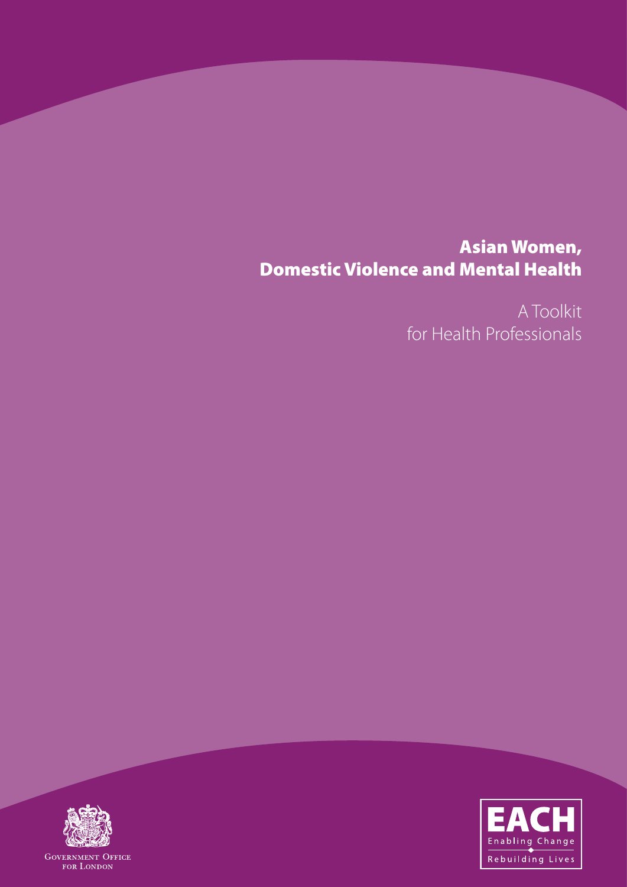### Asian Women, Domestic Violence and Mental Health

A Toolkit for Health Professionals



**GOVERNMENT OFFICE** FOR LONDON

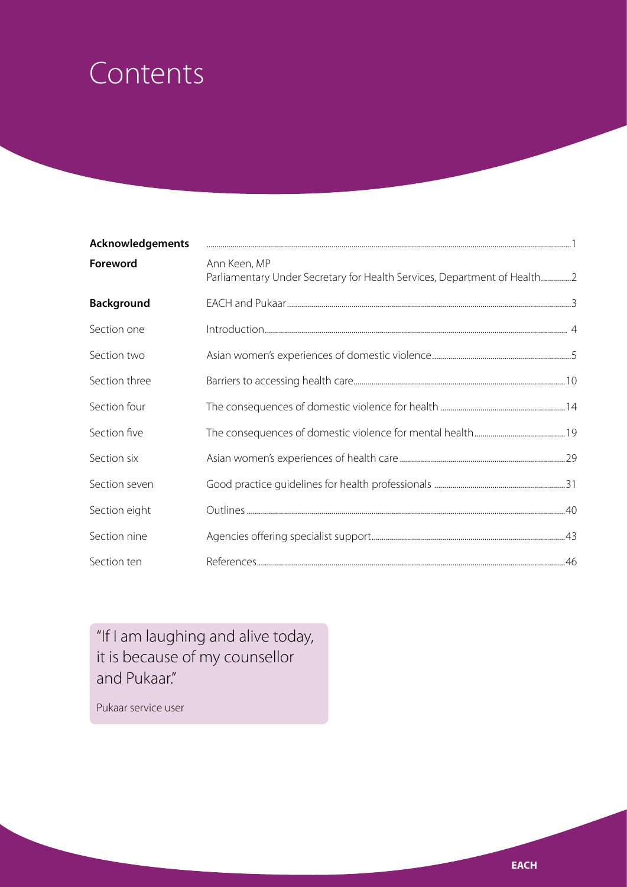### Contents

| <b>Acknowledgements</b> |                                                                                          |  |
|-------------------------|------------------------------------------------------------------------------------------|--|
| Foreword                | Ann Keen, MP<br>Parliamentary Under Secretary for Health Services, Department of Health2 |  |
| <b>Background</b>       |                                                                                          |  |
| Section one             |                                                                                          |  |
| Section two             |                                                                                          |  |
| Section three           |                                                                                          |  |
| Section four            |                                                                                          |  |
| Section five            |                                                                                          |  |
| Section six             |                                                                                          |  |
| Section seven           |                                                                                          |  |
| Section eight           |                                                                                          |  |
| Section nine            |                                                                                          |  |
| Section ten             |                                                                                          |  |

"If I am laughing and alive today, it is because of my counsellor and Pukaar."

Pukaar service user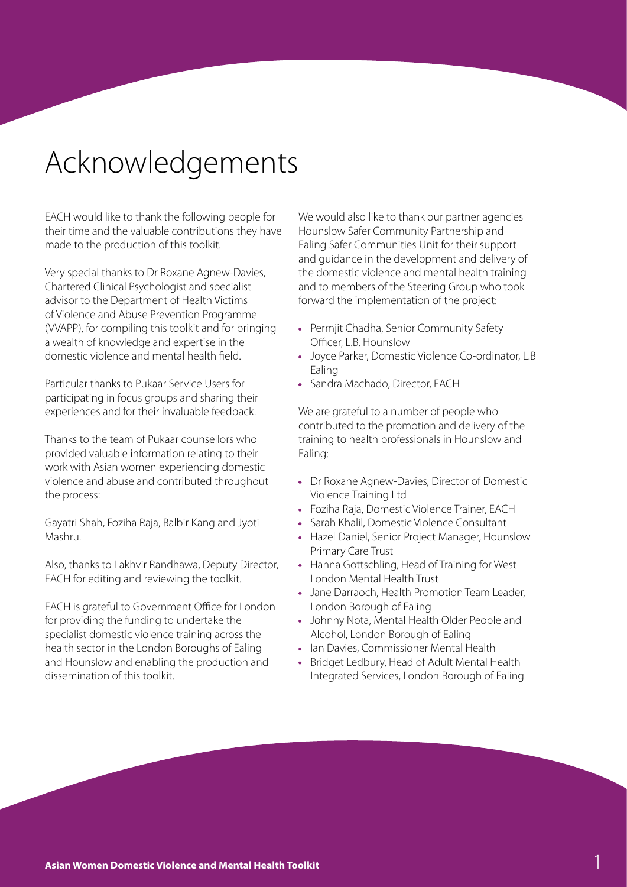### Acknowledgements

EACH would like to thank the following people for their time and the valuable contributions they have made to the production of this toolkit.

Very special thanks to Dr Roxane Agnew-Davies, Chartered Clinical Psychologist and specialist advisor to the Department of Health Victims of Violence and Abuse Prevention Programme (VVAPP), for compiling this toolkit and for bringing a wealth of knowledge and expertise in the domestic violence and mental health field.

Particular thanks to Pukaar Service Users for participating in focus groups and sharing their experiences and for their invaluable feedback.

Thanks to the team of Pukaar counsellors who provided valuable information relating to their work with Asian women experiencing domestic violence and abuse and contributed throughout the process:

Gayatri Shah, Foziha Raja, Balbir Kang and Jyoti Mashru.

Also, thanks to Lakhvir Randhawa, Deputy Director, EACH for editing and reviewing the toolkit.

EACH is grateful to Government Office for London for providing the funding to undertake the specialist domestic violence training across the health sector in the London Boroughs of Ealing and Hounslow and enabling the production and dissemination of this toolkit.

We would also like to thank our partner agencies Hounslow Safer Community Partnership and Ealing Safer Communities Unit for their support and guidance in the development and delivery of the domestic violence and mental health training and to members of the Steering Group who took forward the implementation of the project:

- Permjit Chadha, Senior Community Safety Officer, L.B. Hounslow
- Joyce Parker, Domestic Violence Co-ordinator, L.B Ealing
- Sandra Machado, Director, EACH

We are grateful to a number of people who contributed to the promotion and delivery of the training to health professionals in Hounslow and Ealing:

- Dr Roxane Agnew-Davies, Director of Domestic Violence Training Ltd
- Foziha Raja, Domestic Violence Trainer, EACH
- Sarah Khalil, Domestic Violence Consultant
- Hazel Daniel, Senior Project Manager, Hounslow Primary Care Trust
- Hanna Gottschling, Head of Training for West London Mental Health Trust
- Jane Darraoch, Health Promotion Team Leader, London Borough of Ealing
- • Johnny Nota, Mental Health Older People and Alcohol, London Borough of Ealing
- Ian Davies, Commissioner Mental Health
- Bridget Ledbury, Head of Adult Mental Health Integrated Services, London Borough of Ealing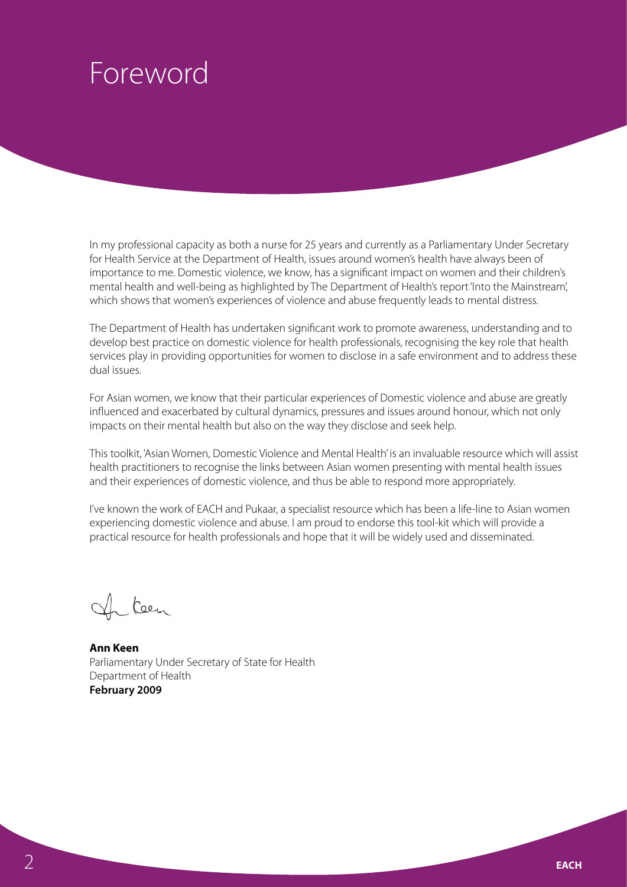## Foreword

In my professional capacity as both a nurse for 25 years and currently as a Parliamentary Under Secretary for Health Service at the Department of Health, issues around women's health have always been of importance to me. Domestic violence, we know, has a significant impact on women and their children's mental health and well-being as highlighted by The Department of Health's report 'Into the Mainstream', which shows that women's experiences of violence and abuse frequently leads to mental distress.

The Department of Health has undertaken significant work to promote awareness, understanding and to develop best practice on domestic violence for health professionals, recognising the key role that health services play in providing opportunities for women to disclose in a safe environment and to address these dual issues.

For Asian women, we know that their particular experiences of Domestic violence and abuse are greatly influenced and exacerbated by cultural dynamics, pressures and issues around honour, which not only impacts on their mental health but also on the way they disclose and seek help.

This toolkit, 'Asian Women, Domestic Violence and Mental Health' is an invaluable resource which will assist health practitioners to recognise the links between Asian women presenting with mental health issues and their experiences of domestic violence, and thus be able to respond more appropriately.

I've known the work of EACH and Pukaar, a specialist resource which has been a life-line to Asian women experiencing domestic violence and abuse. I am proud to endorse this tool-kit which will provide a practical resource for health professionals and hope that it will be widely used and disseminated.

In teen

**Ann Keen** Parliamentary Under Secretary of State for Health Department of Health **February 2009**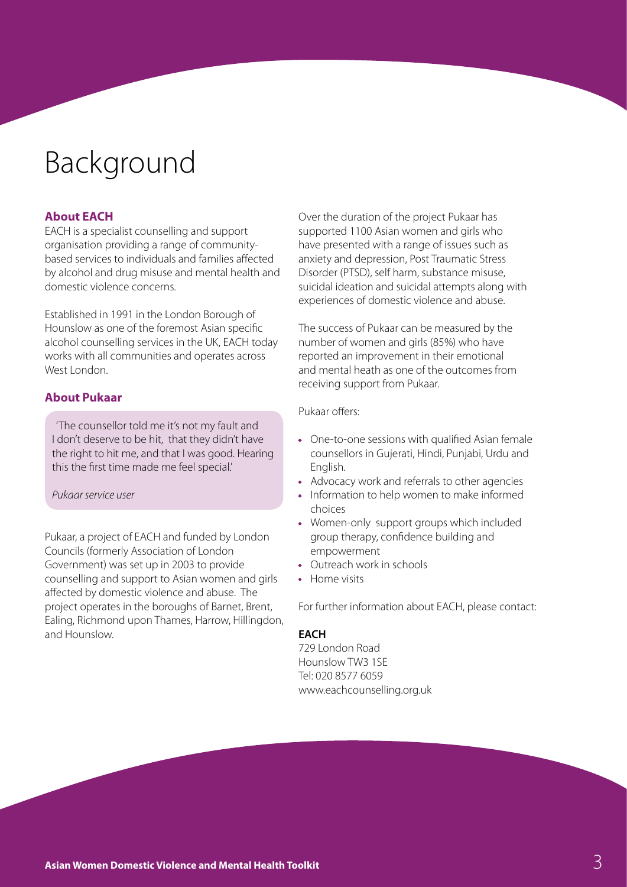## Background

### **About EACH**

EACH is a specialist counselling and support organisation providing a range of communitybased services to individuals and families affected by alcohol and drug misuse and mental health and domestic violence concerns.

Established in 1991 in the London Borough of Hounslow as one of the foremost Asian specific alcohol counselling services in the UK, EACH today works with all communities and operates across West London.

#### **About Pukaar**

 'The counsellor told me it's not my fault and I don't deserve to be hit, that they didn't have the right to hit me, and that I was good. Hearing this the first time made me feel special.'

#### *Pukaar service user*

Pukaar, a project of EACH and funded by London Councils (formerly Association of London Government) was set up in 2003 to provide counselling and support to Asian women and girls affected by domestic violence and abuse. The project operates in the boroughs of Barnet, Brent, Ealing, Richmond upon Thames, Harrow, Hillingdon, and Hounslow.

Over the duration of the project Pukaar has supported 1100 Asian women and girls who have presented with a range of issues such as anxiety and depression, Post Traumatic Stress Disorder (PTSD), self harm, substance misuse, suicidal ideation and suicidal attempts along with experiences of domestic violence and abuse.

The success of Pukaar can be measured by the number of women and girls (85%) who have reported an improvement in their emotional and mental heath as one of the outcomes from receiving support from Pukaar.

#### Pukaar offers:

- One-to-one sessions with qualified Asian female counsellors in Gujerati, Hindi, Punjabi, Urdu and English.
- Advocacy work and referrals to other agencies
- Information to help women to make informed choices
- Women-only support groups which included group therapy, confidence building and empowerment
- Outreach work in schools
- Home visits

For further information about EACH, please contact:

#### **EACH**

729 London Road Hounslow TW3 1SE Tel: 020 8577 6059 www.eachcounselling.org.uk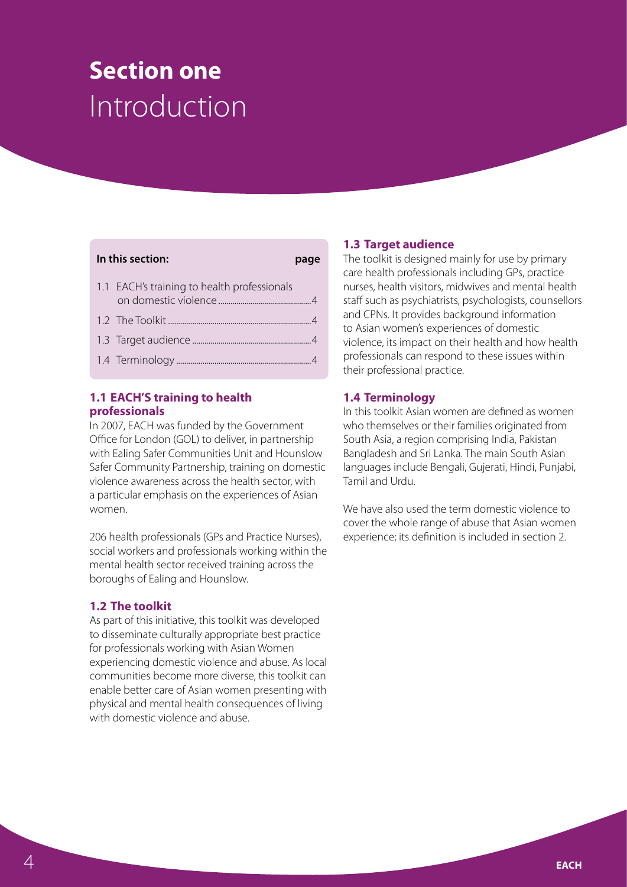### **Section one**  Introduction

#### **In this section: page**

| 1.1 EACH's training to health professionals |  |
|---------------------------------------------|--|
|                                             |  |
|                                             |  |
|                                             |  |

#### **1.1 EACH'S training to health professionals**

In 2007, EACH was funded by the Government Office for London (GOL) to deliver, in partnership with Ealing Safer Communities Unit and Hounslow Safer Community Partnership, training on domestic violence awareness across the health sector, with a particular emphasis on the experiences of Asian women.

206 health professionals (GPs and Practice Nurses), social workers and professionals working within the mental health sector received training across the boroughs of Ealing and Hounslow.

#### **1.2 The toolkit**

As part of this initiative, this toolkit was developed to disseminate culturally appropriate best practice for professionals working with Asian Women experiencing domestic violence and abuse. As local communities become more diverse, this toolkit can enable better care of Asian women presenting with physical and mental health consequences of living with domestic violence and abuse.

#### **1.3 Target audience**

The toolkit is designed mainly for use by primary care health professionals including GPs, practice nurses, health visitors, midwives and mental health staff such as psychiatrists, psychologists, counsellors and CPNs. It provides background information to Asian women's experiences of domestic violence, its impact on their health and how health professionals can respond to these issues within their professional practice.

#### **1.4 Terminology**

In this toolkit Asian women are defined as women who themselves or their families originated from South Asia, a region comprising India, Pakistan Bangladesh and Sri Lanka. The main South Asian languages include Bengali, Gujerati, Hindi, Punjabi, Tamil and Urdu.

We have also used the term domestic violence to cover the whole range of abuse that Asian women experience; its definition is included in section 2.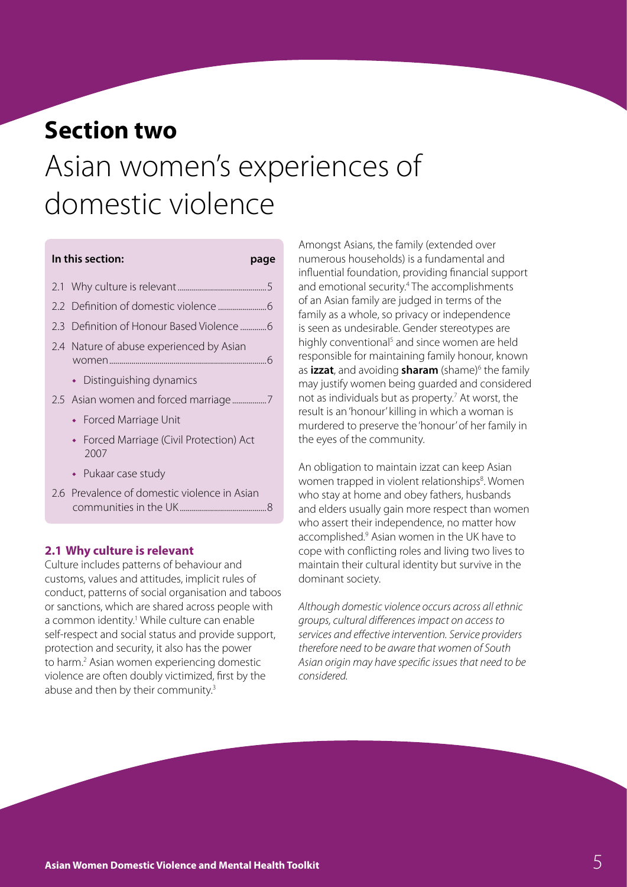### **Section two**

## Asian women's experiences of domestic violence

### **In this section: page** 2.1 Why culture is relevant............................................5 2.2 Definition of domestic violence ........................6 2.3 Definition of Honour Based Violence ...............6 2.4 Nature of abuse experienced by Asian women..............................................................................6 • Distinguishing dynamics 2.5 Asian women and forced marriage.................7 • Forced Marriage Unit • Forced Marriage (Civil Protection) Act 2007 • Pukaar case study 2.6 Prevalence of domestic violence in Asian

#### **2.1 Why culture is relevant**

Culture includes patterns of behaviour and customs, values and attitudes, implicit rules of conduct, patterns of social organisation and taboos or sanctions, which are shared across people with a common identity.<sup>1</sup> While culture can enable self-respect and social status and provide support, protection and security, it also has the power to harm.<sup>2</sup> Asian women experiencing domestic violence are often doubly victimized, first by the abuse and then by their community.<sup>3</sup>

communities in the UK...........................................8

Amongst Asians, the family (extended over numerous households) is a fundamental and influential foundation, providing financial support and emotional security.4 The accomplishments of an Asian family are judged in terms of the family as a whole, so privacy or independence is seen as undesirable. Gender stereotypes are highly conventional<sup>5</sup> and since women are held responsible for maintaining family honour, known as **izzat**, and avoiding **sharam** (shame)<sup>6</sup> the family may justify women being guarded and considered not as individuals but as property.<sup>7</sup> At worst, the result is an 'honour' killing in which a woman is murdered to preserve the 'honour' of her family in the eyes of the community.

An obligation to maintain izzat can keep Asian women trapped in violent relationships<sup>8</sup>. Women who stay at home and obey fathers, husbands and elders usually gain more respect than women who assert their independence, no matter how accomplished.<sup>9</sup> Asian women in the UK have to cope with conflicting roles and living two lives to maintain their cultural identity but survive in the dominant society.

*Although domestic violence occurs across all ethnic groups, cultural differences impact on access to services and effective intervention. Service providers therefore need to be aware that women of South Asian origin may have specific issues that need to be considered.*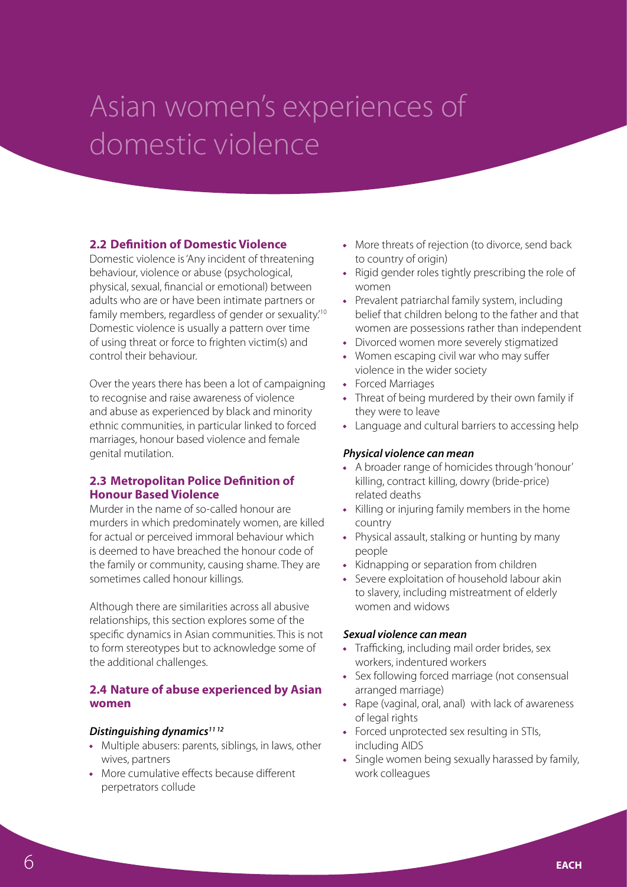# Asian women's experiences of domestic violence

#### **2.2 Definition of Domestic Violence**

Domestic violence is 'Any incident of threatening behaviour, violence or abuse (psychological, physical, sexual, financial or emotional) between adults who are or have been intimate partners or family members, regardless of gender or sexuality.'10 Domestic violence is usually a pattern over time of using threat or force to frighten victim(s) and control their behaviour.

Over the years there has been a lot of campaigning to recognise and raise awareness of violence and abuse as experienced by black and minority ethnic communities, in particular linked to forced marriages, honour based violence and female genital mutilation.

#### **2.3 Metropolitan Police Definition of Honour Based Violence**

Murder in the name of so-called honour are murders in which predominately women, are killed for actual or perceived immoral behaviour which is deemed to have breached the honour code of the family or community, causing shame. They are sometimes called honour killings.

Although there are similarities across all abusive relationships, this section explores some of the specific dynamics in Asian communities. This is not to form stereotypes but to acknowledge some of the additional challenges.

#### **2.4 Nature of abuse experienced by Asian women**

#### *Distinguishing dynamics11 12*

- Multiple abusers: parents, siblings, in laws, other wives, partners
- More cumulative effects because different perpetrators collude
- More threats of rejection (to divorce, send back to country of origin)
- Rigid gender roles tightly prescribing the role of women
- Prevalent patriarchal family system, including belief that children belong to the father and that women are possessions rather than independent
- Divorced women more severely stigmatized
- Women escaping civil war who may suffer violence in the wider society
- Forced Marriages
- Threat of being murdered by their own family if they were to leave
- Language and cultural barriers to accessing help

#### *Physical violence can mean*

- • A broader range of homicides through 'honour' killing, contract killing, dowry (bride-price) related deaths
- Killing or injuring family members in the home country
- Physical assault, stalking or hunting by many people
- Kidnapping or separation from children
- Severe exploitation of household labour akin to slavery, including mistreatment of elderly women and widows

#### *Sexual violence can mean*

- Trafficking, including mail order brides, sex workers, indentured workers
- Sex following forced marriage (not consensual arranged marriage)
- Rape (vaginal, oral, anal) with lack of awareness of legal rights
- Forced unprotected sex resulting in STIs, including AIDS
- Single women being sexually harassed by family, work colleagues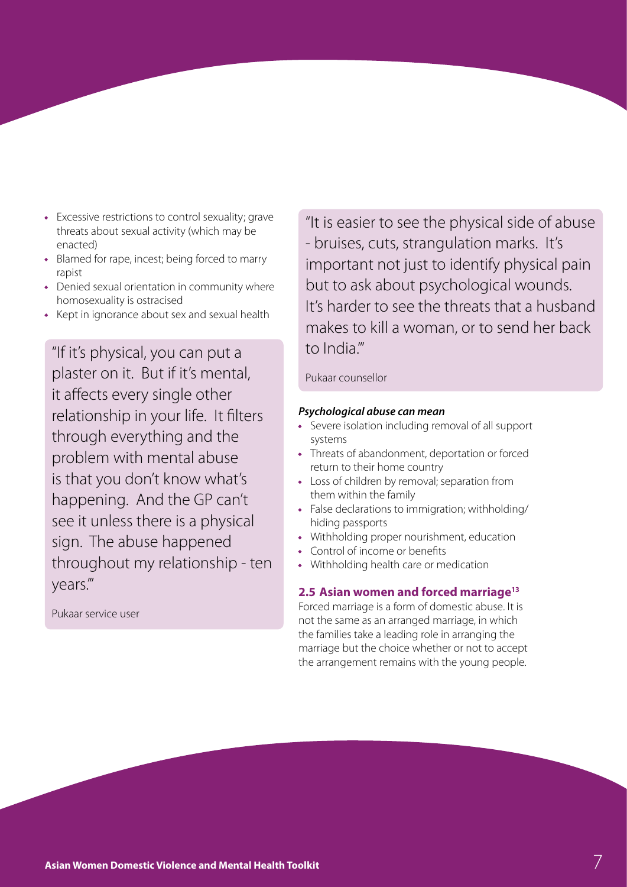- Excessive restrictions to control sexuality; grave threats about sexual activity (which may be enacted)
- Blamed for rape, incest; being forced to marry rapist
- Denied sexual orientation in community where homosexuality is ostracised
- Kept in ignorance about sex and sexual health

"If it's physical, you can put a plaster on it. But if it's mental, it affects every single other relationship in your life. It filters through everything and the problem with mental abuse is that you don't know what's happening. And the GP can't see it unless there is a physical sign. The abuse happened throughout my relationship - ten years.'"

Pukaar service user

"It is easier to see the physical side of abuse - bruises, cuts, strangulation marks. It's important not just to identify physical pain but to ask about psychological wounds. It's harder to see the threats that a husband makes to kill a woman, or to send her back to India<sup>"'</sup>

#### Pukaar counsellor

#### *Psychological abuse can mean*

- Severe isolation including removal of all support systems
- Threats of abandonment, deportation or forced return to their home country
- Loss of children by removal; separation from them within the family
- False declarations to immigration; withholding/ hiding passports
- Withholding proper nourishment, education
- Control of income or benefits
- • Withholding health care or medication

#### **2.5 Asian women and forced marriage13**

Forced marriage is a form of domestic abuse. It is not the same as an arranged marriage, in which the families take a leading role in arranging the marriage but the choice whether or not to accept the arrangement remains with the young people.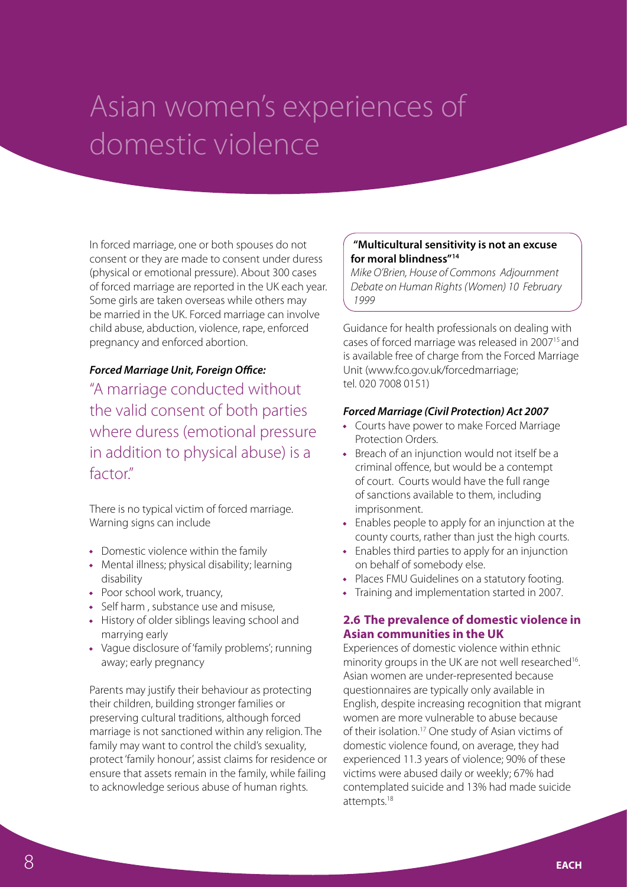# Asian women's experiences of domestic violence

In forced marriage, one or both spouses do not consent or they are made to consent under duress (physical or emotional pressure). About 300 cases of forced marriage are reported in the UK each year. Some girls are taken overseas while others may be married in the UK. Forced marriage can involve child abuse, abduction, violence, rape, enforced pregnancy and enforced abortion.

#### *Forced Marriage Unit, Foreign Office:*

"A marriage conducted without the valid consent of both parties where duress (emotional pressure in addition to physical abuse) is a factor."

There is no typical victim of forced marriage. Warning signs can include

- Domestic violence within the family
- Mental illness; physical disability; learning disability
- Poor school work, truancy,
- Self harm, substance use and misuse.
- History of older siblings leaving school and marrying early
- Vague disclosure of 'family problems'; running away; early pregnancy

Parents may justify their behaviour as protecting their children, building stronger families or preserving cultural traditions, although forced marriage is not sanctioned within any religion. The family may want to control the child's sexuality, protect 'family honour', assist claims for residence or ensure that assets remain in the family, while failing to acknowledge serious abuse of human rights.

#### **"Multicultural sensitivity is not an excuse for moral blindness"14**

*Mike O'Brien, House of Commons Adjournment Debate on Human Rights (Women) 10 February 1999*

Guidance for health professionals on dealing with cases of forced marriage was released in 200715 and is available free of charge from the Forced Marriage Unit (www.fco.gov.uk/forcedmarriage; tel. 020 7008 0151)

#### *Forced Marriage (Civil Protection) Act 2007*

- Courts have power to make Forced Marriage Protection Orders.
- Breach of an injunction would not itself be a criminal offence, but would be a contempt of court. Courts would have the full range of sanctions available to them, including imprisonment.
- Enables people to apply for an injunction at the county courts, rather than just the high courts.
- Enables third parties to apply for an injunction on behalf of somebody else.
- Places FMU Guidelines on a statutory footing.
- Training and implementation started in 2007.

#### **2.6 The prevalence of domestic violence in Asian communities in the UK**

Experiences of domestic violence within ethnic minority groups in the UK are not well researched<sup>16</sup>. Asian women are under-represented because questionnaires are typically only available in English, despite increasing recognition that migrant women are more vulnerable to abuse because of their isolation.17 One study of Asian victims of domestic violence found, on average, they had experienced 11.3 years of violence; 90% of these victims were abused daily or weekly; 67% had contemplated suicide and 13% had made suicide attempts.18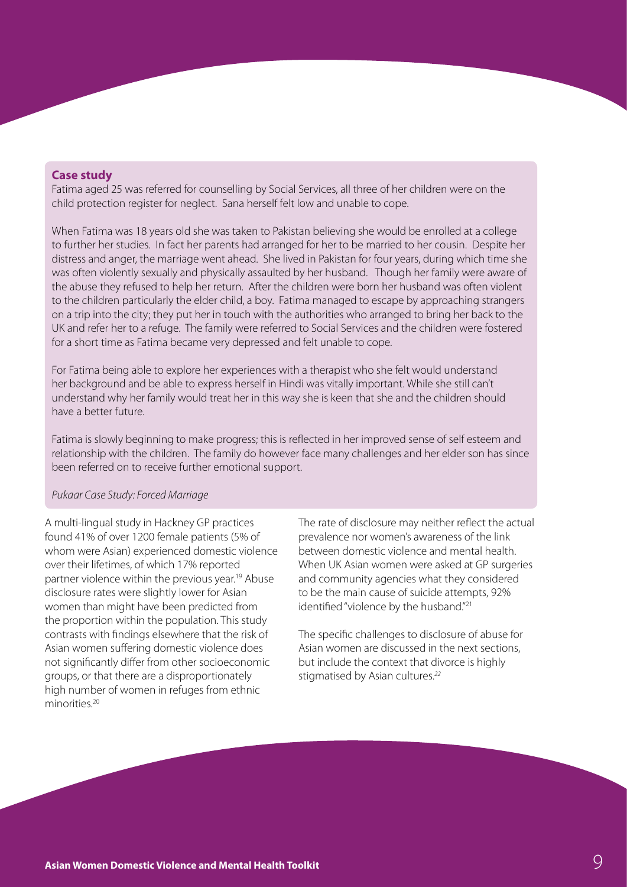#### **Case study**

Fatima aged 25 was referred for counselling by Social Services, all three of her children were on the child protection register for neglect. Sana herself felt low and unable to cope.

When Fatima was 18 years old she was taken to Pakistan believing she would be enrolled at a college to further her studies. In fact her parents had arranged for her to be married to her cousin. Despite her distress and anger, the marriage went ahead. She lived in Pakistan for four years, during which time she was often violently sexually and physically assaulted by her husband. Though her family were aware of the abuse they refused to help her return. After the children were born her husband was often violent to the children particularly the elder child, a boy. Fatima managed to escape by approaching strangers on a trip into the city; they put her in touch with the authorities who arranged to bring her back to the UK and refer her to a refuge. The family were referred to Social Services and the children were fostered for a short time as Fatima became very depressed and felt unable to cope.

For Fatima being able to explore her experiences with a therapist who she felt would understand her background and be able to express herself in Hindi was vitally important. While she still can't understand why her family would treat her in this way she is keen that she and the children should have a better future.

Fatima is slowly beginning to make progress; this is reflected in her improved sense of self esteem and relationship with the children. The family do however face many challenges and her elder son has since been referred on to receive further emotional support.

#### *Pukaar Case Study: Forced Marriage*

A multi-lingual study in Hackney GP practices found 41% of over 1200 female patients (5% of whom were Asian) experienced domestic violence over their lifetimes, of which 17% reported partner violence within the previous year.<sup>19</sup> Abuse disclosure rates were slightly lower for Asian women than might have been predicted from the proportion within the population. This study contrasts with findings elsewhere that the risk of Asian women suffering domestic violence does not significantly differ from other socioeconomic groups, or that there are a disproportionately high number of women in refuges from ethnic minorities.20

The rate of disclosure may neither reflect the actual prevalence nor women's awareness of the link between domestic violence and mental health. When UK Asian women were asked at GP surgeries and community agencies what they considered to be the main cause of suicide attempts, 92% identified "violence by the husband."<sup>21</sup>

The specific challenges to disclosure of abuse for Asian women are discussed in the next sections, but include the context that divorce is highly stigmatised by Asian cultures.*22*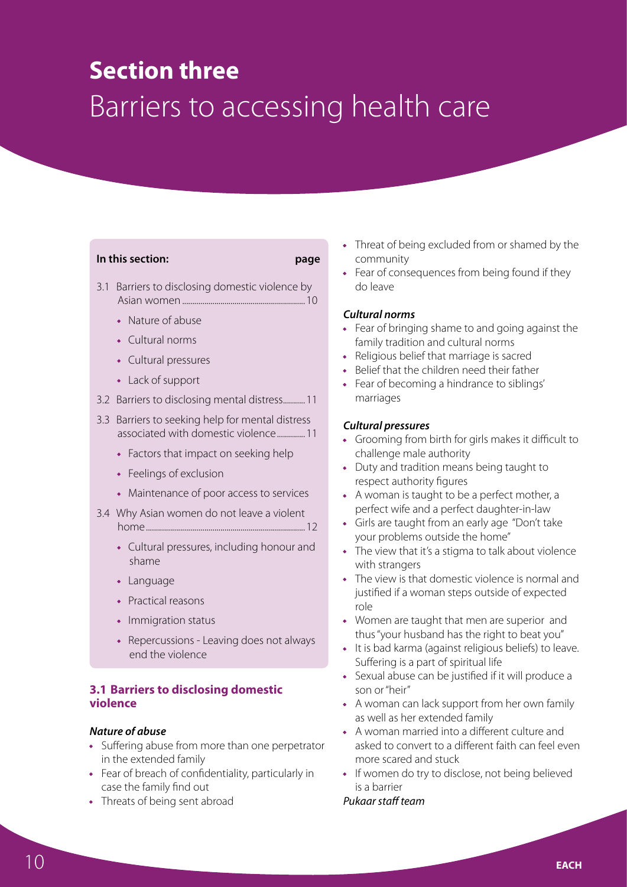### **Section three**  Barriers to accessing health care

#### **In this section: page**

- 3.1 Barriers to disclosing domestic violence by Asian women.............................................................10
	- Nature of abuse
	- Cultural norms
	- Cultural pressures
	- Lack of support
- 3.2 Barriers to disclosing mental distress...........11
- 3.3 Barriers to seeking help for mental distress associated with domestic violence..............11
	- Factors that impact on seeking help
	- Feelings of exclusion
	- Maintenance of poor access to services
- 3.4 Why Asian women do not leave a violent home...............................................................................12
	- Cultural pressures, including honour and shame
	- Language
	- • Practical reasons
	- Immigration status
	- Repercussions Leaving does not always end the violence

#### **3.1 Barriers to disclosing domestic violence**

#### *Nature of abuse*

- Suffering abuse from more than one perpetrator in the extended family
- Fear of breach of confidentiality, particularly in case the family find out
- Threats of being sent abroad
- Threat of being excluded from or shamed by the community
- Fear of consequences from being found if they do leave

#### *Cultural norms*

- Fear of bringing shame to and going against the family tradition and cultural norms
- Religious belief that marriage is sacred
- Belief that the children need their father
- Fear of becoming a hindrance to siblings' marriages

#### *Cultural pressures*

- • Grooming from birth for girls makes it difficult to challenge male authority
- Duty and tradition means being taught to respect authority figures
- A woman is taught to be a perfect mother, a perfect wife and a perfect daughter-in-law
- Girls are taught from an early age "Don't take your problems outside the home"
- The view that it's a stigma to talk about violence with strangers
- The view is that domestic violence is normal and justified if a woman steps outside of expected role
- Women are taught that men are superior and thus "your husband has the right to beat you"
- It is bad karma (against religious beliefs) to leave. Suffering is a part of spiritual life
- Sexual abuse can be justified if it will produce a son or "heir"
- A woman can lack support from her own family as well as her extended family
- • A woman married into a different culture and asked to convert to a different faith can feel even more scared and stuck
- If women do try to disclose, not being believed is a barrier

*Pukaar staff team*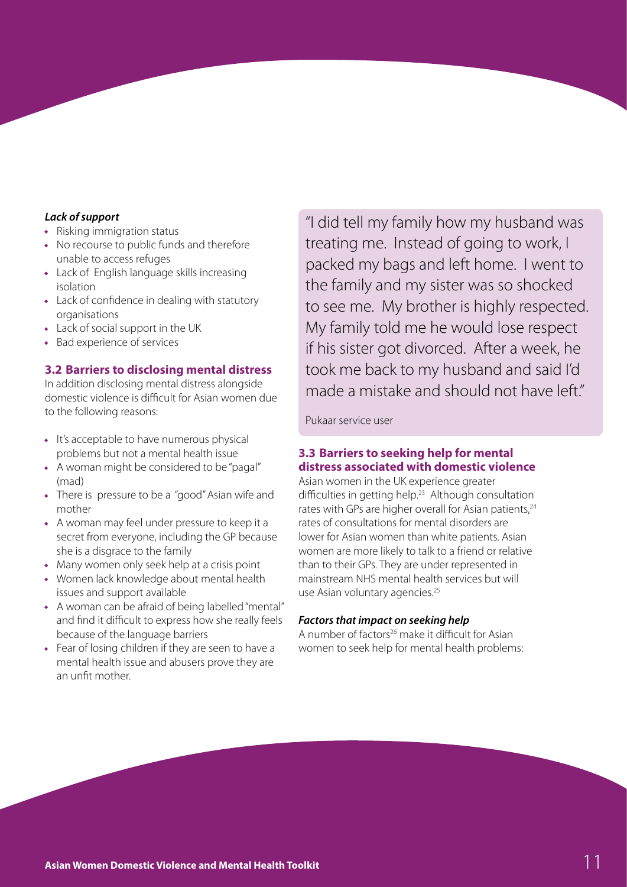#### *Lack of support*

- Risking immigration status
- No recourse to public funds and therefore unable to access refuges
- Lack of English language skills increasing isolation
- Lack of confidence in dealing with statutory organisations
- Lack of social support in the UK
- Bad experience of services

#### **3.2 Barriers to disclosing mental distress**

In addition disclosing mental distress alongside domestic violence is difficult for Asian women due to the following reasons:

- It's acceptable to have numerous physical problems but not a mental health issue
- A woman might be considered to be "pagal" (mad)
- There is pressure to be a "good" Asian wife and mother
- A woman may feel under pressure to keep it a secret from everyone, including the GP because she is a disgrace to the family
- Many women only seek help at a crisis point
- Women lack knowledge about mental health issues and support available
- A woman can be afraid of being labelled "mental" and find it difficult to express how she really feels because of the language barriers
- Fear of losing children if they are seen to have a mental health issue and abusers prove they are an unfit mother.

"I did tell my family how my husband was treating me. Instead of going to work, I packed my bags and left home. I went to the family and my sister was so shocked to see me. My brother is highly respected. My family told me he would lose respect if his sister got divorced. After a week, he took me back to my husband and said I'd made a mistake and should not have left."

Pukaar service user

### **3.3 Barriers to seeking help for mental distress associated with domestic violence**

Asian women in the UK experience greater difficulties in getting help.<sup>23</sup> Although consultation rates with GPs are higher overall for Asian patients.<sup>24</sup> rates of consultations for mental disorders are lower for Asian women than white patients. Asian women are more likely to talk to a friend or relative than to their GPs. They are under represented in mainstream NHS mental health services but will use Asian voluntary agencies.<sup>25</sup>

#### *Factors that impact on seeking help*

A number of factors<sup>26</sup> make it difficult for Asian women to seek help for mental health problems: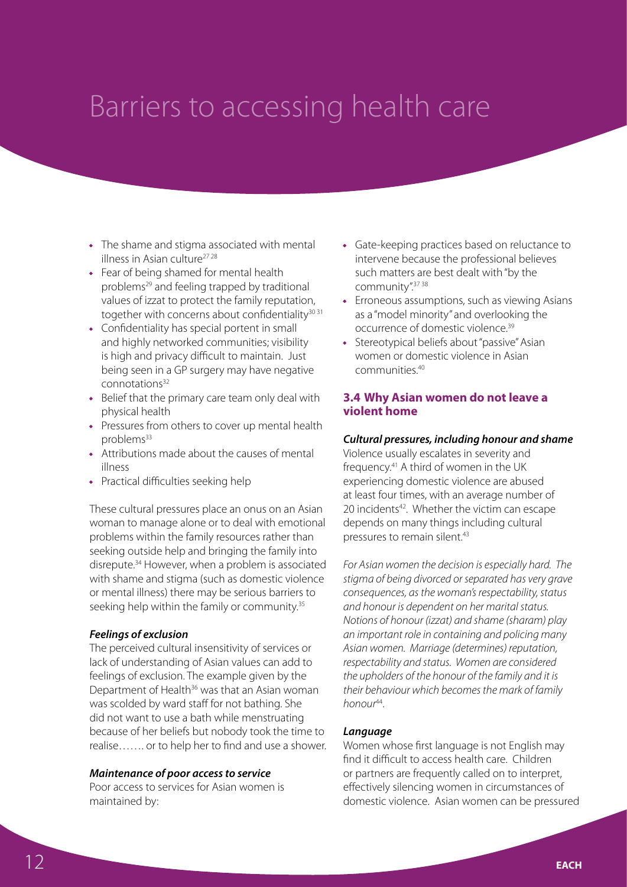### Barriers to accessing health care

- The shame and stigma associated with mental illness in Asian culture<sup>27</sup> 28
- Fear of being shamed for mental health problems29 and feeling trapped by traditional values of izzat to protect the family reputation, together with concerns about confidentiality<sup>30 31</sup>
- Confidentiality has special portent in small and highly networked communities; visibility is high and privacy difficult to maintain. Just being seen in a GP surgery may have negative connotations<sup>32</sup>
- Belief that the primary care team only deal with physical health
- Pressures from others to cover up mental health problems<sup>33</sup>
- • Attributions made about the causes of mental illness
- Practical difficulties seeking help

These cultural pressures place an onus on an Asian woman to manage alone or to deal with emotional problems within the family resources rather than seeking outside help and bringing the family into disrepute.<sup>34</sup> However, when a problem is associated with shame and stigma (such as domestic violence or mental illness) there may be serious barriers to seeking help within the family or community.<sup>35</sup>

#### *Feelings of exclusion*

The perceived cultural insensitivity of services or lack of understanding of Asian values can add to feelings of exclusion. The example given by the Department of Health<sup>36</sup> was that an Asian woman was scolded by ward staff for not bathing. She did not want to use a bath while menstruating because of her beliefs but nobody took the time to realise……. or to help her to find and use a shower.

#### *Maintenance of poor access to service*

Poor access to services for Asian women is maintained by:

- Gate-keeping practices based on reluctance to intervene because the professional believes such matters are best dealt with "by the community".37 38
- Erroneous assumptions, such as viewing Asians as a "model minority" and overlooking the occurrence of domestic violence.39
- Stereotypical beliefs about "passive" Asian women or domestic violence in Asian communities<sup>40</sup>

#### **3.4 Why Asian women do not leave a violent home**

#### *Cultural pressures, including honour and shame*

Violence usually escalates in severity and frequency.41 A third of women in the UK experiencing domestic violence are abused at least four times, with an average number of 20 incidents<sup>42</sup>. Whether the victim can escape depends on many things including cultural pressures to remain silent.<sup>43</sup>

*For Asian women the decision is especially hard. The stigma of being divorced or separated has very grave consequences, as the woman's respectability, status and honour is dependent on her marital status. Notions of honour (izzat) and shame (sharam) play an important role in containing and policing many Asian women. Marriage (determines) reputation, respectability and status. Women are considered the upholders of the honour of the family and it is their behaviour which becomes the mark of family honour*44.

#### *Language*

Women whose first language is not English may find it difficult to access health care. Children or partners are frequently called on to interpret, effectively silencing women in circumstances of domestic violence. Asian women can be pressured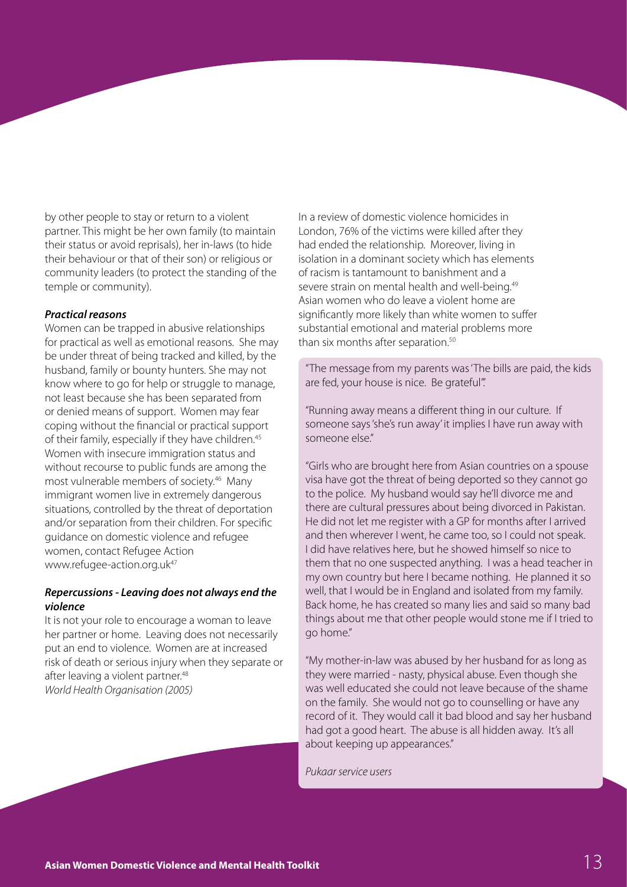by other people to stay or return to a violent partner. This might be her own family (to maintain their status or avoid reprisals), her in-laws (to hide their behaviour or that of their son) or religious or community leaders (to protect the standing of the temple or community).

#### *Practical reasons*

Women can be trapped in abusive relationships for practical as well as emotional reasons. She may be under threat of being tracked and killed, by the husband, family or bounty hunters. She may not know where to go for help or struggle to manage, not least because she has been separated from or denied means of support. Women may fear coping without the financial or practical support of their family, especially if they have children.<sup>45</sup> Women with insecure immigration status and without recourse to public funds are among the most vulnerable members of society.46 Many immigrant women live in extremely dangerous situations, controlled by the threat of deportation and/or separation from their children. For specific guidance on domestic violence and refugee women, contact Refugee Action www.refugee-action.org.uk<sup>47</sup>

#### *Repercussions - Leaving does not always end the violence*

It is not your role to encourage a woman to leave her partner or home. Leaving does not necessarily put an end to violence. Women are at increased risk of death or serious injury when they separate or after leaving a violent partner.<sup>48</sup> *World Health Organisation (2005)*

In a review of domestic violence homicides in London, 76% of the victims were killed after they had ended the relationship. Moreover, living in isolation in a dominant society which has elements of racism is tantamount to banishment and a severe strain on mental health and well-being.<sup>49</sup> Asian women who do leave a violent home are significantly more likely than white women to suffer substantial emotional and material problems more than six months after separation.<sup>50</sup>

"The message from my parents was 'The bills are paid, the kids are fed, your house is nice. Be grateful".

"Running away means a different thing in our culture. If someone says 'she's run away' it implies I have run away with someone else."

"Girls who are brought here from Asian countries on a spouse visa have got the threat of being deported so they cannot go to the police. My husband would say he'll divorce me and there are cultural pressures about being divorced in Pakistan. He did not let me register with a GP for months after I arrived and then wherever I went, he came too, so I could not speak. I did have relatives here, but he showed himself so nice to them that no one suspected anything. I was a head teacher in my own country but here I became nothing. He planned it so well, that I would be in England and isolated from my family. Back home, he has created so many lies and said so many bad things about me that other people would stone me if I tried to go home."

"My mother-in-law was abused by her husband for as long as they were married - nasty, physical abuse. Even though she was well educated she could not leave because of the shame on the family. She would not go to counselling or have any record of it. They would call it bad blood and say her husband had got a good heart. The abuse is all hidden away. It's all about keeping up appearances."

*Pukaar service users*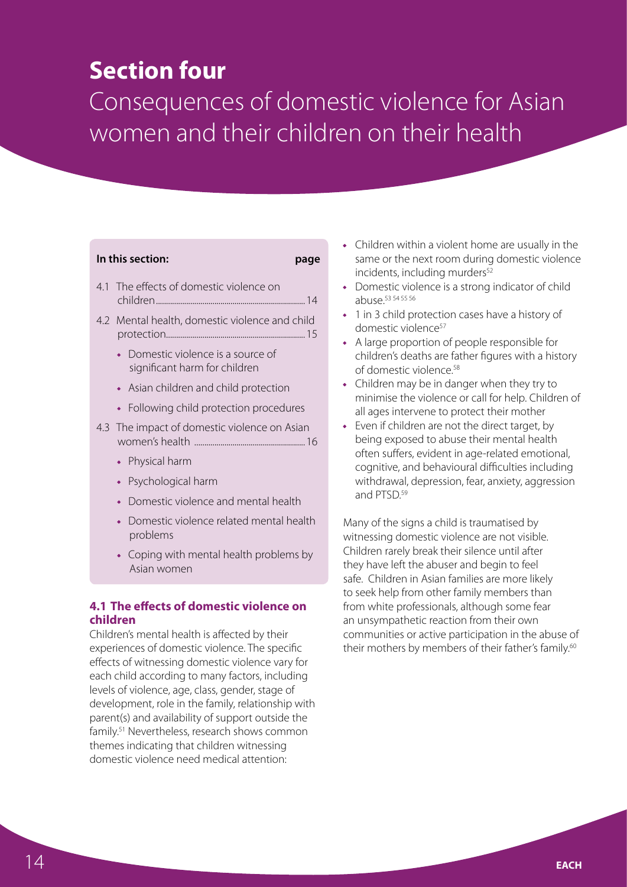### **Section four**

Consequences of domestic violence for Asian women and their children on their health

#### **In this section: page**

- 4.1 The effects of domestic violence on children..........................................................................14
- 4.2 Mental health, domestic violence and child protection.....................................................................15
	- Domestic violence is a source of significant harm for children
	- Asian children and child protection
	- Following child protection procedures
- 4.3 The impact of domestic violence on Asian women's health .......................................................16
	- Physical harm
	- Psychological harm
	- Domestic violence and mental health
	- Domestic violence related mental health problems
	- Coping with mental health problems by Asian women

#### **4.1 The effects of domestic violence on children**

Children's mental health is affected by their experiences of domestic violence. The specific effects of witnessing domestic violence vary for each child according to many factors, including levels of violence, age, class, gender, stage of development, role in the family, relationship with parent(s) and availability of support outside the family.51 Nevertheless, research shows common themes indicating that children witnessing domestic violence need medical attention:

- Children within a violent home are usually in the same or the next room during domestic violence incidents, including murders<sup>52</sup>
- Domestic violence is a strong indicator of child abuse.53 54 55 56
- 1 in 3 child protection cases have a history of domestic violence<sup>57</sup>
- • A large proportion of people responsible for children's deaths are father figures with a history of domestic violence.58
- Children may be in danger when they try to minimise the violence or call for help. Children of all ages intervene to protect their mother
- Even if children are not the direct target, by being exposed to abuse their mental health often suffers, evident in age-related emotional, cognitive, and behavioural difficulties including withdrawal, depression, fear, anxiety, aggression and PTSD<sup>59</sup>

Many of the signs a child is traumatised by witnessing domestic violence are not visible. Children rarely break their silence until after they have left the abuser and begin to feel safe. Children in Asian families are more likely to seek help from other family members than from white professionals, although some fear an unsympathetic reaction from their own communities or active participation in the abuse of their mothers by members of their father's family.<sup>60</sup>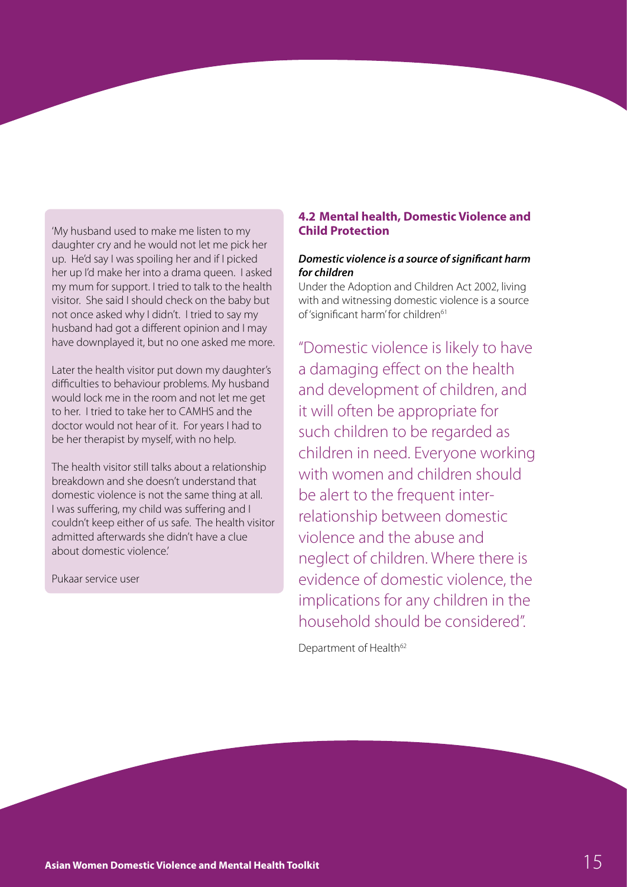'My husband used to make me listen to my daughter cry and he would not let me pick her up. He'd say I was spoiling her and if I picked her up I'd make her into a drama queen. I asked my mum for support. I tried to talk to the health visitor. She said I should check on the baby but not once asked why I didn't. I tried to say my husband had got a different opinion and I may have downplayed it, but no one asked me more.

Later the health visitor put down my daughter's difficulties to behaviour problems. My husband would lock me in the room and not let me get to her. I tried to take her to CAMHS and the doctor would not hear of it. For years I had to be her therapist by myself, with no help.

The health visitor still talks about a relationship breakdown and she doesn't understand that domestic violence is not the same thing at all. I was suffering, my child was suffering and I couldn't keep either of us safe. The health visitor admitted afterwards she didn't have a clue about domestic violence'

Pukaar service user

#### **4.2 Mental health, Domestic Violence and Child Protection**

#### *Domestic violence is a source of significant harm for children*

Under the Adoption and Children Act 2002, living with and witnessing domestic violence is a source of 'significant harm' for children<sup>61</sup>

"Domestic violence is likely to have a damaging effect on the health and development of children, and it will often be appropriate for such children to be regarded as children in need. Everyone working with women and children should be alert to the frequent interrelationship between domestic violence and the abuse and neglect of children. Where there is evidence of domestic violence, the implications for any children in the household should be considered".

Department of Health<sup>62</sup>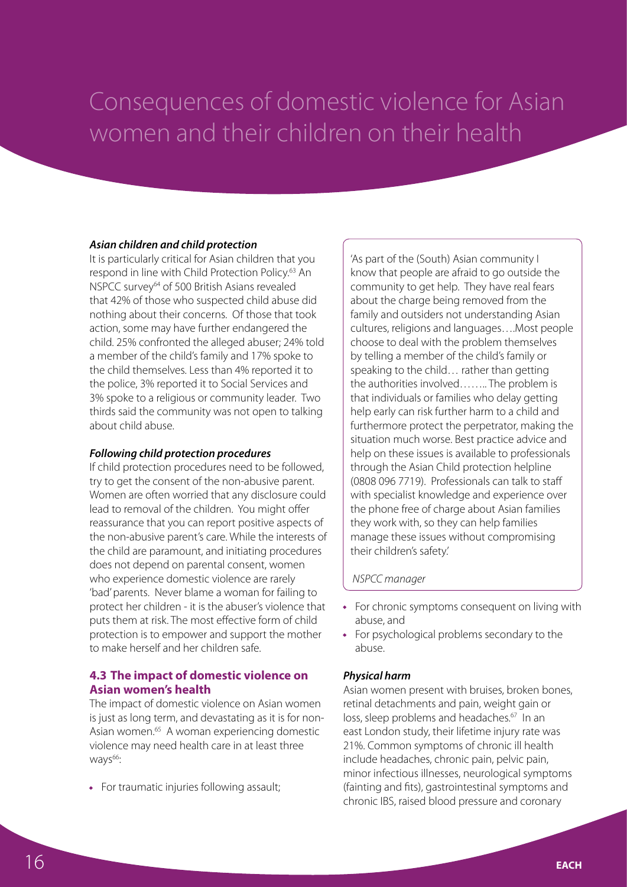### Consequences of domestic violence for Asian women and their children on their health

#### *Asian children and child protection*

It is particularly critical for Asian children that you respond in line with Child Protection Policy.<sup>63</sup> An NSPCC survey64 of 500 British Asians revealed that 42% of those who suspected child abuse did nothing about their concerns. Of those that took action, some may have further endangered the child. 25% confronted the alleged abuser; 24% told a member of the child's family and 17% spoke to the child themselves. Less than 4% reported it to the police, 3% reported it to Social Services and 3% spoke to a religious or community leader. Two thirds said the community was not open to talking about child abuse.

#### *Following child protection procedures*

If child protection procedures need to be followed, try to get the consent of the non-abusive parent. Women are often worried that any disclosure could lead to removal of the children. You might offer reassurance that you can report positive aspects of the non-abusive parent's care. While the interests of the child are paramount, and initiating procedures does not depend on parental consent, women who experience domestic violence are rarely 'bad' parents. Never blame a woman for failing to protect her children - it is the abuser's violence that puts them at risk. The most effective form of child protection is to empower and support the mother to make herself and her children safe.

#### **4.3 The impact of domestic violence on Asian women's health**

The impact of domestic violence on Asian women is just as long term, and devastating as it is for non-Asian women.<sup>65</sup> A woman experiencing domestic violence may need health care in at least three  $WAVS<sup>66</sup>$ :

• For traumatic injuries following assault;

'As part of the (South) Asian community I know that people are afraid to go outside the community to get help. They have real fears about the charge being removed from the family and outsiders not understanding Asian cultures, religions and languages….Most people choose to deal with the problem themselves by telling a member of the child's family or speaking to the child… rather than getting the authorities involved…….. The problem is that individuals or families who delay getting help early can risk further harm to a child and furthermore protect the perpetrator, making the situation much worse. Best practice advice and help on these issues is available to professionals through the Asian Child protection helpline (0808 096 7719). Professionals can talk to staff with specialist knowledge and experience over the phone free of charge about Asian families they work with, so they can help families manage these issues without compromising their children's safety.'

#### *NSPCC manager*

- For chronic symptoms consequent on living with abuse, and
- For psychological problems secondary to the abuse.

#### *Physical harm*

Asian women present with bruises, broken bones, retinal detachments and pain, weight gain or loss, sleep problems and headaches.<sup>67</sup> In an east London study, their lifetime injury rate was 21%. Common symptoms of chronic ill health include headaches, chronic pain, pelvic pain, minor infectious illnesses, neurological symptoms (fainting and fits), gastrointestinal symptoms and chronic IBS, raised blood pressure and coronary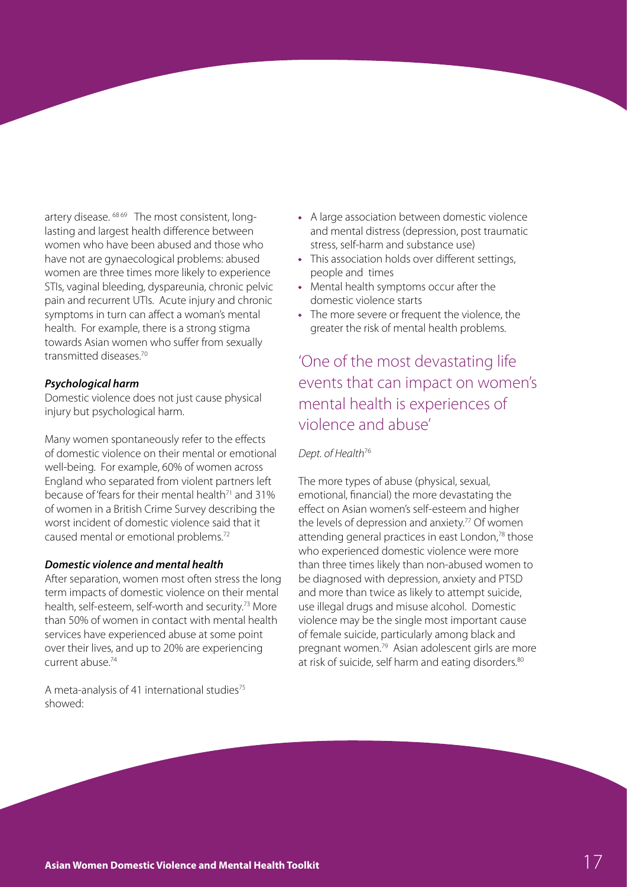artery disease. <sup>68 69</sup> The most consistent, longlasting and largest health difference between women who have been abused and those who have not are gynaecological problems: abused women are three times more likely to experience STIs, vaginal bleeding, dyspareunia, chronic pelvic pain and recurrent UTIs. Acute injury and chronic symptoms in turn can affect a woman's mental health. For example, there is a strong stigma towards Asian women who suffer from sexually transmitted diseases<sup>70</sup>

#### *Psychological harm*

Domestic violence does not just cause physical injury but psychological harm.

Many women spontaneously refer to the effects of domestic violence on their mental or emotional well-being. For example, 60% of women across England who separated from violent partners left because of 'fears for their mental health<sup>71</sup> and 31% of women in a British Crime Survey describing the worst incident of domestic violence said that it caused mental or emotional problems.72

#### *Domestic violence and mental health*

After separation, women most often stress the long term impacts of domestic violence on their mental health, self-esteem, self-worth and security.73 More than 50% of women in contact with mental health services have experienced abuse at some point over their lives, and up to 20% are experiencing current abuse.74

A meta-analysis of 41 international studies<sup>75</sup> showed:

- A large association between domestic violence and mental distress (depression, post traumatic stress, self-harm and substance use)
- This association holds over different settings, people and times
- Mental health symptoms occur after the domestic violence starts
- The more severe or frequent the violence, the greater the risk of mental health problems.

### 'One of the most devastating life events that can impact on women's mental health is experiences of violence and abuse'

#### *Dept. of Health*<sup>76</sup>

The more types of abuse (physical, sexual, emotional, financial) the more devastating the effect on Asian women's self-esteem and higher the levels of depression and anxiety.<sup>77</sup> Of women attending general practices in east London,<sup>78</sup> those who experienced domestic violence were more than three times likely than non-abused women to be diagnosed with depression, anxiety and PTSD and more than twice as likely to attempt suicide, use illegal drugs and misuse alcohol. Domestic violence may be the single most important cause of female suicide, particularly among black and pregnant women.<sup>79</sup> Asian adolescent girls are more at risk of suicide, self harm and eating disorders.<sup>80</sup>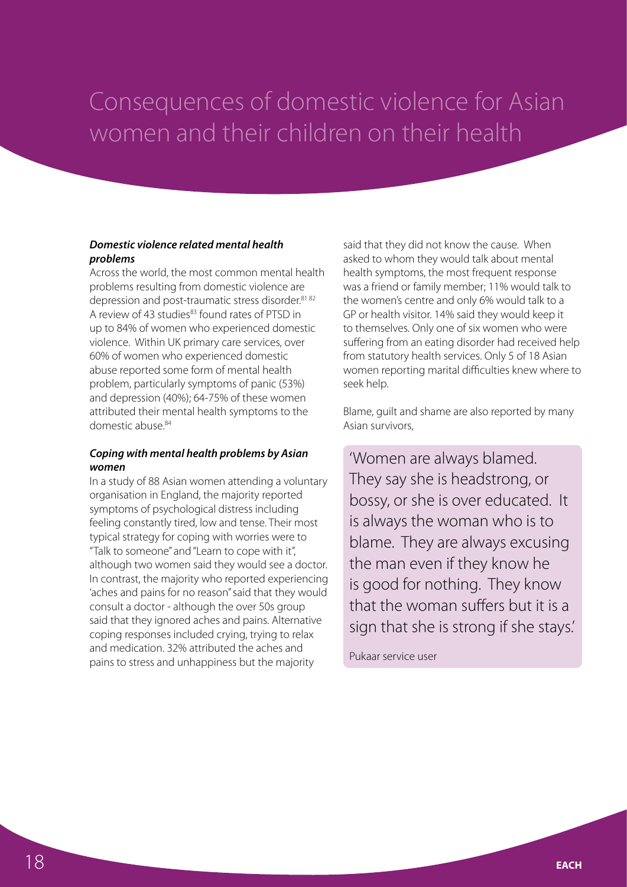### Consequences of domestic violence for Asian women and their children on their health

#### *Domestic violence related mental health problems*

Across the world, the most common mental health problems resulting from domestic violence are depression and post-traumatic stress disorder.<sup>81 82</sup> A review of 43 studies<sup>83</sup> found rates of PTSD in up to 84% of women who experienced domestic violence. Within UK primary care services, over 60% of women who experienced domestic abuse reported some form of mental health problem, particularly symptoms of panic (53%) and depression (40%); 64-75% of these women attributed their mental health symptoms to the domestic abuse.<sup>84</sup>

#### *Coping with mental health problems by Asian women*

In a study of 88 Asian women attending a voluntary organisation in England, the majority reported symptoms of psychological distress including feeling constantly tired, low and tense. Their most typical strategy for coping with worries were to "Talk to someone" and "Learn to cope with it", although two women said they would see a doctor. In contrast, the majority who reported experiencing 'aches and pains for no reason" said that they would consult a doctor - although the over 50s group said that they ignored aches and pains. Alternative coping responses included crying, trying to relax and medication. 32% attributed the aches and pains to stress and unhappiness but the majority

said that they did not know the cause. When asked to whom they would talk about mental health symptoms, the most frequent response was a friend or family member; 11% would talk to the women's centre and only 6% would talk to a GP or health visitor. 14% said they would keep it to themselves. Only one of six women who were suffering from an eating disorder had received help from statutory health services. Only 5 of 18 Asian women reporting marital difficulties knew where to seek help.

Blame, guilt and shame are also reported by many Asian survivors,

'Women are always blamed. They say she is headstrong, or bossy, or she is over educated. It is always the woman who is to blame. They are always excusing the man even if they know he is good for nothing. They know that the woman suffers but it is a sign that she is strong if she stays.'

Pukaar service user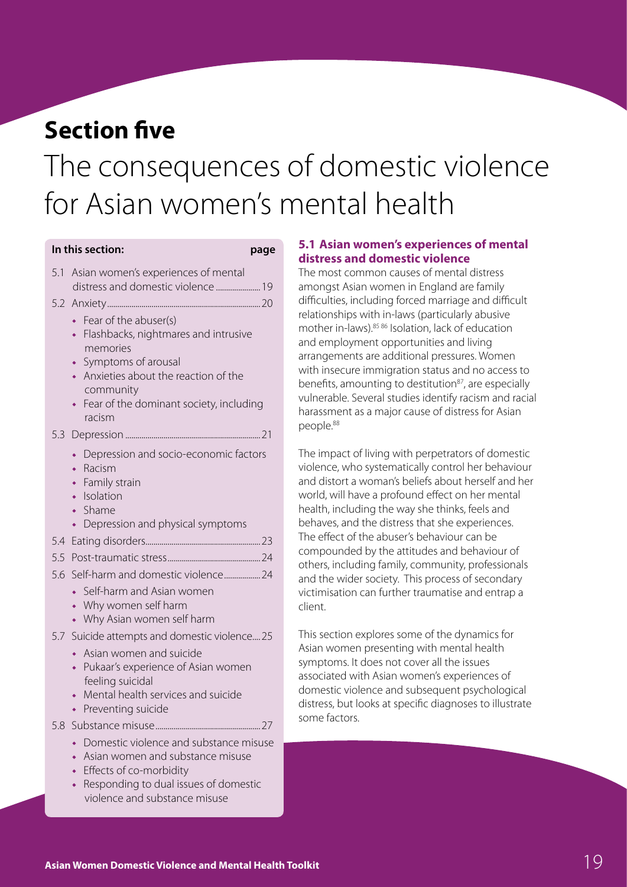### **Section five**

## The consequences of domestic violence for Asian women's mental health

### **In this section: page** 5.1 Asian women's experiences of mental distress and domestic violence ......................19 5.2 Anxiety............................................................................20 • Fear of the abuser(s) • Flashbacks, nightmares and intrusive memories • Symptoms of arousal • Anxieties about the reaction of the community • Fear of the dominant society, including racism 5.3 Depression ...................................................................21 • Depression and socio-economic factors • Racism • Family strain • Isolation • Shame • Depression and physical symptoms 5.4 Eating disorders.........................................................23 5.5 Post-traumatic stress..............................................24 5.6 Self-harm and domestic violence..................24 • Self-harm and Asian women • Why women self harm • Why Asian women self harm 5.7 Suicide attempts and domestic violence....25 • Asian women and suicide • Pukaar's experience of Asian women feeling suicidal • Mental health services and suicide • Preventing suicide 5.8 Substance misuse....................................................27 • Domestic violence and substance misuse • Asian women and substance misuse • Effects of co-morbidity

• Responding to dual issues of domestic violence and substance misuse

#### **5.1 Asian women's experiences of mental distress and domestic violence**

The most common causes of mental distress amongst Asian women in England are family difficulties, including forced marriage and difficult relationships with in-laws (particularly abusive mother in-laws).<sup>85 86</sup> Isolation, lack of education and employment opportunities and living arrangements are additional pressures. Women with insecure immigration status and no access to benefits, amounting to destitution<sup>87</sup>, are especially vulnerable. Several studies identify racism and racial harassment as a major cause of distress for Asian people.<sup>88</sup>

The impact of living with perpetrators of domestic violence, who systematically control her behaviour and distort a woman's beliefs about herself and her world, will have a profound effect on her mental health, including the way she thinks, feels and behaves, and the distress that she experiences. The effect of the abuser's behaviour can be compounded by the attitudes and behaviour of others, including family, community, professionals and the wider society. This process of secondary victimisation can further traumatise and entrap a client.

This section explores some of the dynamics for Asian women presenting with mental health symptoms. It does not cover all the issues associated with Asian women's experiences of domestic violence and subsequent psychological distress, but looks at specific diagnoses to illustrate some factors.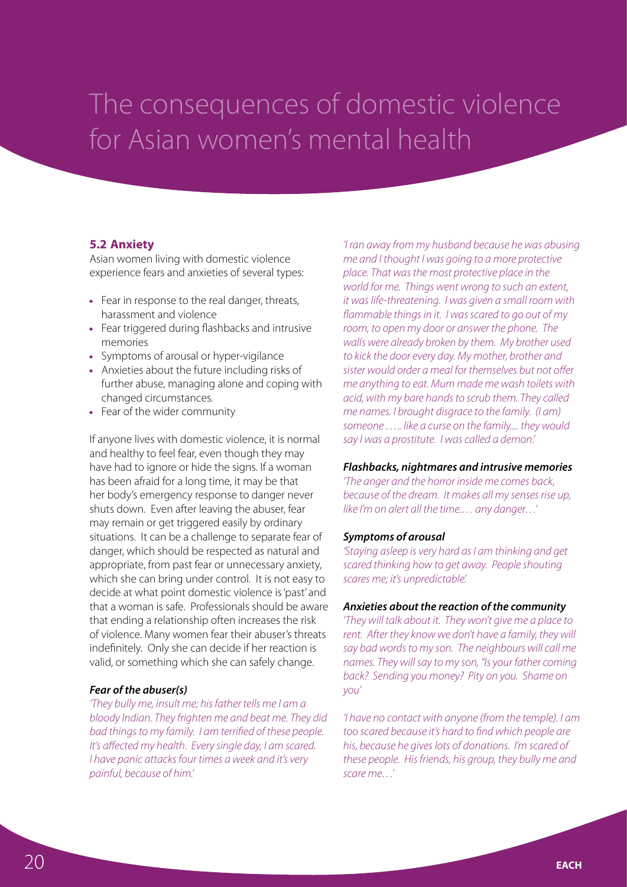### The consequences of domestic violence for Asian women's mental health

#### **5.2 Anxiety**

Asian women living with domestic violence experience fears and anxieties of several types:

- Fear in response to the real danger, threats, harassment and violence
- Fear triggered during flashbacks and intrusive memories
- Symptoms of arousal or hyper-vigilance
- Anxieties about the future including risks of further abuse, managing alone and coping with changed circumstances.
- Fear of the wider community

If anyone lives with domestic violence, it is normal and healthy to feel fear, even though they may have had to ignore or hide the signs. If a woman has been afraid for a long time, it may be that her body's emergency response to danger never shuts down. Even after leaving the abuser, fear may remain or get triggered easily by ordinary situations. It can be a challenge to separate fear of danger, which should be respected as natural and appropriate, from past fear or unnecessary anxiety, which she can bring under control. It is not easy to decide at what point domestic violence is 'past' and that a woman is safe. Professionals should be aware that ending a relationship often increases the risk of violence. Many women fear their abuser's threats indefinitely. Only she can decide if her reaction is valid, or something which she can safely change.

#### *Fear of the abuser(s)*

*'They bully me, insult me; his father tells me I am a bloody Indian. They frighten me and beat me. They did bad things to my family. I am terrified of these people. It's affected my health. Every single day, I am scared. I have panic attacks four times a week and it's very painful, because of him.'*

*'I ran away from my husband because he was abusing me and I thought I was going to a more protective place. That was the most protective place in the world for me. Things went wrong to such an extent, it was life-threatening. I was given a small room with flammable things in it. I was scared to go out of my room, to open my door or answer the phone. The walls were already broken by them. My brother used to kick the door every day. My mother, brother and sister would order a meal for themselves but not offer me anything to eat. Mum made me wash toilets with acid, with my bare hands to scrub them. They called me names. I brought disgrace to the family. (I am) someone ….. like a curse on the family.... they would say I was a prostitute. I was called a demon.'* 

#### *Flashbacks, nightmares and intrusive memories*

*'The anger and the horror inside me comes back, because of the dream. It makes all my senses rise up, like I'm on alert all the time.… any danger…'* 

#### *Symptoms of arousal*

*'Staying asleep is very hard as I am thinking and get scared thinking how to get away. People shouting scares me; it's unpredictable'.*

#### *Anxieties about the reaction of the community*

*'They will talk about it. They won't give me a place to rent. After they know we don't have a family, they will say bad words to my son. The neighbours will call me names. They will say to my son, "Is your father coming back? Sending you money? Pity on you. Shame on you'* 

*'I have no contact with anyone (from the temple). I am too scared because it's hard to find which people are his, because he gives lots of donations. I'm scared of these people. His friends, his group, they bully me and scare me…'*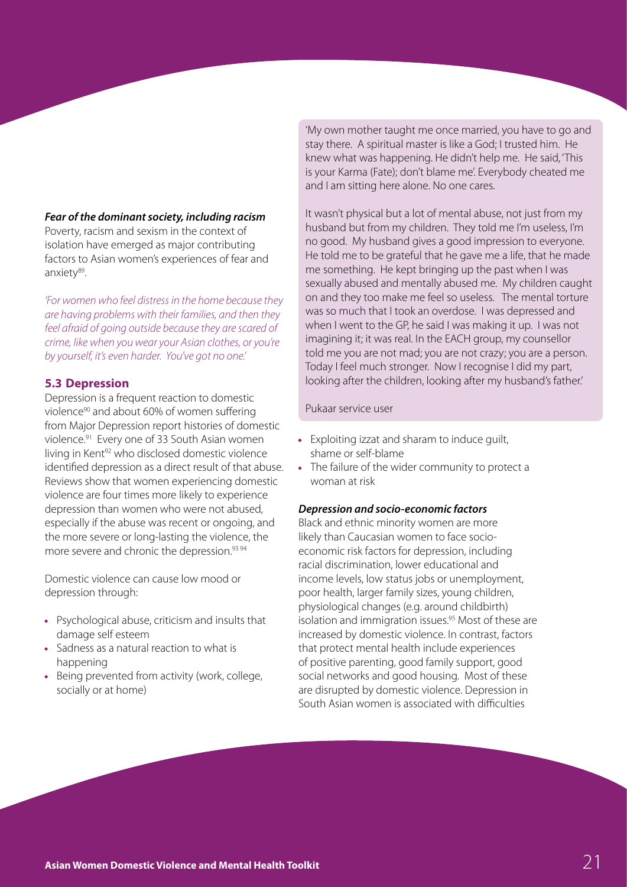#### *Fear of the dominant society, including racism*

Poverty, racism and sexism in the context of isolation have emerged as major contributing factors to Asian women's experiences of fear and anxiety89.

*'For women who feel distress in the home because they are having problems with their families, and then they feel afraid of going outside because they are scared of crime, like when you wear your Asian clothes, or you're by yourself, it's even harder. You've got no one.'* 

#### **5.3 Depression**

Depression is a frequent reaction to domestic violence90 and about 60% of women suffering from Major Depression report histories of domestic violence.91 Every one of 33 South Asian women living in Kent<sup>92</sup> who disclosed domestic violence identified depression as a direct result of that abuse. Reviews show that women experiencing domestic violence are four times more likely to experience depression than women who were not abused, especially if the abuse was recent or ongoing, and the more severe or long-lasting the violence, the more severe and chronic the depression.<sup>93,94</sup>

Domestic violence can cause low mood or depression through:

- Psychological abuse, criticism and insults that damage self esteem
- Sadness as a natural reaction to what is happening
- Being prevented from activity (work, college, socially or at home)

'My own mother taught me once married, you have to go and stay there. A spiritual master is like a God; I trusted him. He knew what was happening. He didn't help me. He said, 'This is your Karma (Fate); don't blame me'. Everybody cheated me and I am sitting here alone. No one cares.

It wasn't physical but a lot of mental abuse, not just from my husband but from my children. They told me I'm useless, I'm no good. My husband gives a good impression to everyone. He told me to be grateful that he gave me a life, that he made me something. He kept bringing up the past when I was sexually abused and mentally abused me. My children caught on and they too make me feel so useless. The mental torture was so much that I took an overdose. I was depressed and when I went to the GP, he said I was making it up. I was not imagining it; it was real. In the EACH group, my counsellor told me you are not mad; you are not crazy; you are a person. Today I feel much stronger. Now I recognise I did my part, looking after the children, looking after my husband's father.'

#### Pukaar service user

- Exploiting izzat and sharam to induce quilt, shame or self-blame
- The failure of the wider community to protect a woman at risk

#### *Depression and socio-economic factors*

Black and ethnic minority women are more likely than Caucasian women to face socioeconomic risk factors for depression, including racial discrimination, lower educational and income levels, low status jobs or unemployment, poor health, larger family sizes, young children, physiological changes (e.g. around childbirth) isolation and immigration issues.<sup>95</sup> Most of these are increased by domestic violence. In contrast, factors that protect mental health include experiences of positive parenting, good family support, good social networks and good housing. Most of these are disrupted by domestic violence. Depression in South Asian women is associated with difficulties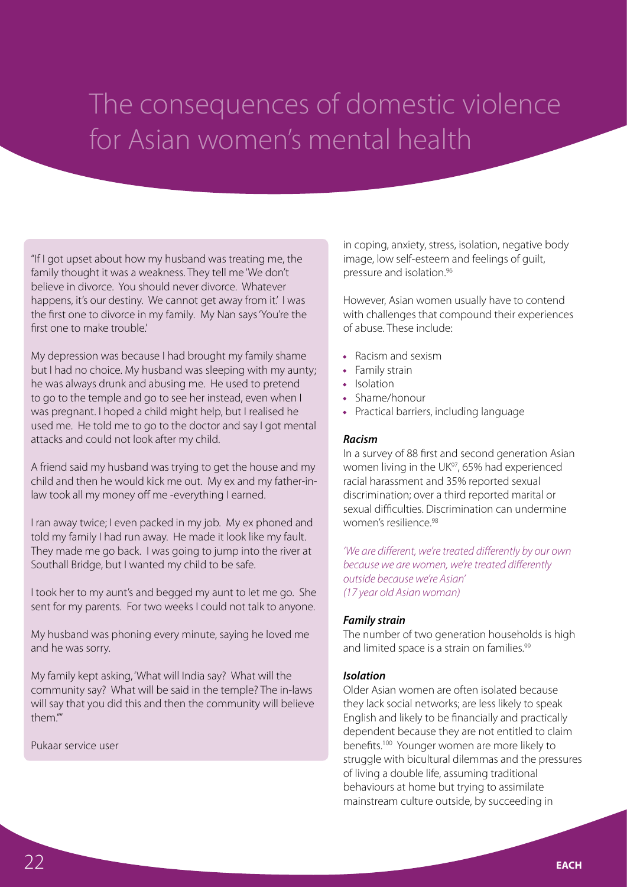### The consequences of domestic violence for Asian women's mental health

"If I got upset about how my husband was treating me, the family thought it was a weakness. They tell me 'We don't believe in divorce. You should never divorce. Whatever happens, it's our destiny. We cannot get away from it.' I was the first one to divorce in my family. My Nan says 'You're the first one to make trouble.'

My depression was because I had brought my family shame but I had no choice. My husband was sleeping with my aunty; he was always drunk and abusing me. He used to pretend to go to the temple and go to see her instead, even when I was pregnant. I hoped a child might help, but I realised he used me. He told me to go to the doctor and say I got mental attacks and could not look after my child.

A friend said my husband was trying to get the house and my child and then he would kick me out. My ex and my father-inlaw took all my money off me -everything I earned.

I ran away twice; I even packed in my job. My ex phoned and told my family I had run away. He made it look like my fault. They made me go back. I was going to jump into the river at Southall Bridge, but I wanted my child to be safe.

I took her to my aunt's and begged my aunt to let me go. She sent for my parents. For two weeks I could not talk to anyone.

My husband was phoning every minute, saying he loved me and he was sorry.

My family kept asking, 'What will India say? What will the community say? What will be said in the temple? The in-laws will say that you did this and then the community will believe them.''"

Pukaar service user

in coping, anxiety, stress, isolation, negative body image, low self-esteem and feelings of guilt, pressure and isolation.96

However, Asian women usually have to contend with challenges that compound their experiences of abuse. These include:

- • Racism and sexism
- Family strain
- Isolation
- Shame/honour
- Practical barriers, including language

#### *Racism*

In a survey of 88 first and second generation Asian women living in the UK<sup>97</sup>, 65% had experienced racial harassment and 35% reported sexual discrimination; over a third reported marital or sexual difficulties. Discrimination can undermine women's resilience<sup>98</sup>

*'We are different, we're treated differently by our own because we are women, we're treated differently outside because we're Asian' (17 year old Asian woman)*

#### *Family strain*

The number of two generation households is high and limited space is a strain on families.<sup>99</sup>

#### *Isolation*

Older Asian women are often isolated because they lack social networks; are less likely to speak English and likely to be financially and practically dependent because they are not entitled to claim benefits.100 Younger women are more likely to struggle with bicultural dilemmas and the pressures of living a double life, assuming traditional behaviours at home but trying to assimilate mainstream culture outside, by succeeding in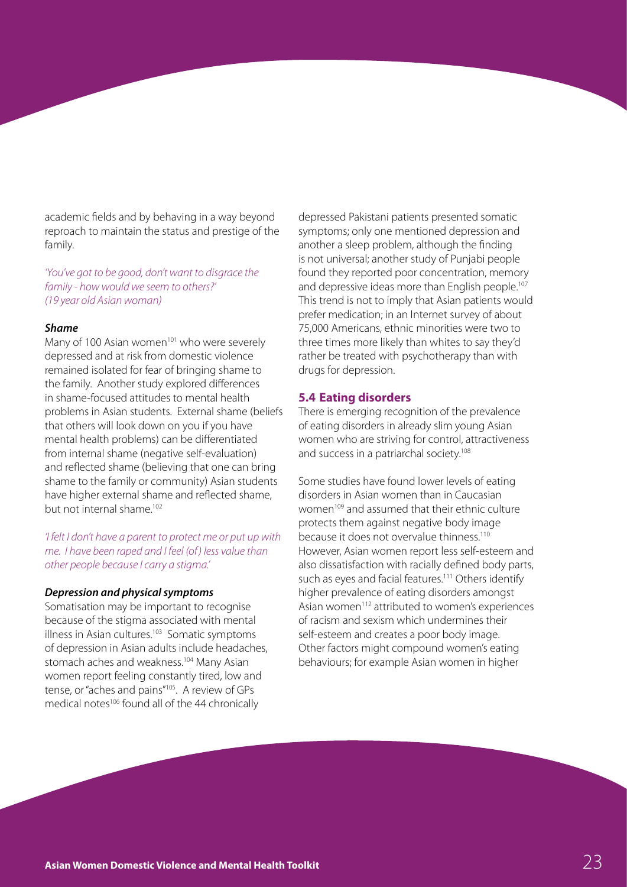academic fields and by behaving in a way beyond reproach to maintain the status and prestige of the family.

*'You've got to be good, don't want to disgrace the family - how would we seem to others?' (19 year old Asian woman)*

#### *Shame*

Many of 100 Asian women<sup>101</sup> who were severely depressed and at risk from domestic violence remained isolated for fear of bringing shame to the family. Another study explored differences in shame-focused attitudes to mental health problems in Asian students. External shame (beliefs that others will look down on you if you have mental health problems) can be differentiated from internal shame (negative self-evaluation) and reflected shame (believing that one can bring shame to the family or community) Asian students have higher external shame and reflected shame, but not internal shame.102

*'I felt I don't have a parent to protect me or put up with me. I have been raped and I feel (of ) less value than other people because I carry a stigma.'*

#### *Depression and physical symptoms*

Somatisation may be important to recognise because of the stigma associated with mental illness in Asian cultures.103 Somatic symptoms of depression in Asian adults include headaches, stomach aches and weakness.<sup>104</sup> Many Asian women report feeling constantly tired, low and tense, or "aches and pains"105. A review of GPs medical notes<sup>106</sup> found all of the 44 chronically

depressed Pakistani patients presented somatic symptoms; only one mentioned depression and another a sleep problem, although the finding is not universal; another study of Punjabi people found they reported poor concentration, memory and depressive ideas more than English people.<sup>107</sup> This trend is not to imply that Asian patients would prefer medication; in an Internet survey of about 75,000 Americans, ethnic minorities were two to three times more likely than whites to say they'd rather be treated with psychotherapy than with drugs for depression.

#### **5.4 Eating disorders**

There is emerging recognition of the prevalence of eating disorders in already slim young Asian women who are striving for control, attractiveness and success in a patriarchal society.<sup>108</sup>

Some studies have found lower levels of eating disorders in Asian women than in Caucasian women<sup>109</sup> and assumed that their ethnic culture protects them against negative body image because it does not overvalue thinness.<sup>110</sup> However, Asian women report less self-esteem and also dissatisfaction with racially defined body parts, such as eyes and facial features.<sup>111</sup> Others identify higher prevalence of eating disorders amongst Asian women112 attributed to women's experiences of racism and sexism which undermines their self-esteem and creates a poor body image. Other factors might compound women's eating behaviours; for example Asian women in higher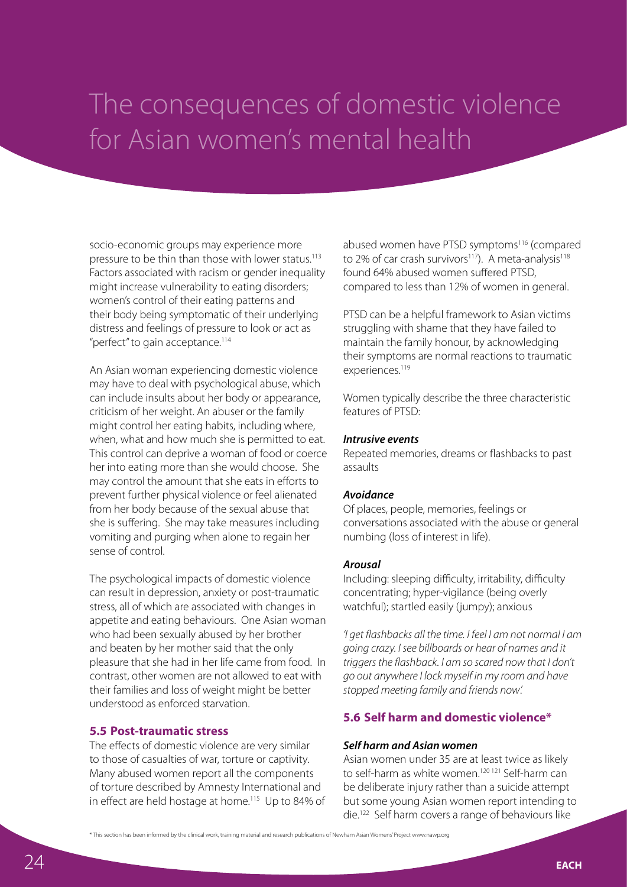### The consequences of domestic violence for Asian women's mental health

socio-economic groups may experience more pressure to be thin than those with lower status.<sup>113</sup> Factors associated with racism or gender inequality might increase vulnerability to eating disorders; women's control of their eating patterns and their body being symptomatic of their underlying distress and feelings of pressure to look or act as "perfect" to gain acceptance.<sup>114</sup>

An Asian woman experiencing domestic violence may have to deal with psychological abuse, which can include insults about her body or appearance, criticism of her weight. An abuser or the family might control her eating habits, including where, when, what and how much she is permitted to eat. This control can deprive a woman of food or coerce her into eating more than she would choose. She may control the amount that she eats in efforts to prevent further physical violence or feel alienated from her body because of the sexual abuse that she is suffering. She may take measures including vomiting and purging when alone to regain her sense of control.

The psychological impacts of domestic violence can result in depression, anxiety or post-traumatic stress, all of which are associated with changes in appetite and eating behaviours. One Asian woman who had been sexually abused by her brother and beaten by her mother said that the only pleasure that she had in her life came from food. In contrast, other women are not allowed to eat with their families and loss of weight might be better understood as enforced starvation.

#### **5.5 Post-traumatic stress**

The effects of domestic violence are very similar to those of casualties of war, torture or captivity. Many abused women report all the components of torture described by Amnesty International and in effect are held hostage at home.<sup>115</sup> Up to 84% of abused women have PTSD symptoms<sup>116</sup> (compared to 2% of car crash survivors<sup>117</sup>). A meta-analysis<sup>118</sup> found 64% abused women suffered PTSD, compared to less than 12% of women in general.

PTSD can be a helpful framework to Asian victims struggling with shame that they have failed to maintain the family honour, by acknowledging their symptoms are normal reactions to traumatic experiences.<sup>119</sup>

Women typically describe the three characteristic features of PTSD:

#### *Intrusive events*

Repeated memories, dreams or flashbacks to past assaults

#### *Avoidance*

Of places, people, memories, feelings or conversations associated with the abuse or general numbing (loss of interest in life).

#### *Arousal*

Including: sleeping difficulty, irritability, difficulty concentrating; hyper-vigilance (being overly watchful); startled easily (jumpy); anxious

*'I get flashbacks all the time. I feel I am not normal I am going crazy. I see billboards or hear of names and it triggers the flashback. I am so scared now that I don't go out anywhere I lock myself in my room and have stopped meeting family and friends now'.*

### **5.6 Self harm and domestic violence\***

#### *Self harm and Asian women*

Asian women under 35 are at least twice as likely to self-harm as white women.<sup>120 121</sup> Self-harm can be deliberate injury rather than a suicide attempt but some young Asian women report intending to die.122 Self harm covers a range of behaviours like

\* This section has been informed by the clinical work, training material and research publications of Newham Asian Womens' Project www.nawp.org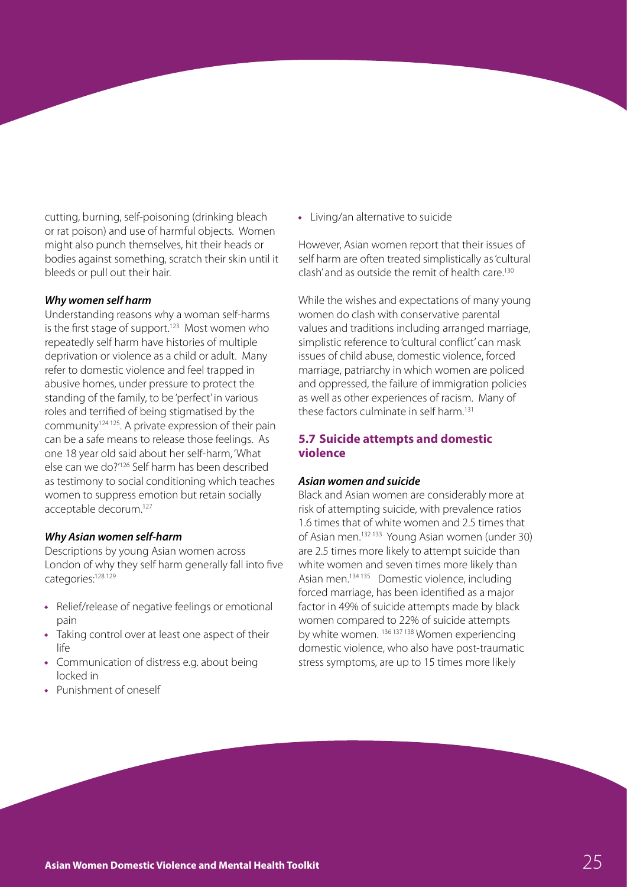cutting, burning, self-poisoning (drinking bleach or rat poison) and use of harmful objects. Women might also punch themselves, hit their heads or bodies against something, scratch their skin until it bleeds or pull out their hair.

#### *Why women self harm*

Understanding reasons why a woman self-harms is the first stage of support.<sup>123</sup> Most women who repeatedly self harm have histories of multiple deprivation or violence as a child or adult. Many refer to domestic violence and feel trapped in abusive homes, under pressure to protect the standing of the family, to be 'perfect' in various roles and terrified of being stigmatised by the community<sup>124 125</sup>. A private expression of their pain can be a safe means to release those feelings. As one 18 year old said about her self-harm, 'What else can we do?'126 Self harm has been described as testimony to social conditioning which teaches women to suppress emotion but retain socially acceptable decorum.127

#### *Why Asian women self-harm*

Descriptions by young Asian women across London of why they self harm generally fall into five categories:<sup>128 129</sup>

- Relief/release of negative feelings or emotional pain
- Taking control over at least one aspect of their life
- Communication of distress e.g. about being locked in
- • Punishment of oneself

• Living/an alternative to suicide

However, Asian women report that their issues of self harm are often treated simplistically as 'cultural clash' and as outside the remit of health care.130

While the wishes and expectations of many young women do clash with conservative parental values and traditions including arranged marriage, simplistic reference to 'cultural conflict' can mask issues of child abuse, domestic violence, forced marriage, patriarchy in which women are policed and oppressed, the failure of immigration policies as well as other experiences of racism. Many of these factors culminate in self harm.<sup>131</sup>

#### **5.7 Suicide attempts and domestic violence**

#### *Asian women and suicide*

Black and Asian women are considerably more at risk of attempting suicide, with prevalence ratios 1.6 times that of white women and 2.5 times that of Asian men.<sup>132 133</sup> Young Asian women (under 30) are 2.5 times more likely to attempt suicide than white women and seven times more likely than Asian men.134 135 Domestic violence, including forced marriage, has been identified as a major factor in 49% of suicide attempts made by black women compared to 22% of suicide attempts by white women. 136 137 138 Women experiencing domestic violence, who also have post-traumatic stress symptoms, are up to 15 times more likely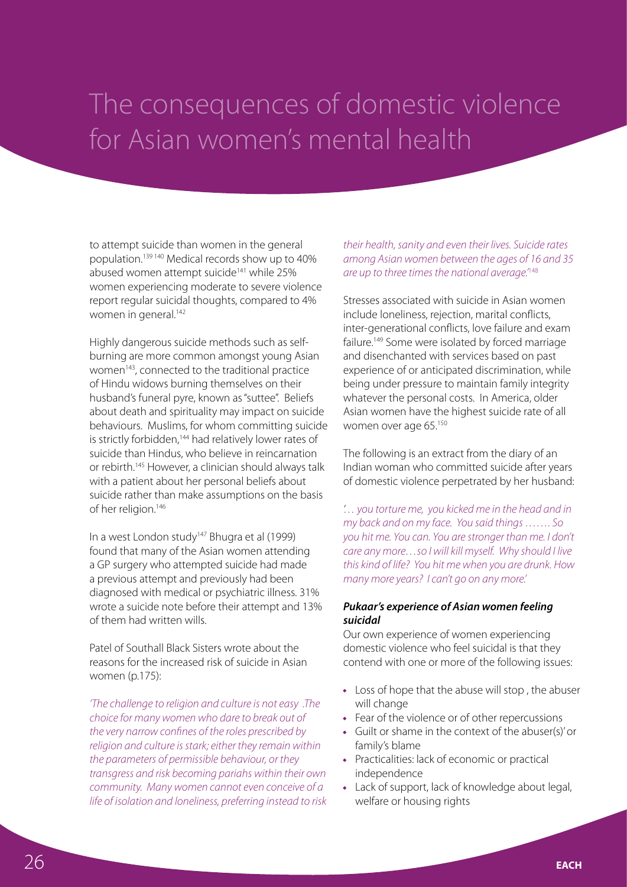### The consequences of domestic violence for Asian women's mental health

to attempt suicide than women in the general population.139 140 Medical records show up to 40% abused women attempt suicide<sup>141</sup> while 25% women experiencing moderate to severe violence report regular suicidal thoughts, compared to 4% women in general.<sup>142</sup>

Highly dangerous suicide methods such as selfburning are more common amongst young Asian women143, connected to the traditional practice of Hindu widows burning themselves on their husband's funeral pyre, known as "suttee". Beliefs about death and spirituality may impact on suicide behaviours. Muslims, for whom committing suicide is strictly forbidden,<sup>144</sup> had relatively lower rates of suicide than Hindus, who believe in reincarnation or rebirth.<sup>145</sup> However, a clinician should always talk with a patient about her personal beliefs about suicide rather than make assumptions on the basis of her religion.<sup>146</sup>

In a west London study<sup>147</sup> Bhugra et al (1999) found that many of the Asian women attending a GP surgery who attempted suicide had made a previous attempt and previously had been diagnosed with medical or psychiatric illness. 31% wrote a suicide note before their attempt and 13% of them had written wills.

Patel of Southall Black Sisters wrote about the reasons for the increased risk of suicide in Asian women (p.175):

*'The challenge to religion and culture is not easy .The choice for many women who dare to break out of the very narrow confines of the roles prescribed by religion and culture is stark; either they remain within the parameters of permissible behaviour, or they transgress and risk becoming pariahs within their own community. Many women cannot even conceive of a life of isolation and loneliness, preferring instead to risk* 

#### *their health, sanity and even their lives. Suicide rates among Asian women between the ages of 16 and 35 are up to three times the national average.'*148

Stresses associated with suicide in Asian women include loneliness, rejection, marital conflicts, inter-generational conflicts, love failure and exam failure.149 Some were isolated by forced marriage and disenchanted with services based on past experience of or anticipated discrimination, while being under pressure to maintain family integrity whatever the personal costs. In America, older Asian women have the highest suicide rate of all women over age 65.150

The following is an extract from the diary of an Indian woman who committed suicide after years of domestic violence perpetrated by her husband:

*'… you torture me, you kicked me in the head and in my back and on my face. You said things ……. So you hit me. You can. You are stronger than me. I don't care any more…so I will kill myself. Why should I live this kind of life? You hit me when you are drunk. How many more years? I can't go on any more.'*

#### *Pukaar's experience of Asian women feeling suicidal*

Our own experience of women experiencing domestic violence who feel suicidal is that they contend with one or more of the following issues:

- Loss of hope that the abuse will stop, the abuser will change
- Fear of the violence or of other repercussions
- • Guilt or shame in the context of the abuser(s)' or family's blame
- Practicalities: lack of economic or practical independence
- Lack of support, lack of knowledge about legal, welfare or housing rights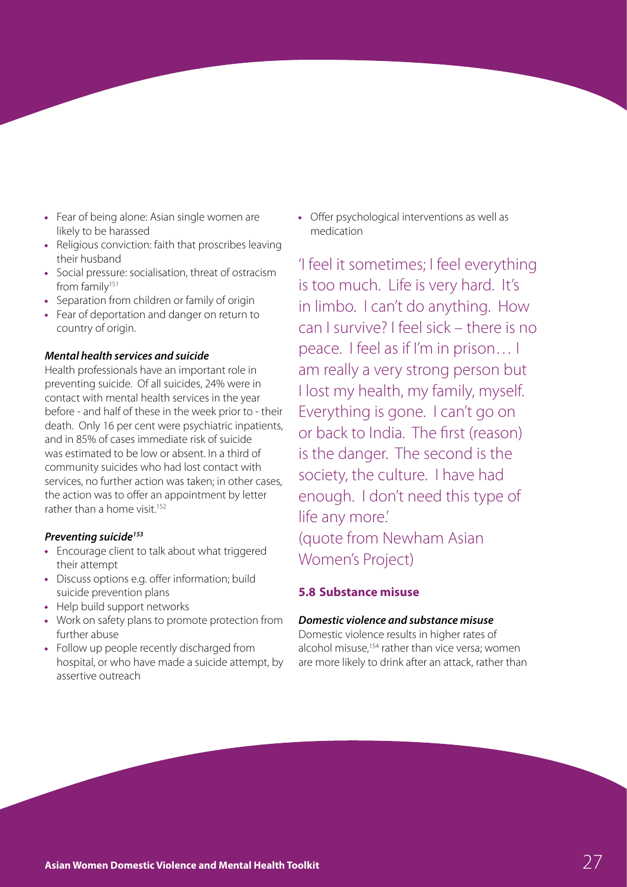- Fear of being alone: Asian single women are likely to be harassed
- Religious conviction: faith that proscribes leaving their husband
- Social pressure: socialisation, threat of ostracism from family<sup>151</sup>
- Separation from children or family of origin
- Fear of deportation and danger on return to country of origin.

#### *Mental health services and suicide*

Health professionals have an important role in preventing suicide. Of all suicides, 24% were in contact with mental health services in the year before - and half of these in the week prior to - their death. Only 16 per cent were psychiatric inpatients, and in 85% of cases immediate risk of suicide was estimated to be low or absent. In a third of community suicides who had lost contact with services, no further action was taken; in other cases, the action was to offer an appointment by letter rather than a home visit.<sup>152</sup>

#### *Preventing suicide153*

- Encourage client to talk about what triggered their attempt
- Discuss options e.g. offer information; build suicide prevention plans
- Help build support networks
- Work on safety plans to promote protection from further abuse
- Follow up people recently discharged from hospital, or who have made a suicide attempt, by assertive outreach

• Offer psychological interventions as well as medication

'I feel it sometimes; I feel everything is too much. Life is very hard. It's in limbo. I can't do anything. How can I survive? I feel sick – there is no peace. I feel as if I'm in prison… I am really a very strong person but I lost my health, my family, myself. Everything is gone. I can't go on or back to India. The first (reason) is the danger. The second is the society, the culture. I have had enough. I don't need this type of life any more.' (quote from Newham Asian Women's Project)

#### **5.8 Substance misuse**

#### *Domestic violence and substance misuse*

Domestic violence results in higher rates of alcohol misuse,<sup>154</sup> rather than vice versa; women are more likely to drink after an attack, rather than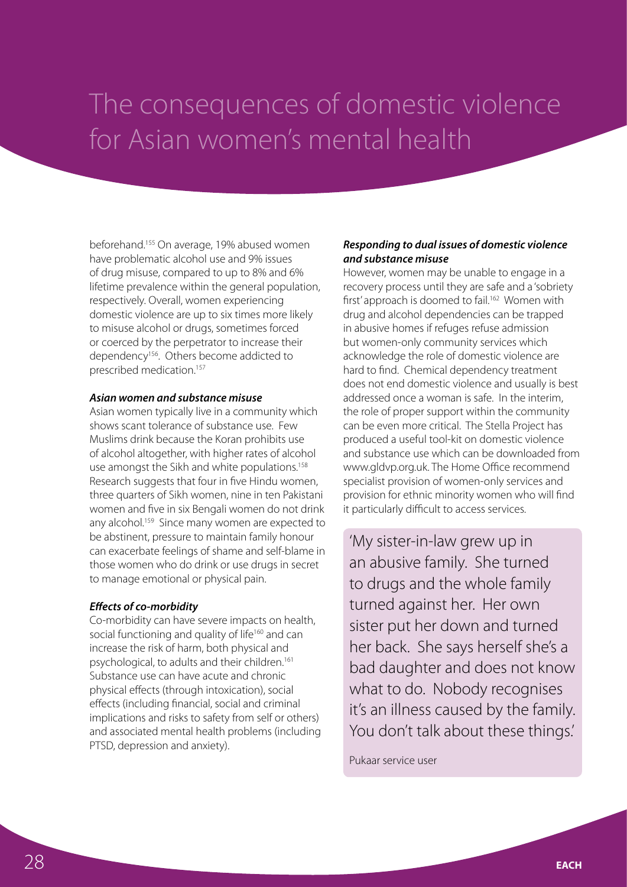### The consequences of domestic violence for Asian women's mental health

beforehand.155 On average, 19% abused women have problematic alcohol use and 9% issues of drug misuse, compared to up to 8% and 6% lifetime prevalence within the general population, respectively. Overall, women experiencing domestic violence are up to six times more likely to misuse alcohol or drugs, sometimes forced or coerced by the perpetrator to increase their dependency<sup>156</sup>. Others become addicted to prescribed medication.157

#### *Asian women and substance misuse*

Asian women typically live in a community which shows scant tolerance of substance use. Few Muslims drink because the Koran prohibits use of alcohol altogether, with higher rates of alcohol use amongst the Sikh and white populations.<sup>158</sup> Research suggests that four in five Hindu women, three quarters of Sikh women, nine in ten Pakistani women and five in six Bengali women do not drink any alcohol.<sup>159</sup> Since many women are expected to be abstinent, pressure to maintain family honour can exacerbate feelings of shame and self-blame in those women who do drink or use drugs in secret to manage emotional or physical pain.

#### *Effects of co-morbidity*

Co-morbidity can have severe impacts on health, social functioning and quality of life<sup>160</sup> and can increase the risk of harm, both physical and psychological, to adults and their children.161 Substance use can have acute and chronic physical effects (through intoxication), social effects (including financial, social and criminal implications and risks to safety from self or others) and associated mental health problems (including PTSD, depression and anxiety).

#### *Responding to dual issues of domestic violence and substance misuse*

However, women may be unable to engage in a recovery process until they are safe and a 'sobriety first' approach is doomed to fail.<sup>162</sup> Women with drug and alcohol dependencies can be trapped in abusive homes if refuges refuse admission but women-only community services which acknowledge the role of domestic violence are hard to find. Chemical dependency treatment does not end domestic violence and usually is best addressed once a woman is safe. In the interim, the role of proper support within the community can be even more critical. The Stella Project has produced a useful tool-kit on domestic violence and substance use which can be downloaded from www.gldvp.org.uk. The Home Office recommend specialist provision of women-only services and provision for ethnic minority women who will find it particularly difficult to access services.

'My sister-in-law grew up in an abusive family. She turned to drugs and the whole family turned against her. Her own sister put her down and turned her back. She says herself she's a bad daughter and does not know what to do. Nobody recognises it's an illness caused by the family. You don't talk about these things.'

Pukaar service user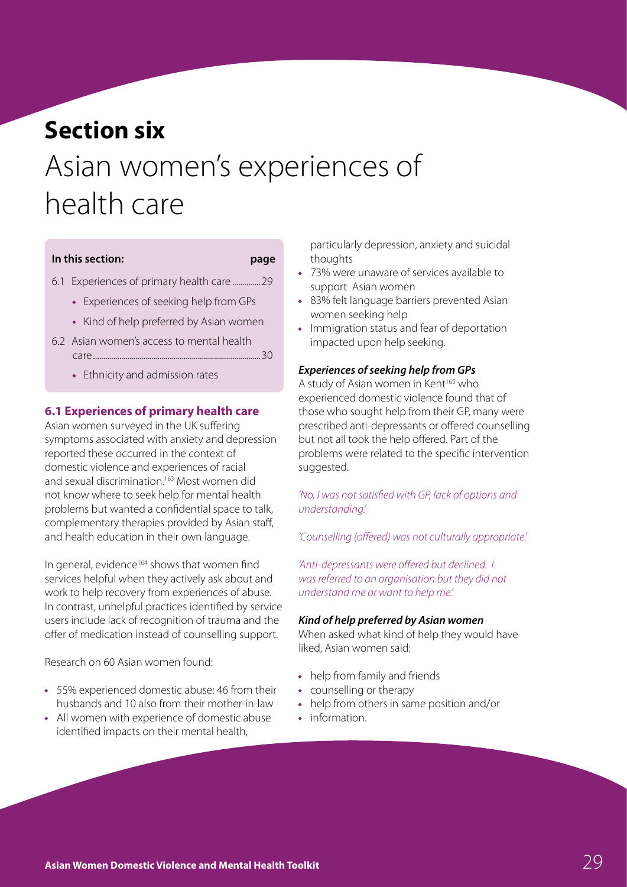## **Section six**  Asian women's experiences of health care

#### **In this section: page**

- 6.1 Experiences of primary health care..............29
	- Experiences of seeking help from GPs
	- Kind of help preferred by Asian women
- 6.2 Asian women's access to mental health care...................................................................................30
	- Ethnicity and admission rates

#### **6.1 Experiences of primary health care**

Asian women surveyed in the UK suffering symptoms associated with anxiety and depression reported these occurred in the context of domestic violence and experiences of racial and sexual discrimination.163 Most women did not know where to seek help for mental health problems but wanted a confidential space to talk, complementary therapies provided by Asian staff, and health education in their own language.

In general, evidence<sup>164</sup> shows that women find services helpful when they actively ask about and work to help recovery from experiences of abuse. In contrast, unhelpful practices identified by service users include lack of recognition of trauma and the offer of medication instead of counselling support.

Research on 60 Asian women found:

- 55% experienced domestic abuse: 46 from their husbands and 10 also from their mother-in-law
- All women with experience of domestic abuse identified impacts on their mental health,

particularly depression, anxiety and suicidal thoughts

- 73% were unaware of services available to support Asian women
- 83% felt language barriers prevented Asian women seeking help
- Immigration status and fear of deportation impacted upon help seeking.

#### *Experiences of seeking help from GPs*

A study of Asian women in Kent<sup>165</sup> who experienced domestic violence found that of those who sought help from their GP, many were prescribed anti-depressants or offered counselling but not all took the help offered. Part of the problems were related to the specific intervention suggested.

#### *'No, I was not satisfied with GP, lack of options and understanding.'*

#### *'Counselling (offered) was not culturally appropriate.'*

*'Anti-depressants were offered but declined. I was referred to an organisation but they did not understand me or want to help me.'* 

#### *Kind of help preferred by Asian women*

When asked what kind of help they would have liked, Asian women said:

- help from family and friends
- counselling or therapy
- help from others in same position and/or
- information.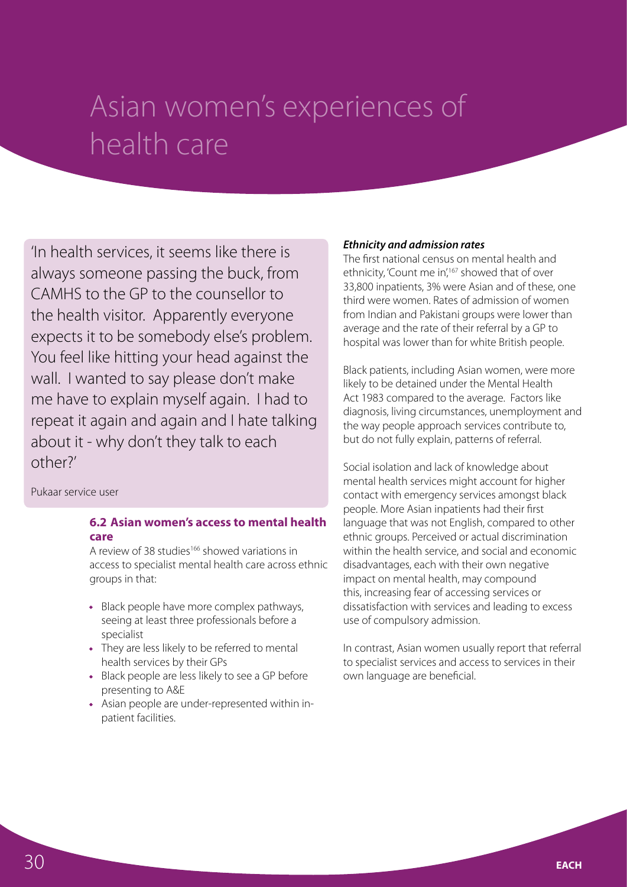# Asian women's experiences of health care

'In health services, it seems like there is always someone passing the buck, from CAMHS to the GP to the counsellor to the health visitor. Apparently everyone expects it to be somebody else's problem. You feel like hitting your head against the wall. I wanted to say please don't make me have to explain myself again. I had to repeat it again and again and I hate talking about it - why don't they talk to each other?'

Pukaar service user

#### **6.2 Asian women's access to mental health care**

A review of 38 studies<sup>166</sup> showed variations in access to specialist mental health care across ethnic groups in that:

- Black people have more complex pathways, seeing at least three professionals before a specialist
- They are less likely to be referred to mental health services by their GPs
- Black people are less likely to see a GP before presenting to A&E
- Asian people are under-represented within inpatient facilities.

#### *Ethnicity and admission rates*

The first national census on mental health and ethnicity, 'Count me in',<sup>167</sup> showed that of over 33,800 inpatients, 3% were Asian and of these, one third were women. Rates of admission of women from Indian and Pakistani groups were lower than average and the rate of their referral by a GP to hospital was lower than for white British people.

Black patients, including Asian women, were more likely to be detained under the Mental Health Act 1983 compared to the average. Factors like diagnosis, living circumstances, unemployment and the way people approach services contribute to, but do not fully explain, patterns of referral.

Social isolation and lack of knowledge about mental health services might account for higher contact with emergency services amongst black people. More Asian inpatients had their first language that was not English, compared to other ethnic groups. Perceived or actual discrimination within the health service, and social and economic disadvantages, each with their own negative impact on mental health, may compound this, increasing fear of accessing services or dissatisfaction with services and leading to excess use of compulsory admission.

In contrast, Asian women usually report that referral to specialist services and access to services in their own language are beneficial.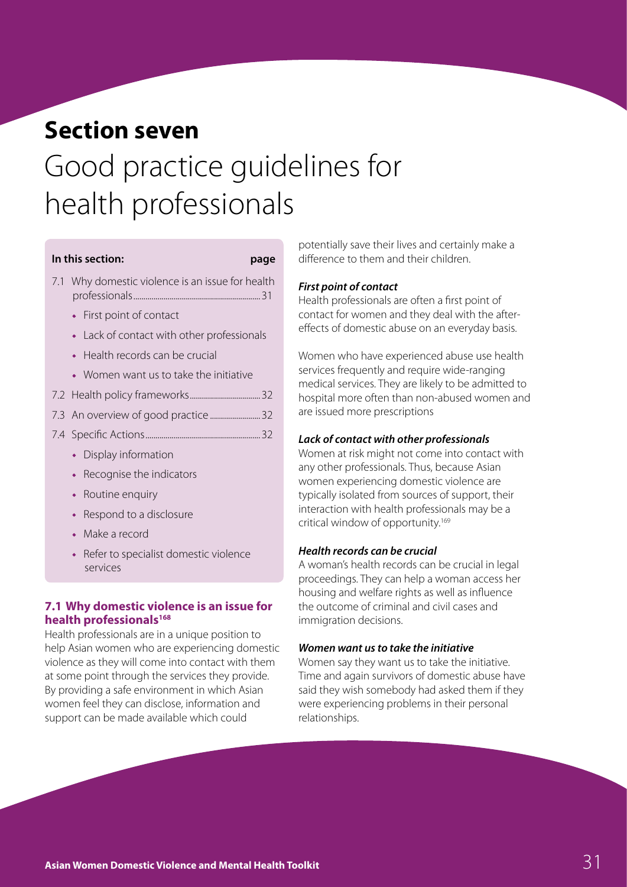### **Section seven**

## Good practice guidelines for health professionals

#### **In this section: page**

- 7.1 Why domestic violence is an issue for health professionals...............................................................31
	- First point of contact
	- Lack of contact with other professionals
	- Health records can be crucial
	- • Women want us to take the initiative
- 7.2 Health policy frameworks...................................32
- 7.3 An overview of good practice ...............................32
- 7.4 Specific Actions.........................................................32
	- Display information
	- Recognise the indicators
	- Routine enquiry
	- Respond to a disclosure
	- Make a record
	- Refer to specialist domestic violence services

#### **7.1 Why domestic violence is an issue for health professionals<sup>168</sup>**

Health professionals are in a unique position to help Asian women who are experiencing domestic violence as they will come into contact with them at some point through the services they provide. By providing a safe environment in which Asian women feel they can disclose, information and support can be made available which could

potentially save their lives and certainly make a difference to them and their children.

#### *First point of contact*

Health professionals are often a first point of contact for women and they deal with the aftereffects of domestic abuse on an everyday basis.

Women who have experienced abuse use health services frequently and require wide-ranging medical services. They are likely to be admitted to hospital more often than non-abused women and are issued more prescriptions

#### *Lack of contact with other professionals*

Women at risk might not come into contact with any other professionals. Thus, because Asian women experiencing domestic violence are typically isolated from sources of support, their interaction with health professionals may be a critical window of opportunity.<sup>169</sup>

#### *Health records can be crucial*

A woman's health records can be crucial in legal proceedings. They can help a woman access her housing and welfare rights as well as influence the outcome of criminal and civil cases and immigration decisions.

#### *Women want us to take the initiative*

Women say they want us to take the initiative. Time and again survivors of domestic abuse have said they wish somebody had asked them if they were experiencing problems in their personal relationships.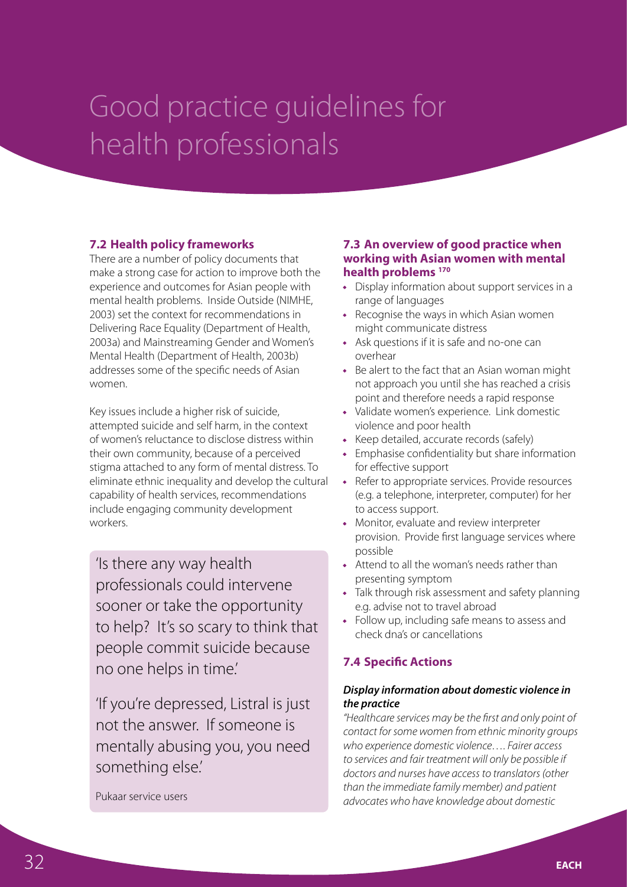# Good practice guidelines for health professionals

#### **7.2 Health policy frameworks**

There are a number of policy documents that make a strong case for action to improve both the experience and outcomes for Asian people with mental health problems. Inside Outside (NIMHE, 2003) set the context for recommendations in Delivering Race Equality (Department of Health, 2003a) and Mainstreaming Gender and Women's Mental Health (Department of Health, 2003b) addresses some of the specific needs of Asian women.

Key issues include a higher risk of suicide, attempted suicide and self harm, in the context of women's reluctance to disclose distress within their own community, because of a perceived stigma attached to any form of mental distress. To eliminate ethnic inequality and develop the cultural capability of health services, recommendations include engaging community development workers.

'Is there any way health professionals could intervene sooner or take the opportunity to help? It's so scary to think that people commit suicide because no one helps in time.'

'If you're depressed, Listral is just not the answer. If someone is mentally abusing you, you need something else.'

Pukaar service users

#### **7.3 An overview of good practice when working with Asian women with mental health problems 170**

- Display information about support services in a range of languages
- Recognise the ways in which Asian women might communicate distress
- Ask questions if it is safe and no-one can overhear
- Be alert to the fact that an Asian woman might not approach you until she has reached a crisis point and therefore needs a rapid response
- Validate women's experience. Link domestic violence and poor health
- Keep detailed, accurate records (safely)
- Emphasise confidentiality but share information for effective support
- Refer to appropriate services. Provide resources (e.g. a telephone, interpreter, computer) for her to access support.
- Monitor, evaluate and review interpreter provision. Provide first language services where possible
- Attend to all the woman's needs rather than presenting symptom
- Talk through risk assessment and safety planning e.g. advise not to travel abroad
- Follow up, including safe means to assess and check dna's or cancellations

### **7.4 Specific Actions**

#### *Display information about domestic violence in the practice*

*"Healthcare services may be the first and only point of contact for some women from ethnic minority groups who experience domestic violence…. Fairer access to services and fair treatment will only be possible if doctors and nurses have access to translators (other than the immediate family member) and patient advocates who have knowledge about domestic*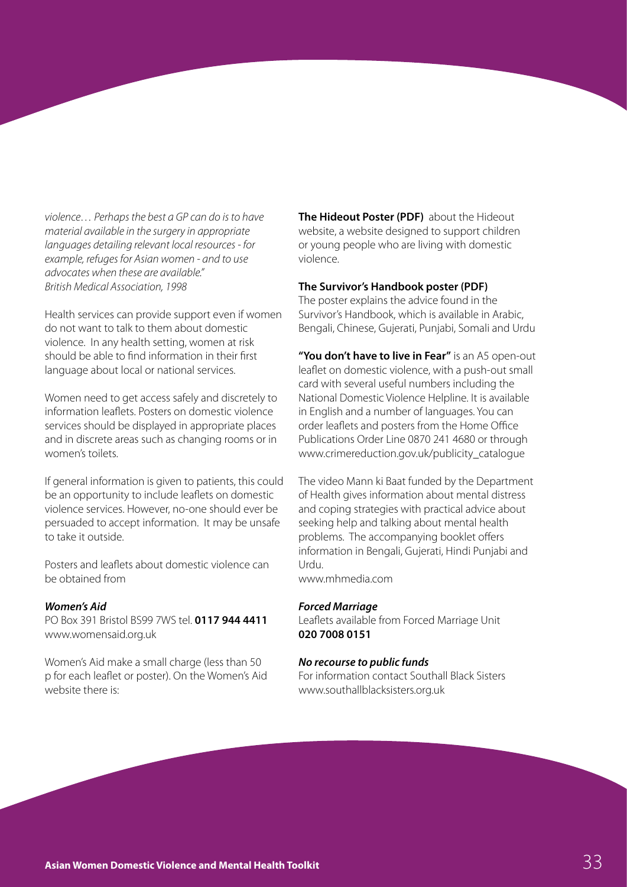*violence… Perhaps the best a GP can do is to have material available in the surgery in appropriate languages detailing relevant local resources - for example, refuges for Asian women - and to use advocates when these are available." British Medical Association, 1998*

Health services can provide support even if women do not want to talk to them about domestic violence. In any health setting, women at risk should be able to find information in their first language about local or national services.

Women need to get access safely and discretely to information leaflets. Posters on domestic violence services should be displayed in appropriate places and in discrete areas such as changing rooms or in women's toilets.

If general information is given to patients, this could be an opportunity to include leaflets on domestic violence services. However, no-one should ever be persuaded to accept information. It may be unsafe to take it outside.

Posters and leaflets about domestic violence can be obtained from

#### *Women's Aid*

PO Box 391 Bristol BS99 7WS tel. **0117 944 4411**  www.womensaid.org.uk

Women's Aid make a small charge (less than 50 p for each leaflet or poster). On the Women's Aid website there is:

**The Hideout Poster (PDF)** about the Hideout website, a website designed to support children or young people who are living with domestic violence.

#### **The Survivor's Handbook poster (PDF)**

The poster explains the advice found in the Survivor's Handbook, which is available in Arabic, Bengali, Chinese, Gujerati, Punjabi, Somali and Urdu

**"You don't have to live in Fear"** is an A5 open-out leaflet on domestic violence, with a push-out small card with several useful numbers including the National Domestic Violence Helpline. It is available in English and a number of languages. You can order leaflets and posters from the Home Office Publications Order Line 0870 241 4680 or through www.crimereduction.gov.uk/publicity\_catalogue

The video Mann ki Baat funded by the Department of Health gives information about mental distress and coping strategies with practical advice about seeking help and talking about mental health problems. The accompanying booklet offers information in Bengali, Gujerati, Hindi Punjabi and Urdu.

www.mhmedia.com

#### *Forced Marriage*

Leaflets available from Forced Marriage Unit **020 7008 0151**

#### *No recourse to public funds*

For information contact Southall Black Sisters www.southallblacksisters.org.uk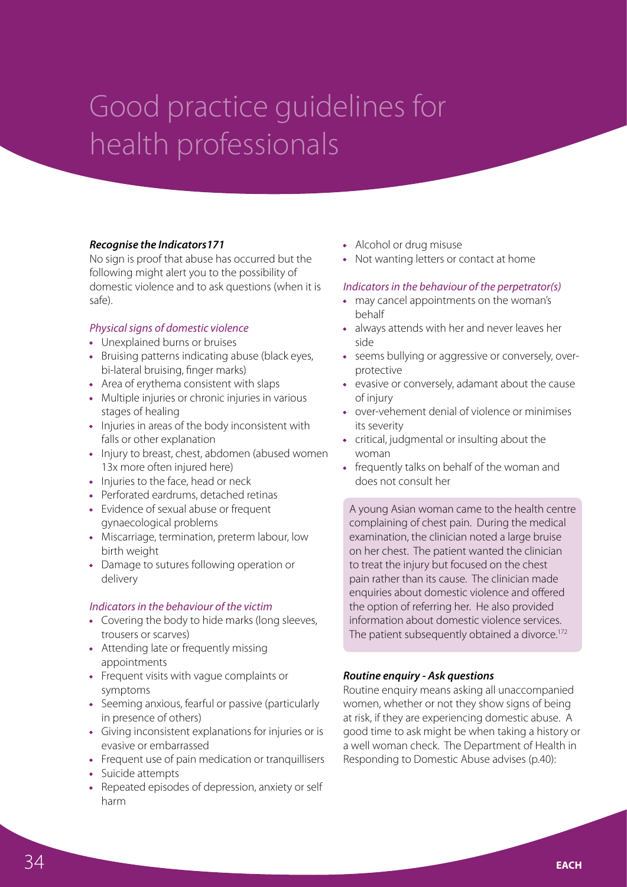# Good practice guidelines for health professionals

#### *Recognise the Indicators171*

No sign is proof that abuse has occurred but the following might alert you to the possibility of domestic violence and to ask questions (when it is safe).

#### *Physical signs of domestic violence*

- Unexplained burns or bruises
- Bruising patterns indicating abuse (black eyes, bi-lateral bruising, finger marks)
- Area of erythema consistent with slaps
- Multiple injuries or chronic injuries in various stages of healing
- Injuries in areas of the body inconsistent with falls or other explanation
- Injury to breast, chest, abdomen (abused women 13x more often injured here)
- Injuries to the face, head or neck
- • Perforated eardrums, detached retinas
- Evidence of sexual abuse or frequent gynaecological problems
- Miscarriage, termination, preterm labour, low birth weight
- Damage to sutures following operation or delivery

#### *Indicators in the behaviour of the victim*

- Covering the body to hide marks (long sleeves, trousers or scarves)
- Attending late or frequently missing appointments
- Frequent visits with vaque complaints or symptoms
- Seeming anxious, fearful or passive (particularly in presence of others)
- • Giving inconsistent explanations for injuries or is evasive or embarrassed
- Frequent use of pain medication or tranquillisers
- Suicide attempts
- Repeated episodes of depression, anxiety or self harm
- Alcohol or drug misuse
- Not wanting letters or contact at home

#### *Indicators in the behaviour of the perpetrator(s)*

- may cancel appointments on the woman's behalf
- always attends with her and never leaves her side
- seems bullying or aggressive or conversely, overprotective
- evasive or conversely, adamant about the cause of injury
- over-vehement denial of violence or minimises its severity
- • critical, judgmental or insulting about the woman
- frequently talks on behalf of the woman and does not consult her

A young Asian woman came to the health centre complaining of chest pain. During the medical examination, the clinician noted a large bruise on her chest. The patient wanted the clinician to treat the injury but focused on the chest pain rather than its cause. The clinician made enquiries about domestic violence and offered the option of referring her. He also provided information about domestic violence services. The patient subsequently obtained a divorce.<sup>172</sup>

#### *Routine enquiry - Ask questions*

Routine enquiry means asking all unaccompanied women, whether or not they show signs of being at risk, if they are experiencing domestic abuse. A good time to ask might be when taking a history or a well woman check. The Department of Health in Responding to Domestic Abuse advises (p.40):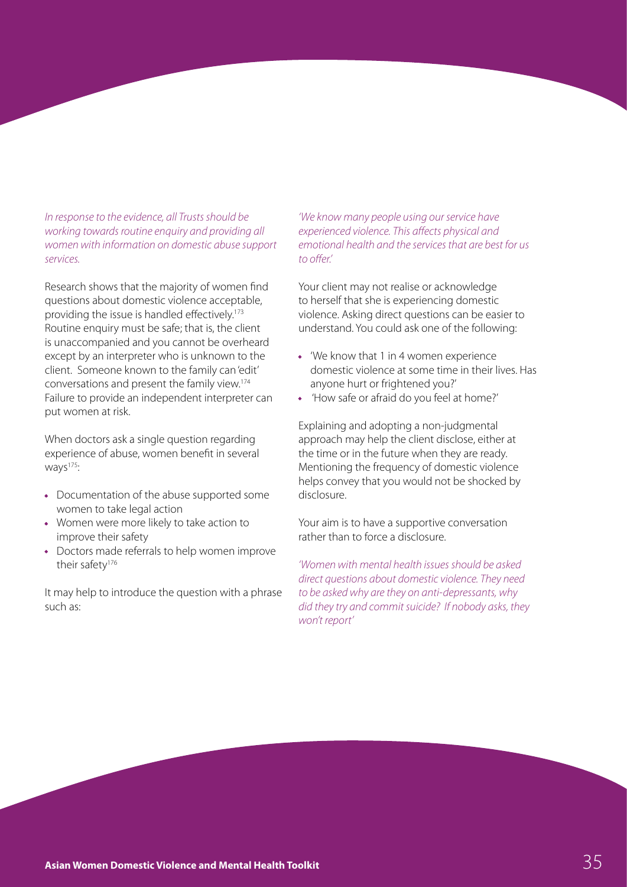*In response to the evidence, all Trusts should be working towards routine enquiry and providing all women with information on domestic abuse support services.* 

Research shows that the majority of women find questions about domestic violence acceptable, providing the issue is handled effectively.173 Routine enquiry must be safe; that is, the client is unaccompanied and you cannot be overheard except by an interpreter who is unknown to the client. Someone known to the family can 'edit' conversations and present the family view.174 Failure to provide an independent interpreter can put women at risk.

When doctors ask a single question regarding experience of abuse, women benefit in several ways<sup>175</sup>:

- Documentation of the abuse supported some women to take legal action
- Women were more likely to take action to improve their safety
- Doctors made referrals to help women improve their safety<sup>176</sup>

It may help to introduce the question with a phrase such as:

*'We know many people using our service have experienced violence. This affects physical and emotional health and the services that are best for us to offer.'* 

Your client may not realise or acknowledge to herself that she is experiencing domestic violence. Asking direct questions can be easier to understand. You could ask one of the following:

- • 'We know that 1 in 4 women experience domestic violence at some time in their lives. Has anyone hurt or frightened you?'
- 'How safe or afraid do you feel at home?'

Explaining and adopting a non-judgmental approach may help the client disclose, either at the time or in the future when they are ready. Mentioning the frequency of domestic violence helps convey that you would not be shocked by disclosure.

Your aim is to have a supportive conversation rather than to force a disclosure.

*'Women with mental health issues should be asked direct questions about domestic violence. They need to be asked why are they on anti-depressants, why did they try and commit suicide? If nobody asks, they won't report'*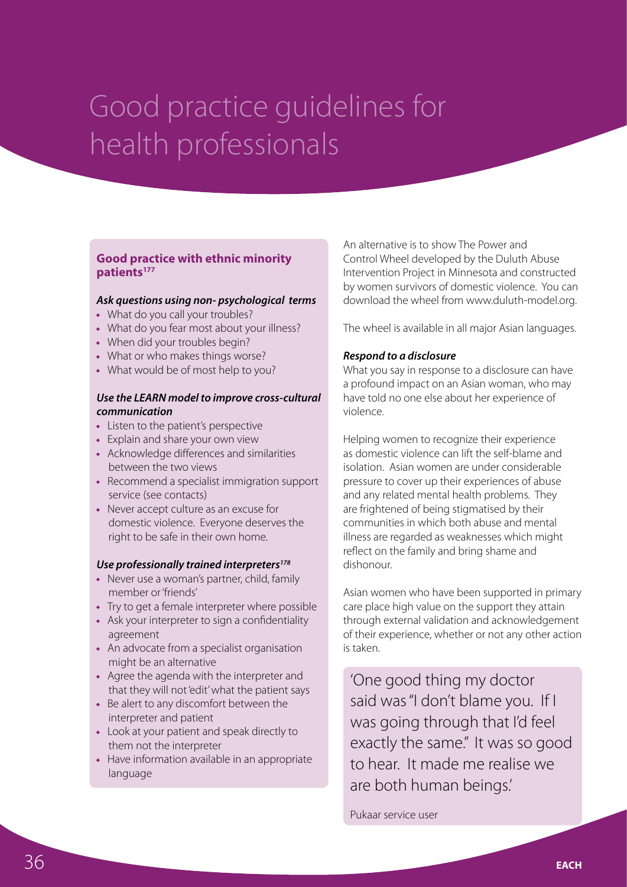# Good practice guidelines for health professionals

#### **Good practice with ethnic minority patients177**

#### *Ask questions using non- psychological terms*

- What do you call your troubles?
- What do you fear most about your illness?
- When did your troubles begin?
- What or who makes things worse?
- What would be of most help to you?

#### *Use the LEARN model to improve cross-cultural communication*

- Listen to the patient's perspective
- Explain and share your own view
- Acknowledge differences and similarities between the two views
- Recommend a specialist immigration support service (see contacts)
- Never accept culture as an excuse for domestic violence. Everyone deserves the right to be safe in their own home.

#### *Use professionally trained interpreters178*

- Never use a woman's partner, child, family member or 'friends'
- Try to get a female interpreter where possible
- Ask your interpreter to sign a confidentiality agreement
- An advocate from a specialist organisation might be an alternative
- Agree the agenda with the interpreter and that they will not 'edit' what the patient says
- Be alert to any discomfort between the interpreter and patient
- Look at your patient and speak directly to them not the interpreter
- Have information available in an appropriate language

An alternative is to show The Power and Control Wheel developed by the Duluth Abuse Intervention Project in Minnesota and constructed by women survivors of domestic violence. You can download the wheel from www.duluth-model.org.

The wheel is available in all major Asian languages.

#### *Respond to a disclosure*

What you say in response to a disclosure can have a profound impact on an Asian woman, who may have told no one else about her experience of violence.

Helping women to recognize their experience as domestic violence can lift the self-blame and isolation. Asian women are under considerable pressure to cover up their experiences of abuse and any related mental health problems. They are frightened of being stigmatised by their communities in which both abuse and mental illness are regarded as weaknesses which might reflect on the family and bring shame and dishonour.

Asian women who have been supported in primary care place high value on the support they attain through external validation and acknowledgement of their experience, whether or not any other action is taken.

'One good thing my doctor said was "I don't blame you. If I was going through that I'd feel exactly the same." It was so good to hear. It made me realise we are both human beings.'

Pukaar service user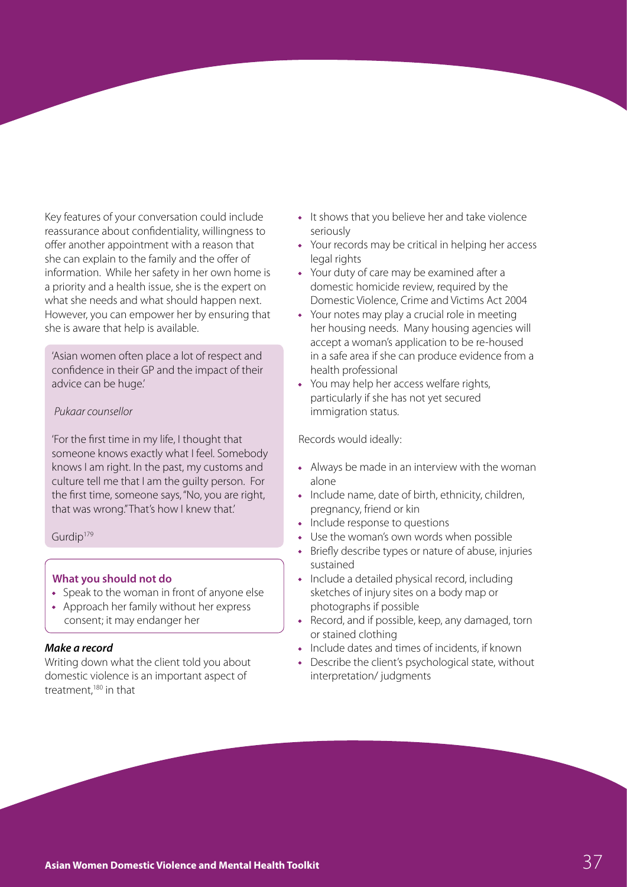Key features of your conversation could include reassurance about confidentiality, willingness to offer another appointment with a reason that she can explain to the family and the offer of information. While her safety in her own home is a priority and a health issue, she is the expert on what she needs and what should happen next. However, you can empower her by ensuring that she is aware that help is available.

'Asian women often place a lot of respect and confidence in their GP and the impact of their advice can be huge.'

#### *Pukaar counsellor*

'For the first time in my life, I thought that someone knows exactly what I feel. Somebody knows I am right. In the past, my customs and culture tell me that I am the guilty person. For the first time, someone says, "No, you are right, that was wrong." That's how I knew that.'

#### Gurdip179

#### **What you should not do**

- Speak to the woman in front of anyone else
- Approach her family without her express consent; it may endanger her

### *Make a record*

Writing down what the client told you about domestic violence is an important aspect of treatment,180 in that

- It shows that you believe her and take violence seriously
- Your records may be critical in helping her access legal rights
- Your duty of care may be examined after a domestic homicide review, required by the Domestic Violence, Crime and Victims Act 2004
- Your notes may play a crucial role in meeting her housing needs. Many housing agencies will accept a woman's application to be re-housed in a safe area if she can produce evidence from a health professional
- You may help her access welfare rights, particularly if she has not yet secured immigration status.

#### Records would ideally:

- Always be made in an interview with the woman alone
- Include name, date of birth, ethnicity, children, pregnancy, friend or kin
- Include response to questions
- Use the woman's own words when possible
- Briefly describe types or nature of abuse, injuries sustained
- Include a detailed physical record, including sketches of injury sites on a body map or photographs if possible
- Record, and if possible, keep, any damaged, torn or stained clothing
- Include dates and times of incidents, if known
- Describe the client's psychological state, without interpretation/ judgments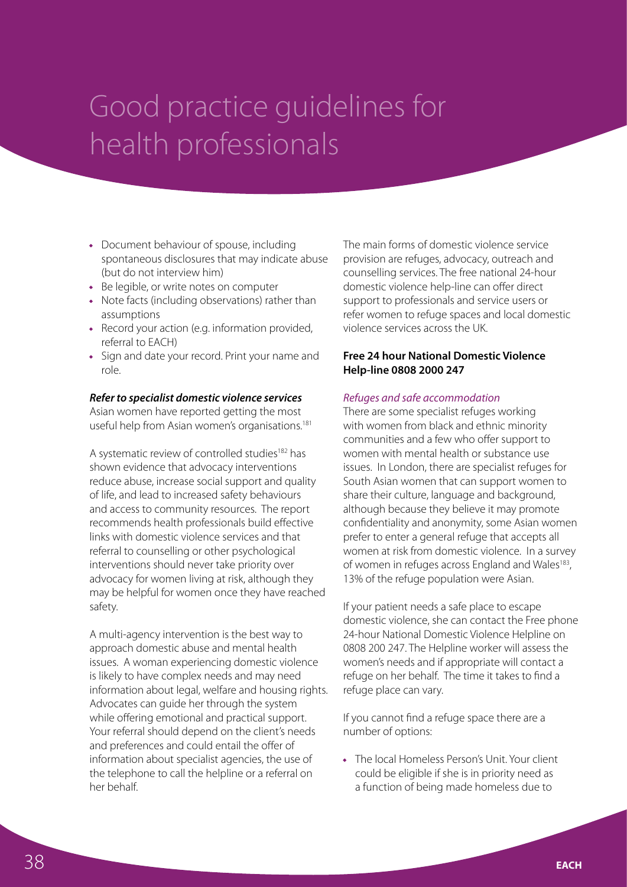# Good practice guidelines for health professionals

- Document behaviour of spouse, including spontaneous disclosures that may indicate abuse (but do not interview him)
- Be legible, or write notes on computer
- Note facts (including observations) rather than assumptions
- Record your action (e.g. information provided, referral to EACH)
- Sign and date your record. Print your name and role.

#### *Refer to specialist domestic violence services*

Asian women have reported getting the most useful help from Asian women's organisations.<sup>181</sup>

A systematic review of controlled studies<sup>182</sup> has shown evidence that advocacy interventions reduce abuse, increase social support and quality of life, and lead to increased safety behaviours and access to community resources. The report recommends health professionals build effective links with domestic violence services and that referral to counselling or other psychological interventions should never take priority over advocacy for women living at risk, although they may be helpful for women once they have reached safety.

A multi-agency intervention is the best way to approach domestic abuse and mental health issues. A woman experiencing domestic violence is likely to have complex needs and may need information about legal, welfare and housing rights. Advocates can guide her through the system while offering emotional and practical support. Your referral should depend on the client's needs and preferences and could entail the offer of information about specialist agencies, the use of the telephone to call the helpline or a referral on her behalf.

The main forms of domestic violence service provision are refuges, advocacy, outreach and counselling services. The free national 24-hour domestic violence help-line can offer direct support to professionals and service users or refer women to refuge spaces and local domestic violence services across the UK.

#### **Free 24 hour National Domestic Violence Help-line 0808 2000 247**

#### *Refuges and safe accommodation*

There are some specialist refuges working with women from black and ethnic minority communities and a few who offer support to women with mental health or substance use issues. In London, there are specialist refuges for South Asian women that can support women to share their culture, language and background, although because they believe it may promote confidentiality and anonymity, some Asian women prefer to enter a general refuge that accepts all women at risk from domestic violence. In a survey of women in refuges across England and Wales<sup>183</sup>, 13% of the refuge population were Asian.

If your patient needs a safe place to escape domestic violence, she can contact the Free phone 24-hour National Domestic Violence Helpline on 0808 200 247. The Helpline worker will assess the women's needs and if appropriate will contact a refuge on her behalf. The time it takes to find a refuge place can vary.

If you cannot find a refuge space there are a number of options:

• The local Homeless Person's Unit. Your client could be eligible if she is in priority need as a function of being made homeless due to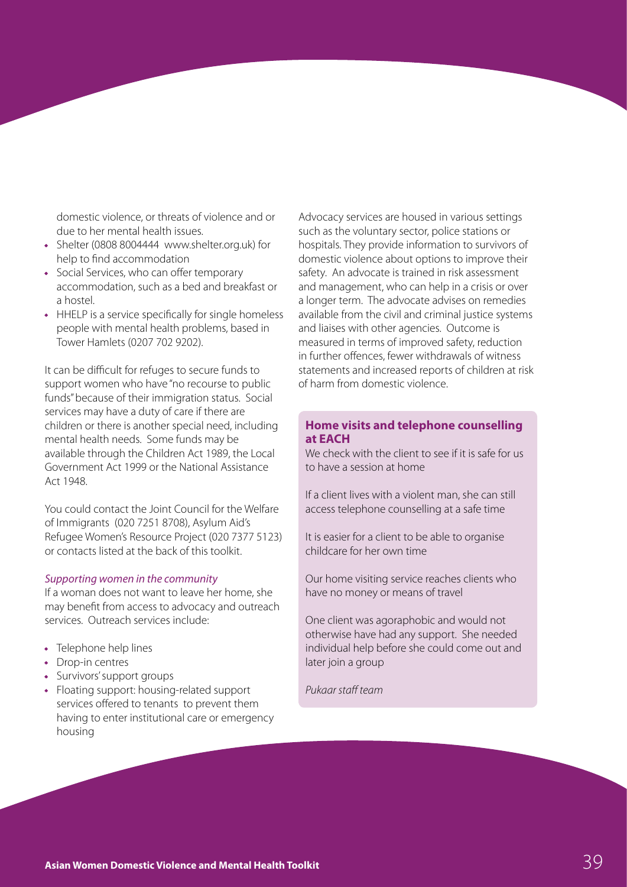domestic violence, or threats of violence and or due to her mental health issues.

- Shelter (0808 8004444 www.shelter.org.uk) for help to find accommodation
- Social Services, who can offer temporary accommodation, such as a bed and breakfast or a hostel.
- HHELP is a service specifically for single homeless people with mental health problems, based in Tower Hamlets (0207 702 9202).

It can be difficult for refuges to secure funds to support women who have "no recourse to public funds" because of their immigration status. Social services may have a duty of care if there are children or there is another special need, including mental health needs. Some funds may be available through the Children Act 1989, the Local Government Act 1999 or the National Assistance Act 1948.

You could contact the Joint Council for the Welfare of Immigrants (020 7251 8708), Asylum Aid's Refugee Women's Resource Project (020 7377 5123) or contacts listed at the back of this toolkit.

#### *Supporting women in the community*

If a woman does not want to leave her home, she may benefit from access to advocacy and outreach services. Outreach services include:

- Telephone help lines
- Drop-in centres
- Survivors' support groups
- Floating support: housing-related support services offered to tenants to prevent them having to enter institutional care or emergency housing

Advocacy services are housed in various settings such as the voluntary sector, police stations or hospitals. They provide information to survivors of domestic violence about options to improve their safety. An advocate is trained in risk assessment and management, who can help in a crisis or over a longer term. The advocate advises on remedies available from the civil and criminal justice systems and liaises with other agencies. Outcome is measured in terms of improved safety, reduction in further offences, fewer withdrawals of witness statements and increased reports of children at risk of harm from domestic violence.

#### **Home visits and telephone counselling at EACH**

We check with the client to see if it is safe for us to have a session at home

If a client lives with a violent man, she can still access telephone counselling at a safe time

It is easier for a client to be able to organise childcare for her own time

Our home visiting service reaches clients who have no money or means of travel

One client was agoraphobic and would not otherwise have had any support. She needed individual help before she could come out and later join a group

*Pukaar staff team*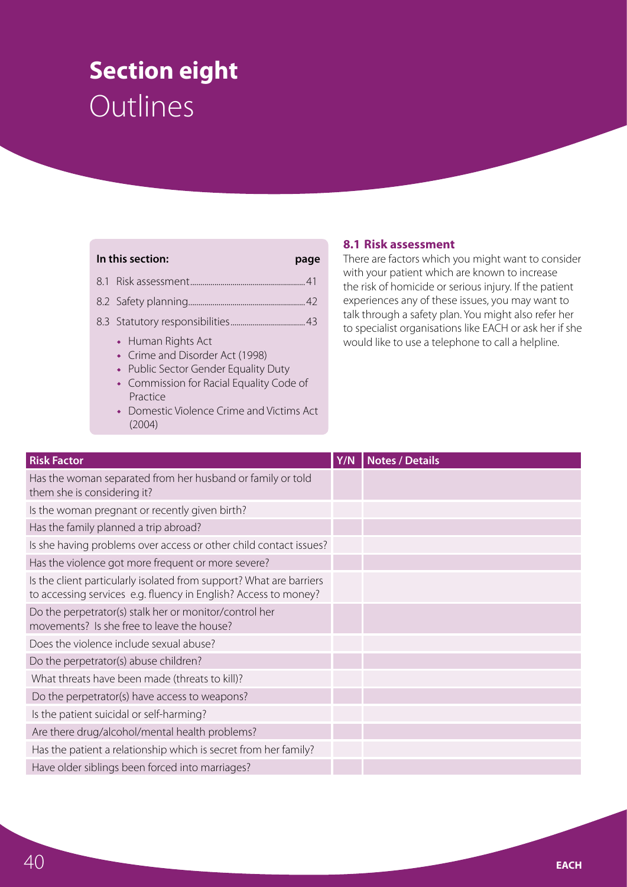### **Section eight Outlines**

### **In this section: page**

- 8.1 Risk assessment.........................................................41
- 8.2 Safety planning..........................................................42
- 8.3 Statutory responsibilities.....................................43
	- Human Rights Act
	- Crime and Disorder Act (1998)
	- Public Sector Gender Equality Duty
	- Commission for Racial Equality Code of Practice
	- Domestic Violence Crime and Victims Act (2004)

#### **8.1 Risk assessment**

There are factors which you might want to consider with your patient which are known to increase the risk of homicide or serious injury. If the patient experiences any of these issues, you may want to talk through a safety plan. You might also refer her to specialist organisations like EACH or ask her if she would like to use a telephone to call a helpline.

| <b>Risk Factor</b>                                                                                                                     | Y/N | <b>Notes / Details</b> |
|----------------------------------------------------------------------------------------------------------------------------------------|-----|------------------------|
| Has the woman separated from her husband or family or told<br>them she is considering it?                                              |     |                        |
| Is the woman pregnant or recently given birth?                                                                                         |     |                        |
| Has the family planned a trip abroad?                                                                                                  |     |                        |
| Is she having problems over access or other child contact issues?                                                                      |     |                        |
| Has the violence got more frequent or more severe?                                                                                     |     |                        |
| Is the client particularly isolated from support? What are barriers<br>to accessing services e.g. fluency in English? Access to money? |     |                        |
| Do the perpetrator(s) stalk her or monitor/control her<br>movements? Is she free to leave the house?                                   |     |                        |
| Does the violence include sexual abuse?                                                                                                |     |                        |
| Do the perpetrator(s) abuse children?                                                                                                  |     |                        |
| What threats have been made (threats to kill)?                                                                                         |     |                        |
| Do the perpetrator(s) have access to weapons?                                                                                          |     |                        |
| Is the patient suicidal or self-harming?                                                                                               |     |                        |
| Are there drug/alcohol/mental health problems?                                                                                         |     |                        |
| Has the patient a relationship which is secret from her family?                                                                        |     |                        |
| Have older siblings been forced into marriages?                                                                                        |     |                        |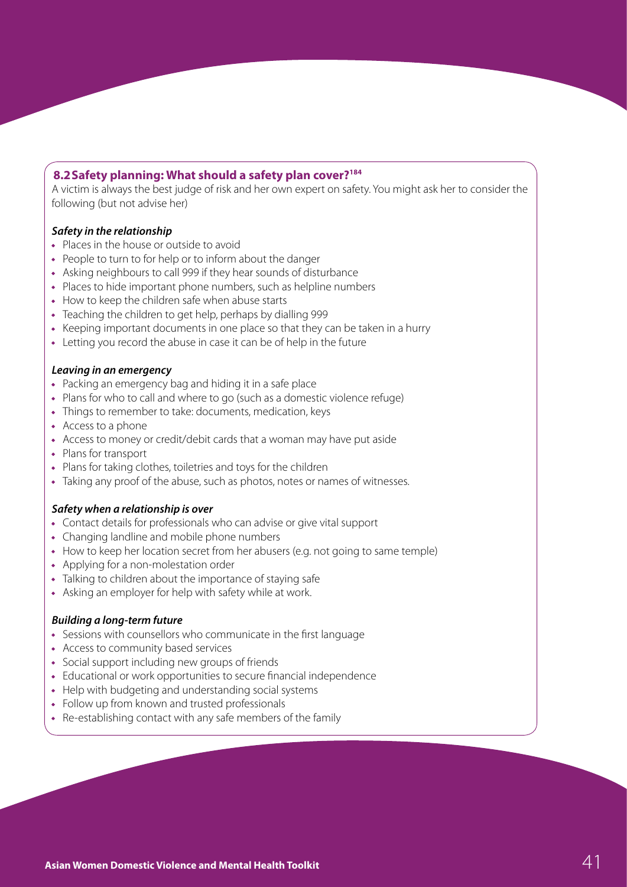### **8.2Safety planning: What should a safety plan cover?184**

A victim is always the best judge of risk and her own expert on safety. You might ask her to consider the following (but not advise her)

#### *Safety in the relationship*

- Places in the house or outside to avoid
- People to turn to for help or to inform about the danger
- Asking neighbours to call 999 if they hear sounds of disturbance
- Places to hide important phone numbers, such as helpline numbers
- How to keep the children safe when abuse starts
- Teaching the children to get help, perhaps by dialling 999
- Keeping important documents in one place so that they can be taken in a hurry
- Letting you record the abuse in case it can be of help in the future

#### *Leaving in an emergency*

- Packing an emergency bag and hiding it in a safe place
- Plans for who to call and where to go (such as a domestic violence refuge)
- Things to remember to take: documents, medication, keys
- Access to a phone
- Access to money or credit/debit cards that a woman may have put aside
- Plans for transport
- Plans for taking clothes, toiletries and toys for the children
- Taking any proof of the abuse, such as photos, notes or names of witnesses.

#### *Safety when a relationship is over*

- Contact details for professionals who can advise or give vital support
- Changing landline and mobile phone numbers
- How to keep her location secret from her abusers (e.g. not going to same temple)
- Applying for a non-molestation order
- Talking to children about the importance of staying safe
- Asking an employer for help with safety while at work.

#### *Building a long-term future*

- Sessions with counsellors who communicate in the first language
- Access to community based services
- Social support including new groups of friends
- Educational or work opportunities to secure financial independence
- Help with budgeting and understanding social systems
- Follow up from known and trusted professionals
- Re-establishing contact with any safe members of the family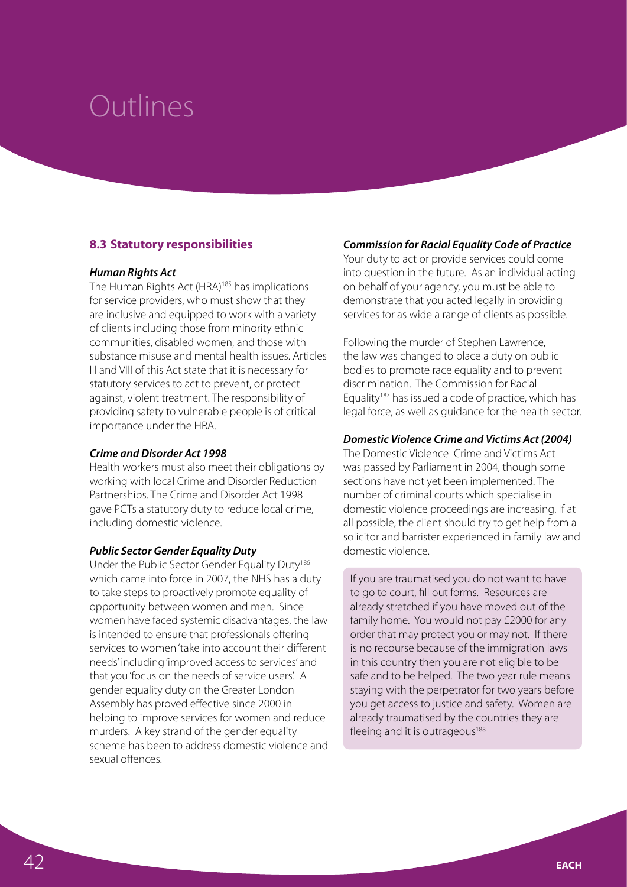### **Outlines**

#### **8.3 Statutory responsibilities**

#### *Human Rights Act*

The Human Rights Act (HRA)<sup>185</sup> has implications for service providers, who must show that they are inclusive and equipped to work with a variety of clients including those from minority ethnic communities, disabled women, and those with substance misuse and mental health issues. Articles III and VIII of this Act state that it is necessary for statutory services to act to prevent, or protect against, violent treatment. The responsibility of providing safety to vulnerable people is of critical importance under the HRA.

#### *Crime and Disorder Act 1998*

Health workers must also meet their obligations by working with local Crime and Disorder Reduction Partnerships. The Crime and Disorder Act 1998 gave PCTs a statutory duty to reduce local crime, including domestic violence.

#### *Public Sector Gender Equality Duty*

Under the Public Sector Gender Equality Duty<sup>186</sup> which came into force in 2007, the NHS has a duty to take steps to proactively promote equality of opportunity between women and men. Since women have faced systemic disadvantages, the law is intended to ensure that professionals offering services to women 'take into account their different needs' including 'improved access to services' and that you 'focus on the needs of service users'. A gender equality duty on the Greater London Assembly has proved effective since 2000 in helping to improve services for women and reduce murders. A key strand of the gender equality scheme has been to address domestic violence and sexual offences.

#### *Commission for Racial Equality Code of Practice*

Your duty to act or provide services could come into question in the future. As an individual acting on behalf of your agency, you must be able to demonstrate that you acted legally in providing services for as wide a range of clients as possible.

Following the murder of Stephen Lawrence, the law was changed to place a duty on public bodies to promote race equality and to prevent discrimination. The Commission for Racial Equality187 has issued a code of practice, which has legal force, as well as guidance for the health sector.

#### *Domestic Violence Crime and Victims Act (2004)*

The Domestic Violence Crime and Victims Act was passed by Parliament in 2004, though some sections have not yet been implemented. The number of criminal courts which specialise in domestic violence proceedings are increasing. If at all possible, the client should try to get help from a solicitor and barrister experienced in family law and domestic violence.

If you are traumatised you do not want to have to go to court, fill out forms. Resources are already stretched if you have moved out of the family home. You would not pay £2000 for any order that may protect you or may not. If there is no recourse because of the immigration laws in this country then you are not eligible to be safe and to be helped. The two year rule means staying with the perpetrator for two years before you get access to justice and safety. Women are already traumatised by the countries they are fleeing and it is outrageous<sup>188</sup>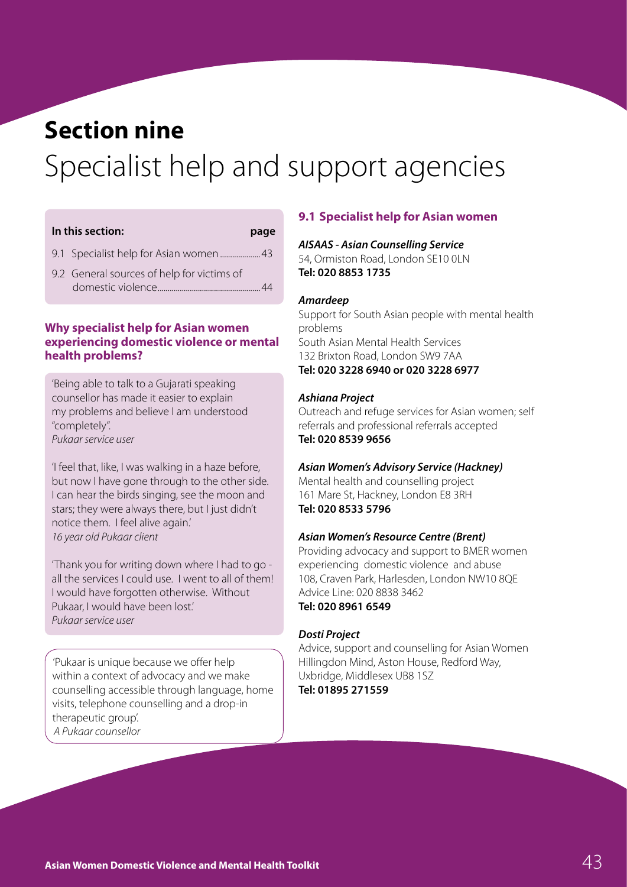### **Section nine**  Specialist help and support agencies

#### **In this section: page**

| page |  |  |
|------|--|--|

- 9.1 Specialist help for Asian women........................43
- 9.2 General sources of help for victims of domestic violence...................................................44

#### **Why specialist help for Asian women experiencing domestic violence or mental health problems?**

'Being able to talk to a Gujarati speaking counsellor has made it easier to explain my problems and believe I am understood "completely". *Pukaar service user*

'I feel that, like, I was walking in a haze before, but now I have gone through to the other side. I can hear the birds singing, see the moon and stars; they were always there, but I just didn't notice them. I feel alive again.' *16 year old Pukaar client*

'Thank you for writing down where I had to go all the services I could use. I went to all of them! I would have forgotten otherwise. Without Pukaar, I would have been lost.' *Pukaar service user*

'Pukaar is unique because we offer help within a context of advocacy and we make counselling accessible through language, home visits, telephone counselling and a drop-in therapeutic group'. *A Pukaar counsellor*

#### **9.1 Specialist help for Asian women**

*AISAAS - Asian Counselling Service* 54, Ormiston Road, London SE10 0LN **Tel: 020 8853 1735**

#### *Amardeep*

Support for South Asian people with mental health problems South Asian Mental Health Services 132 Brixton Road, London SW9 7AA **Tel: 020 3228 6940 or 020 3228 6977**

#### *Ashiana Project*

Outreach and refuge services for Asian women; self referrals and professional referrals accepted **Tel: 020 8539 9656**

#### *Asian Women's Advisory Service (Hackney)*

Mental health and counselling project 161 Mare St, Hackney, London E8 3RH **Tel: 020 8533 5796**

#### *Asian Women's Resource Centre (Brent)*

Providing advocacy and support to BMER women experiencing domestic violence and abuse 108, Craven Park, Harlesden, London NW10 8QE Advice Line: 020 8838 3462 **Tel: 020 8961 6549**

#### *Dosti Project*

Advice, support and counselling for Asian Women Hillingdon Mind, Aston House, Redford Way, Uxbridge, Middlesex UB8 1SZ **Tel: 01895 271559**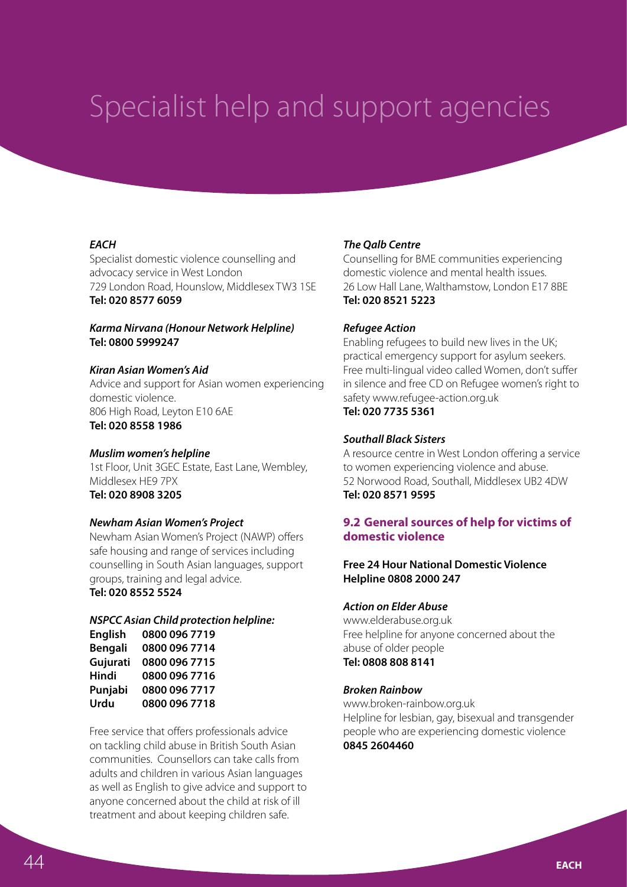# Specialist help and support agencies

#### *EACH*

Specialist domestic violence counselling and advocacy service in West London 729 London Road, Hounslow, Middlesex TW3 1SE **Tel: 020 8577 6059**

#### *Karma Nirvana (Honour Network Helpline)*  **Tel: 0800 5999247**

#### *Kiran Asian Women's Aid*

Advice and support for Asian women experiencing domestic violence. 806 High Road, Leyton E10 6AE **Tel: 020 8558 1986**

#### *Muslim women's helpline*

1st Floor, Unit 3GEC Estate, East Lane, Wembley, Middlesex HE9 7PX **Tel: 020 8908 3205**

#### *Newham Asian Women's Project*

Newham Asian Women's Project (NAWP) offers safe housing and range of services including counselling in South Asian languages, support groups, training and legal advice. **Tel: 020 8552 5524**

#### *NSPCC Asian Child protection helpline:*

| <b>English</b> | 0800 096 7719 |
|----------------|---------------|
| <b>Bengali</b> | 0800 096 7714 |
| Gujurati       | 0800 096 7715 |
| Hindi          | 0800 096 7716 |
| Punjabi        | 0800 096 7717 |
| Urdu           | 0800 096 7718 |
|                |               |

Free service that offers professionals advice on tackling child abuse in British South Asian communities. Counsellors can take calls from adults and children in various Asian languages as well as English to give advice and support to anyone concerned about the child at risk of ill treatment and about keeping children safe.

#### *The Qalb Centre*

Counselling for BME communities experiencing domestic violence and mental health issues. 26 Low Hall Lane, Walthamstow, London E17 8BE **Tel: 020 8521 5223**

#### *Refugee Action*

Enabling refugees to build new lives in the UK; practical emergency support for asylum seekers. Free multi-lingual video called Women, don't suffer in silence and free CD on Refugee women's right to safety www.refugee-action.org.uk **Tel: 020 7735 5361**

#### *Southall Black Sisters*

A resource centre in West London offering a service to women experiencing violence and abuse. 52 Norwood Road, Southall, Middlesex UB2 4DW **Tel: 020 8571 9595**

#### **9.2 General sources of help for victims of domestic violence**

#### **Free 24 Hour National Domestic Violence Helpline 0808 2000 247**

#### *Action on Elder Abuse*

www.elderabuse.org.uk Free helpline for anyone concerned about the abuse of older people **Tel: 0808 808 8141**

#### *Broken Rainbow*

www.broken-rainbow.org.uk Helpline for lesbian, gay, bisexual and transgender people who are experiencing domestic violence **0845 2604460**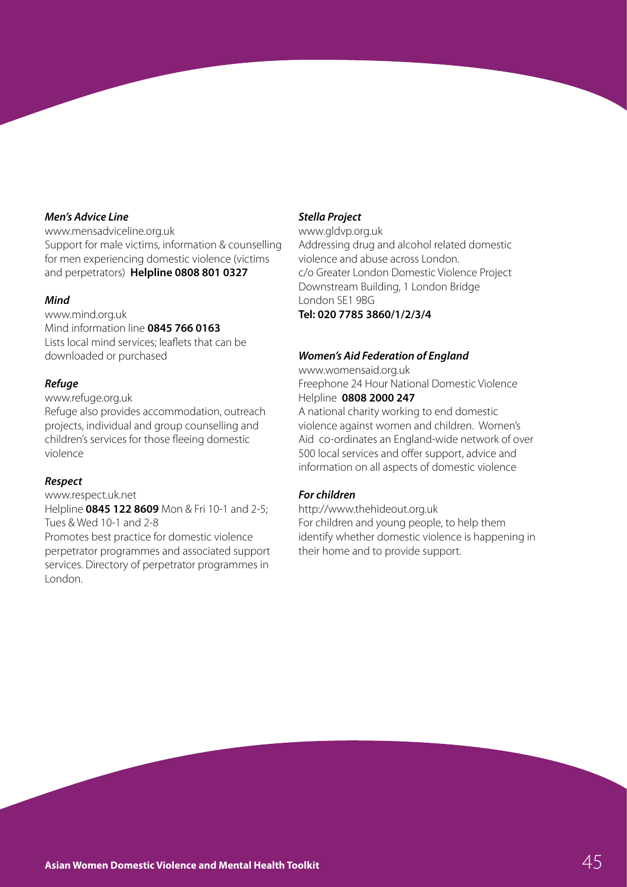#### *Men's Advice Line*

www.mensadviceline.org.uk Support for male victims, information & counselling for men experiencing domestic violence (victims and perpetrators) **Helpline 0808 801 0327**

#### *Mind*

www.mind.org.uk Mind information line **0845 766 0163** Lists local mind services; leaflets that can be downloaded or purchased

#### *Refuge*

www.refuge.org.uk

Refuge also provides accommodation, outreach projects, individual and group counselling and children's services for those fleeing domestic violence

#### *Respect*

www.respect.uk.net

Helpline **0845 122 8609** Mon & Fri 10-1 and 2-5; Tues & Wed 10-1 and 2-8

Promotes best practice for domestic violence perpetrator programmes and associated support services. Directory of perpetrator programmes in London.

#### *Stella Project*

www.gldvp.org.uk

Addressing drug and alcohol related domestic violence and abuse across London. c/o Greater London Domestic Violence Project Downstream Building, 1 London Bridge London SE1 9BG

**Tel: 020 7785 3860/1/2/3/4**

#### *Women's Aid Federation of England*

www.womensaid.org.uk Freephone 24 Hour National Domestic Violence Helpline **0808 2000 247**

A national charity working to end domestic violence against women and children. Women's Aid co-ordinates an England-wide network of over 500 local services and offer support, advice and information on all aspects of domestic violence

#### *For children*

http://www.thehideout.org.uk For children and young people, to help them identify whether domestic violence is happening in their home and to provide support.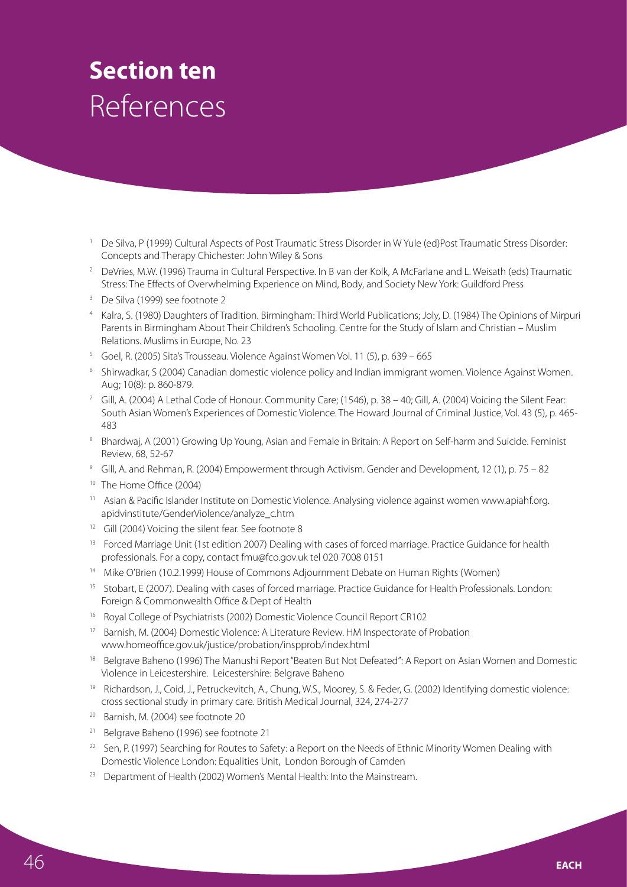### **Section ten**  References

- <sup>1</sup> De Silva, P (1999) Cultural Aspects of Post Traumatic Stress Disorder in W Yule (ed)Post Traumatic Stress Disorder: Concepts and Therapy Chichester: John Wiley & Sons
- <sup>2</sup> DeVries, M.W. (1996) Trauma in Cultural Perspective. In B van der Kolk, A McFarlane and L. Weisath (eds) Traumatic Stress: The Effects of Overwhelming Experience on Mind, Body, and Society New York: Guildford Press
- <sup>3</sup> De Silva (1999) see footnote 2
- <sup>4</sup> Kalra, S. (1980) Daughters of Tradition. Birmingham: Third World Publications; Joly, D. (1984) The Opinions of Mirpuri Parents in Birmingham About Their Children's Schooling. Centre for the Study of Islam and Christian – Muslim Relations. Muslims in Europe, No. 23
- <sup>5</sup> Goel, R. (2005) Sita's Trousseau. Violence Against Women Vol. 11 (5), p. 639 665
- <sup>6</sup> Shirwadkar, S (2004) Canadian domestic violence policy and Indian immigrant women. Violence Against Women. Aug; 10(8): p. 860-879.
- <sup>7</sup> Gill, A. (2004) A Lethal Code of Honour. Community Care; (1546), p. 38 40; Gill, A. (2004) Voicing the Silent Fear: South Asian Women's Experiences of Domestic Violence. The Howard Journal of Criminal Justice, Vol. 43 (5), p. 465- 483
- <sup>8</sup> Bhardwaj, A (2001) Growing Up Young, Asian and Female in Britain: A Report on Self-harm and Suicide. Feminist Review, 68, 52-67
- <sup>9</sup> Gill, A. and Rehman, R. (2004) Empowerment through Activism. Gender and Development, 12 (1), p. 75 82
- <sup>10</sup> The Home Office (2004)
- <sup>11</sup> Asian & Pacific Islander Institute on Domestic Violence. Analysing violence against women www.apiahf.org. apidvinstitute/GenderViolence/analyze\_c.htm
- <sup>12</sup> Gill (2004) Voicing the silent fear. See footnote 8
- <sup>13</sup> Forced Marriage Unit (1st edition 2007) Dealing with cases of forced marriage. Practice Guidance for health professionals. For a copy, contact fmu@fco.gov.uk tel 020 7008 0151
- <sup>14</sup> Mike O'Brien (10.2.1999) House of Commons Adjournment Debate on Human Rights (Women)
- 15 Stobart, E (2007). Dealing with cases of forced marriage. Practice Guidance for Health Professionals. London: Foreign & Commonwealth Office & Dept of Health
- <sup>16</sup> Royal College of Psychiatrists (2002) Domestic Violence Council Report CR102
- <sup>17</sup> Barnish, M. (2004) Domestic Violence: A Literature Review. HM Inspectorate of Probation www.homeoffice.gov.uk/justice/probation/inspprob/index.html
- <sup>18</sup> Belgrave Baheno (1996) The Manushi Report "Beaten But Not Defeated": A Report on Asian Women and Domestic Violence in Leicestershire. Leicestershire: Belgrave Baheno
- 19 Richardson, J., Coid, J., Petruckevitch, A., Chung, W.S., Moorey, S. & Feder, G. (2002) Identifying domestic violence: cross sectional study in primary care. British Medical Journal, 324, 274-277
- 20 Barnish, M. (2004) see footnote 20
- 21 Belgrave Baheno (1996) see footnote 21
- <sup>22</sup> Sen, P. (1997) Searching for Routes to Safety: a Report on the Needs of Ethnic Minority Women Dealing with Domestic Violence London: Equalities Unit, London Borough of Camden
- <sup>23</sup> Department of Health (2002) Women's Mental Health: Into the Mainstream.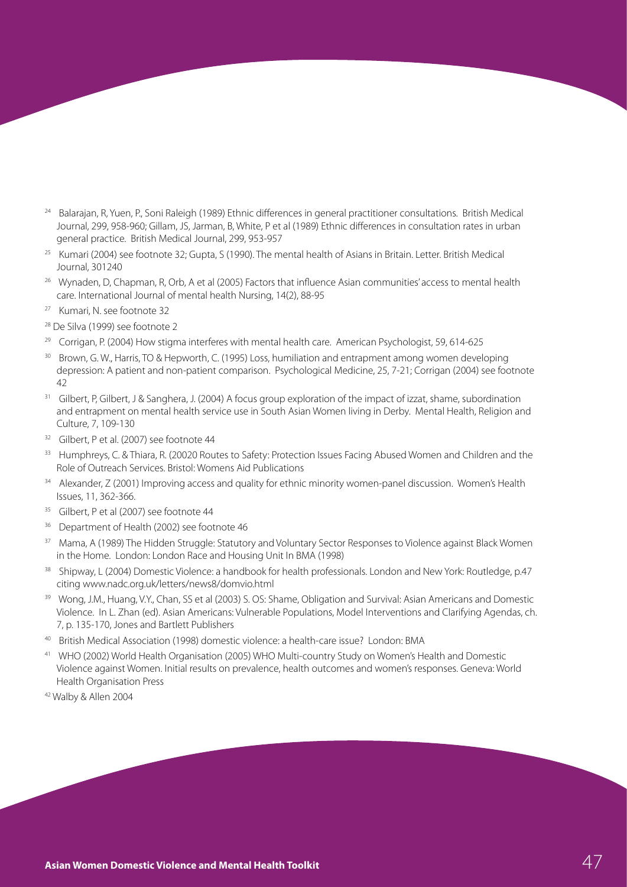- 24 Balarajan, R, Yuen, P., Soni Raleigh (1989) Ethnic differences in general practitioner consultations. British Medical Journal, 299, 958-960; Gillam, JS, Jarman, B, White, P et al (1989) Ethnic differences in consultation rates in urban general practice. British Medical Journal, 299, 953-957
- <sup>25</sup> Kumari (2004) see footnote 32; Gupta, S (1990). The mental health of Asians in Britain. Letter. British Medical Journal, 301240
- <sup>26</sup> Wynaden, D, Chapman, R, Orb, A et al (2005) Factors that influence Asian communities' access to mental health care. International Journal of mental health Nursing, 14(2), 88-95
- 27 Kumari, N. see footnote 32
- 28 De Silva (1999) see footnote 2
- $29$  Corrigan, P. (2004) How stigma interferes with mental health care. American Psychologist, 59, 614-625
- <sup>30</sup> Brown, G. W., Harris, TO & Hepworth, C. (1995) Loss, humiliation and entrapment among women developing depression: A patient and non-patient comparison. Psychological Medicine, 25, 7-21; Corrigan (2004) see footnote 42
- <sup>31</sup> Gilbert, P, Gilbert, J & Sanghera, J. (2004) A focus group exploration of the impact of izzat, shame, subordination and entrapment on mental health service use in South Asian Women living in Derby. Mental Health, Religion and Culture, 7, 109-130
- <sup>32</sup> Gilbert, P et al. (2007) see footnote 44
- <sup>33</sup> Humphreys, C. & Thiara, R. (20020 Routes to Safety: Protection Issues Facing Abused Women and Children and the Role of Outreach Services. Bristol: Womens Aid Publications
- <sup>34</sup> Alexander, Z (2001) Improving access and quality for ethnic minority women-panel discussion. Women's Health Issues, 11, 362-366.
- <sup>35</sup> Gilbert, P et al (2007) see footnote 44
- 36 Department of Health (2002) see footnote 46
- <sup>37</sup> Mama, A (1989) The Hidden Struggle: Statutory and Voluntary Sector Responses to Violence against Black Women in the Home. London: London Race and Housing Unit In BMA (1998)
- <sup>38</sup> Shipway, L (2004) Domestic Violence: a handbook for health professionals. London and New York: Routledge, p.47 citing www.nadc.org.uk/letters/news8/domvio.html
- <sup>39</sup> Wong, J.M., Huang, V.Y., Chan, SS et al (2003) S. OS: Shame, Obligation and Survival: Asian Americans and Domestic Violence. In L. Zhan (ed). Asian Americans: Vulnerable Populations, Model Interventions and Clarifying Agendas, ch. 7, p. 135-170, Jones and Bartlett Publishers
- 40 British Medical Association (1998) domestic violence: a health-care issue? London: BMA
- 41 WHO (2002) World Health Organisation (2005) WHO Multi-country Study on Women's Health and Domestic Violence against Women. Initial results on prevalence, health outcomes and women's responses. Geneva: World Health Organisation Press
- 42 Walby & Allen 2004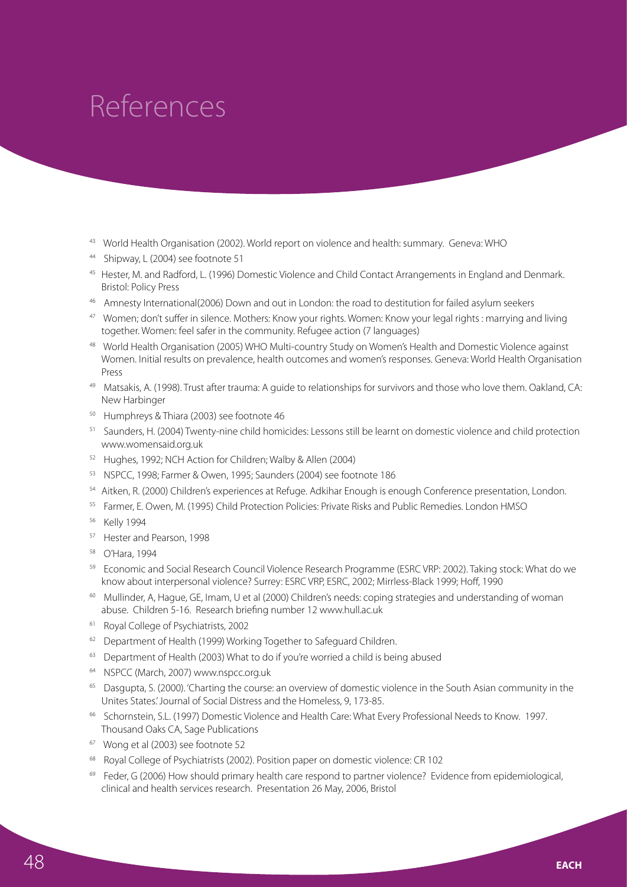- 43 World Health Organisation (2002). World report on violence and health: summary. Geneva: WHO
- 44 Shipway, L (2004) see footnote 51
- <sup>45</sup> Hester, M. and Radford, L. (1996) Domestic Violence and Child Contact Arrangements in England and Denmark. Bristol: Policy Press
- <sup>46</sup> Amnesty International(2006) Down and out in London: the road to destitution for failed asylum seekers
- <sup>47</sup> Women; don't suffer in silence. Mothers: Know your rights. Women: Know your legal rights : marrying and living together. Women: feel safer in the community. Refugee action (7 languages)
- 48 World Health Organisation (2005) WHO Multi-country Study on Women's Health and Domestic Violence against Women. Initial results on prevalence, health outcomes and women's responses. Geneva: World Health Organisation Press
- <sup>49</sup> Matsakis, A. (1998). Trust after trauma: A guide to relationships for survivors and those who love them. Oakland, CA: New Harbinger
- 50 Humphreys & Thiara (2003) see footnote 46
- 51 Saunders, H. (2004) Twenty-nine child homicides: Lessons still be learnt on domestic violence and child protection www.womensaid.org.uk
- 52 Hughes, 1992; NCH Action for Children; Walby & Allen (2004)
- 53 NSPCC, 1998; Farmer & Owen, 1995; Saunders (2004) see footnote 186
- <sup>54</sup> Aitken, R. (2000) Children's experiences at Refuge. Adkihar Enough is enough Conference presentation, London.
- 55 Farmer, E. Owen, M. (1995) Child Protection Policies: Private Risks and Public Remedies. London HMSO
- 56 Kelly 1994
- 57 Hester and Pearson, 1998
- 58 O'Hara, 1994
- 59 Economic and Social Research Council Violence Research Programme (ESRC VRP: 2002). Taking stock: What do we know about interpersonal violence? Surrey: ESRC VRP, ESRC, 2002; Mirrless-Black 1999; Hoff, 1990
- 60 Mullinder, A, Hague, GE, Imam, U et al (2000) Children's needs: coping strategies and understanding of woman abuse. Children 5-16. Research briefing number 12 www.hull.ac.uk
- 61 Royal College of Psychiatrists, 2002
- <sup>62</sup> Department of Health (1999) Working Together to Safeguard Children.
- $63$  Department of Health (2003) What to do if you're worried a child is being abused
- 64 NSPCC (March, 2007) www.nspcc.org.uk
- <sup>65</sup> Dasqupta, S. (2000). 'Charting the course: an overview of domestic violence in the South Asian community in the Unites States.' Journal of Social Distress and the Homeless, 9, 173-85.
- <sup>66</sup> Schornstein, S.L. (1997) Domestic Violence and Health Care: What Every Professional Needs to Know. 1997. Thousand Oaks CA, Sage Publications
- 67 Wong et al (2003) see footnote 52
- 68 Royal College of Psychiatrists (2002). Position paper on domestic violence: CR 102
- <sup>69</sup> Feder, G (2006) How should primary health care respond to partner violence? Evidence from epidemiological, clinical and health services research. Presentation 26 May, 2006, Bristol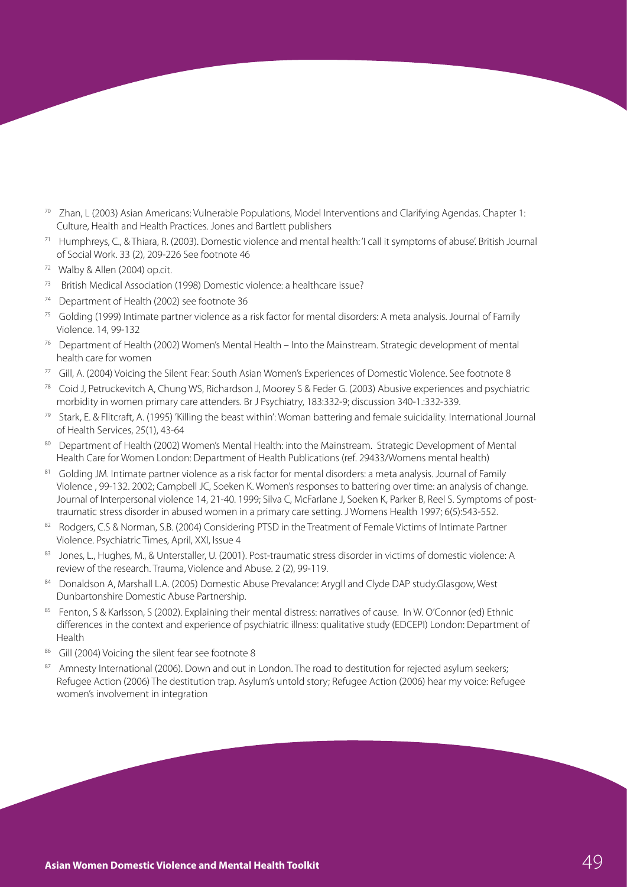- Zhan, L (2003) Asian Americans: Vulnerable Populations, Model Interventions and Clarifying Agendas. Chapter 1: Culture, Health and Health Practices. Jones and Bartlett publishers
- 71 Humphreys, C., & Thiara, R. (2003). Domestic violence and mental health: 'I call it symptoms of abuse'. British Journal of Social Work. 33 (2), 209-226 See footnote 46
- 72 Walby & Allen (2004) op.cit.
- 73 British Medical Association (1998) Domestic violence: a healthcare issue?
- 74 Department of Health (2002) see footnote 36
- <sup>75</sup> Golding (1999) Intimate partner violence as a risk factor for mental disorders: A meta analysis. Journal of Family Violence. 14, 99-132
- 76 Department of Health (2002) Women's Mental Health Into the Mainstream. Strategic development of mental health care for women
- 77 Gill, A. (2004) Voicing the Silent Fear: South Asian Women's Experiences of Domestic Violence. See footnote 8
- 78 Coid J, Petruckevitch A, Chung WS, Richardson J, Moorey S & Feder G. (2003) Abusive experiences and psychiatric morbidity in women primary care attenders. Br J Psychiatry, 183:332-9; discussion 340-1.:332-339.
- 79 Stark, E. & Flitcraft, A. (1995) 'Killing the beast within': Woman battering and female suicidality. International Journal of Health Services, 25(1), 43-64
- 80 Department of Health (2002) Women's Mental Health: into the Mainstream. Strategic Development of Mental Health Care for Women London: Department of Health Publications (ref. 29433/Womens mental health)
- 81 Golding JM. Intimate partner violence as a risk factor for mental disorders: a meta analysis. Journal of Family Violence , 99-132. 2002; Campbell JC, Soeken K. Women's responses to battering over time: an analysis of change. Journal of Interpersonal violence 14, 21-40. 1999; Silva C, McFarlane J, Soeken K, Parker B, Reel S. Symptoms of posttraumatic stress disorder in abused women in a primary care setting. J Womens Health 1997; 6(5):543-552.
- 82 Rodgers, C.S & Norman, S.B. (2004) Considering PTSD in the Treatment of Female Victims of Intimate Partner Violence. Psychiatric Times, April, XXI, Issue 4
- 83 Jones, L., Hughes, M., & Unterstaller, U. (2001). Post-traumatic stress disorder in victims of domestic violence: A review of the research. Trauma, Violence and Abuse. 2 (2), 99-119.
- 84 Donaldson A, Marshall L.A. (2005) Domestic Abuse Prevalance: Arygll and Clyde DAP study.Glasgow, West Dunbartonshire Domestic Abuse Partnership.
- 85 Fenton, S & Karlsson, S (2002). Explaining their mental distress: narratives of cause. In W. O'Connor (ed) Ethnic differences in the context and experience of psychiatric illness: qualitative study (EDCEPI) London: Department of Health
- 86 Gill (2004) Voicing the silent fear see footnote 8
- 87 Amnesty International (2006). Down and out in London. The road to destitution for rejected asylum seekers; Refugee Action (2006) The destitution trap. Asylum's untold story; Refugee Action (2006) hear my voice: Refugee women's involvement in integration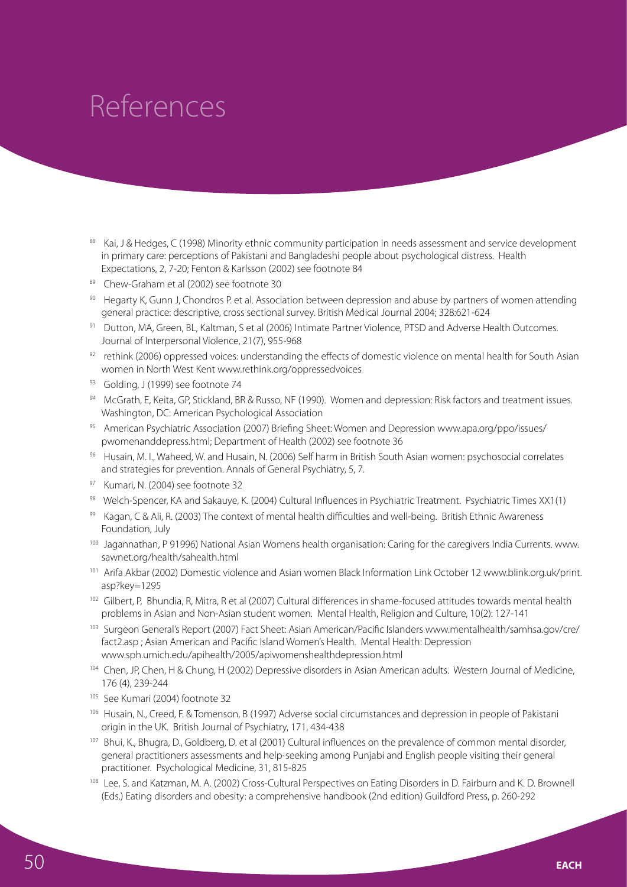- 88 Kai, J & Hedges, C (1998) Minority ethnic community participation in needs assessment and service development in primary care: perceptions of Pakistani and Bangladeshi people about psychological distress. Health Expectations, 2, 7-20; Fenton & Karlsson (2002) see footnote 84
- 89 Chew-Graham et al (2002) see footnote 30
- 90 Hegarty K, Gunn J, Chondros P. et al. Association between depression and abuse by partners of women attending general practice: descriptive, cross sectional survey. British Medical Journal 2004; 328:621-624
- 91 Dutton, MA, Green, BL, Kaltman, S et al (2006) Intimate Partner Violence, PTSD and Adverse Health Outcomes. Journal of Interpersonal Violence, 21(7), 955-968
- $92$  rethink (2006) oppressed voices: understanding the effects of domestic violence on mental health for South Asian women in North West Kent www.rethink.org/oppressedvoices
- 93 Golding, J (1999) see footnote 74
- 94 McGrath, E, Keita, GP, Stickland, BR & Russo, NF (1990). Women and depression: Risk factors and treatment issues. Washington, DC: American Psychological Association
- 95 American Psychiatric Association (2007) Briefing Sheet: Women and Depression www.apa.org/ppo/issues/ pwomenanddepress.html; Department of Health (2002) see footnote 36
- 96 Husain, M. I., Waheed, W. and Husain, N. (2006) Self harm in British South Asian women: psychosocial correlates and strategies for prevention. Annals of General Psychiatry, 5, 7.
- 97 Kumari, N. (2004) see footnote 32
- 98 Welch-Spencer, KA and Sakauye, K. (2004) Cultural Influences in Psychiatric Treatment. Psychiatric Times XX1(1)
- 99 Kagan, C & Ali, R. (2003) The context of mental health difficulties and well-being. British Ethnic Awareness Foundation, July
- <sup>100</sup> Jagannathan, P 91996) National Asian Womens health organisation: Caring for the caregivers India Currents. www. sawnet.org/health/sahealth.html
- 101 Arifa Akbar (2002) Domestic violence and Asian women Black Information Link October 12 www.blink.org.uk/print. asp?key=1295
- 102 Gilbert, P, Bhundia, R, Mitra, R et al (2007) Cultural differences in shame-focused attitudes towards mental health problems in Asian and Non-Asian student women. Mental Health, Religion and Culture, 10(2): 127-141
- 103 Surgeon General's Report (2007) Fact Sheet: Asian American/Pacific Islanders www.mentalhealth/samhsa.gov/cre/ fact2.asp ; Asian American and Pacific Island Women's Health. Mental Health: Depression www.sph.umich.edu/apihealth/2005/apiwomenshealthdepression.html
- 104 Chen, JP, Chen, H & Chung, H (2002) Depressive disorders in Asian American adults. Western Journal of Medicine, 176 (4), 239-244
- 105 See Kumari (2004) footnote 32
- 106 Husain, N., Creed, F. & Tomenson, B (1997) Adverse social circumstances and depression in people of Pakistani origin in the UK. British Journal of Psychiatry, 171, 434-438
- 107 Bhui, K., Bhugra, D., Goldberg, D. et al (2001) Cultural influences on the prevalence of common mental disorder, general practitioners assessments and help-seeking among Punjabi and English people visiting their general practitioner. Psychological Medicine, 31, 815-825
- 108 Lee, S. and Katzman, M. A. (2002) Cross-Cultural Perspectives on Eating Disorders in D. Fairburn and K. D. Brownell (Eds.) Eating disorders and obesity: a comprehensive handbook (2nd edition) Guildford Press, p. 260-292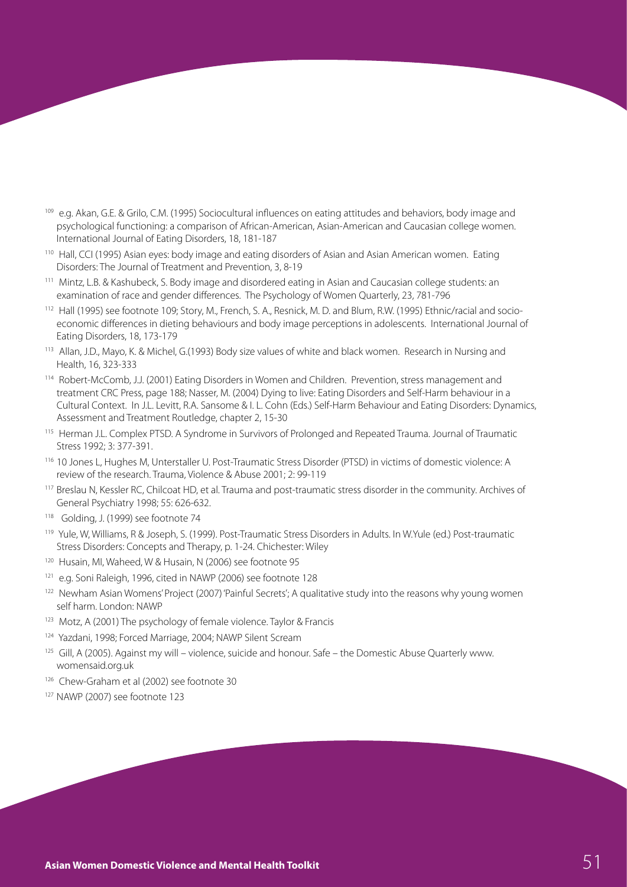- e.g. Akan, G.E. & Grilo, C.M. (1995) Sociocultural influences on eating attitudes and behaviors, body image and psychological functioning: a comparison of African-American, Asian-American and Caucasian college women. International Journal of Eating Disorders, 18, 181-187
- 110 Hall, CCI (1995) Asian eyes: body image and eating disorders of Asian and Asian American women. Eating Disorders: The Journal of Treatment and Prevention, 3, 8-19
- 111 Mintz, L.B. & Kashubeck, S. Body image and disordered eating in Asian and Caucasian college students: an examination of race and gender differences. The Psychology of Women Quarterly, 23, 781-796
- 112 Hall (1995) see footnote 109; Story, M., French, S. A., Resnick, M. D. and Blum, R.W. (1995) Ethnic/racial and socioeconomic differences in dieting behaviours and body image perceptions in adolescents. International Journal of Eating Disorders, 18, 173-179
- 113 Allan, J.D., Mayo, K. & Michel, G.(1993) Body size values of white and black women. Research in Nursing and Health, 16, 323-333
- 114 Robert-McComb, J.J. (2001) Eating Disorders in Women and Children. Prevention, stress management and treatment CRC Press, page 188; Nasser, M. (2004) Dying to live: Eating Disorders and Self-Harm behaviour in a Cultural Context. In J.L. Levitt, R.A. Sansome & I. L. Cohn (Eds.) Self-Harm Behaviour and Eating Disorders: Dynamics, Assessment and Treatment Routledge, chapter 2, 15-30
- 115 Herman J.L. Complex PTSD. A Syndrome in Survivors of Prolonged and Repeated Trauma. Journal of Traumatic Stress 1992; 3: 377-391.
- <sup>116</sup> 10 Jones L, Hughes M, Unterstaller U. Post-Traumatic Stress Disorder (PTSD) in victims of domestic violence: A review of the research. Trauma, Violence & Abuse 2001; 2: 99-119
- 117 Breslau N, Kessler RC, Chilcoat HD, et al. Trauma and post-traumatic stress disorder in the community. Archives of General Psychiatry 1998; 55: 626-632.
- 118 Golding, J. (1999) see footnote 74
- 119 Yule, W, Williams, R & Joseph, S. (1999). Post-Traumatic Stress Disorders in Adults. In W.Yule (ed.) Post-traumatic Stress Disorders: Concepts and Therapy, p. 1-24. Chichester: Wiley
- 120 Husain, MI, Waheed, W & Husain, N (2006) see footnote 95
- 121 e.g. Soni Raleigh, 1996, cited in NAWP (2006) see footnote 128
- <sup>122</sup> Newham Asian Womens' Project (2007) 'Painful Secrets'; A qualitative study into the reasons why young women self harm. London: NAWP
- 123 Motz, A (2001) The psychology of female violence. Taylor & Francis
- 124 Yazdani, 1998; Forced Marriage, 2004; NAWP Silent Scream
- 125 Gill, A (2005). Against my will violence, suicide and honour. Safe the Domestic Abuse Quarterly www. womensaid.org.uk
- 126 Chew-Graham et al (2002) see footnote 30
- <sup>127</sup> NAWP (2007) see footnote 123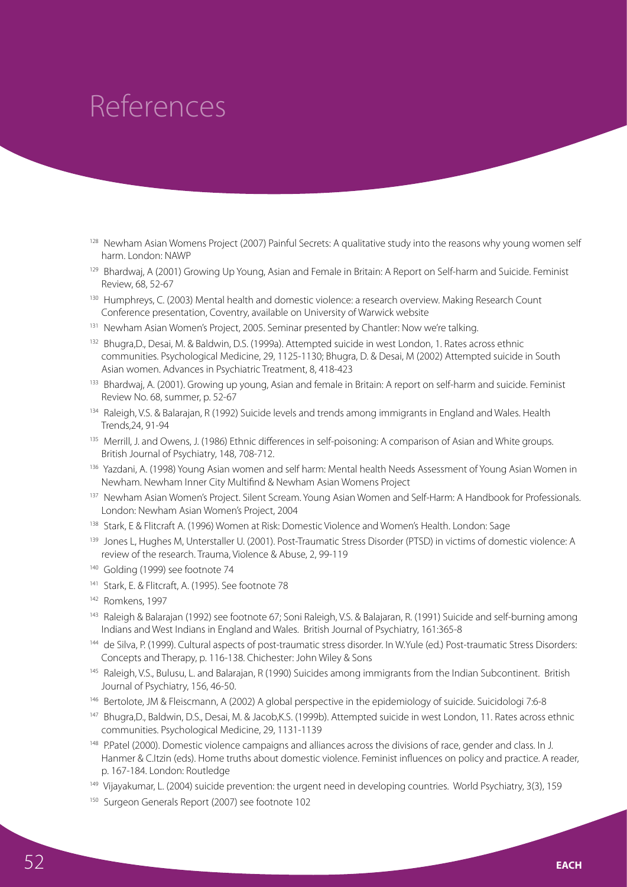- <sup>128</sup> Newham Asian Womens Project (2007) Painful Secrets: A qualitative study into the reasons why young women self harm. London: NAWP
- 129 Bhardwai, A (2001) Growing Up Young, Asian and Female in Britain: A Report on Self-harm and Suicide. Feminist Review, 68, 52-67
- <sup>130</sup> Humphreys, C. (2003) Mental health and domestic violence: a research overview. Making Research Count Conference presentation, Coventry, available on University of Warwick website
- <sup>131</sup> Newham Asian Women's Project, 2005. Seminar presented by Chantler: Now we're talking.
- 132 Bhugra, D., Desai, M. & Baldwin, D.S. (1999a). Attempted suicide in west London, 1. Rates across ethnic communities. Psychological Medicine, 29, 1125-1130; Bhugra, D. & Desai, M (2002) Attempted suicide in South Asian women. Advances in Psychiatric Treatment, 8, 418-423
- <sup>133</sup> Bhardwai, A. (2001). Growing up young, Asian and female in Britain: A report on self-harm and suicide. Feminist Review No. 68, summer, p. 52-67
- 134 Raleigh, V.S. & Balarajan, R (1992) Suicide levels and trends among immigrants in England and Wales. Health Trends,24, 91-94
- <sup>135</sup> Merrill, J. and Owens, J. (1986) Ethnic differences in self-poisoning: A comparison of Asian and White groups. British Journal of Psychiatry, 148, 708-712.
- <sup>136</sup> Yazdani, A. (1998) Young Asian women and self harm: Mental health Needs Assessment of Young Asian Women in Newham. Newham Inner City Multifind & Newham Asian Womens Project
- 137 Newham Asian Women's Project. Silent Scream. Young Asian Women and Self-Harm: A Handbook for Professionals. London: Newham Asian Women's Project, 2004
- 138 Stark, E & Flitcraft A. (1996) Women at Risk: Domestic Violence and Women's Health. London: Sage
- 139 Jones L, Hughes M, Unterstaller U. (2001). Post-Traumatic Stress Disorder (PTSD) in victims of domestic violence: A review of the research. Trauma, Violence & Abuse, 2, 99-119
- 140 Golding (1999) see footnote 74
- 141 Stark, E. & Flitcraft, A. (1995). See footnote 78
- 142 Romkens, 1997
- 143 Raleigh & Balarajan (1992) see footnote 67; Soni Raleigh, V.S. & Balajaran, R. (1991) Suicide and self-burning among Indians and West Indians in England and Wales. British Journal of Psychiatry, 161:365-8
- 144 de Silva, P. (1999). Cultural aspects of post-traumatic stress disorder. In W.Yule (ed.) Post-traumatic Stress Disorders: Concepts and Therapy, p. 116-138. Chichester: John Wiley & Sons
- 145 Raleigh, V.S., Bulusu, L. and Balarajan, R (1990) Suicides among immigrants from the Indian Subcontinent. British Journal of Psychiatry, 156, 46-50.
- 146 Bertolote, JM & Fleiscmann, A (2002) A global perspective in the epidemiology of suicide. Suicidologi 7:6-8
- <sup>147</sup> Bhugra, D., Baldwin, D.S., Desai, M. & Jacob, K.S. (1999b). Attempted suicide in west London, 11. Rates across ethnic communities. Psychological Medicine, 29, 1131-1139
- <sup>148</sup> PPatel (2000). Domestic violence campaigns and alliances across the divisions of race, gender and class. In J. Hanmer & C.Itzin (eds). Home truths about domestic violence. Feminist influences on policy and practice. A reader, p. 167-184. London: Routledge
- <sup>149</sup> Vijayakumar, L. (2004) suicide prevention: the urgent need in developing countries. World Psychiatry, 3(3), 159
- 150 Surgeon Generals Report (2007) see footnote 102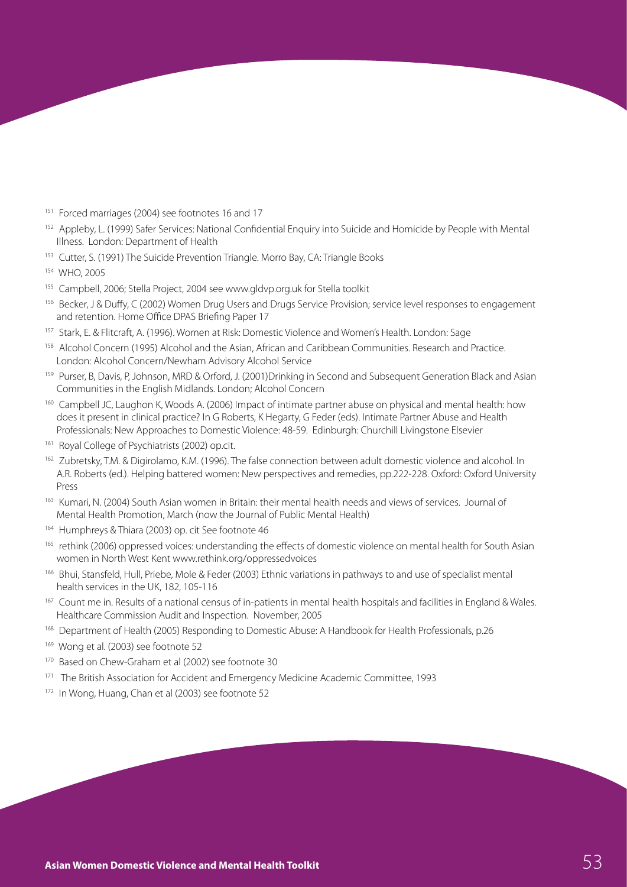- <sup>151</sup> Forced marriages (2004) see footnotes 16 and 17
- 152 Appleby, L. (1999) Safer Services: National Confidential Enquiry into Suicide and Homicide by People with Mental Illness. London: Department of Health
- 153 Cutter, S. (1991) The Suicide Prevention Triangle. Morro Bay, CA: Triangle Books
- 154 WHO, 2005
- 155 Campbell, 2006; Stella Project, 2004 see www.gldvp.org.uk for Stella toolkit
- 156 Becker, J & Duffy, C (2002) Women Drug Users and Drugs Service Provision; service level responses to engagement and retention. Home Office DPAS Briefing Paper 17
- 157 Stark, E. & Flitcraft, A. (1996). Women at Risk: Domestic Violence and Women's Health. London: Sage
- 158 Alcohol Concern (1995) Alcohol and the Asian, African and Caribbean Communities. Research and Practice. London: Alcohol Concern/Newham Advisory Alcohol Service
- 159 Purser, B, Davis, P, Johnson, MRD & Orford, J. (2001)Drinking in Second and Subsequent Generation Black and Asian Communities in the English Midlands. London; Alcohol Concern
- 160 Campbell JC, Laughon K, Woods A. (2006) Impact of intimate partner abuse on physical and mental health: how does it present in clinical practice? In G Roberts, K Hegarty, G Feder (eds). Intimate Partner Abuse and Health Professionals: New Approaches to Domestic Violence: 48-59. Edinburgh: Churchill Livingstone Elsevier
- <sup>161</sup> Royal College of Psychiatrists (2002) op.cit.
- <sup>162</sup> Zubretsky, T.M. & Digirolamo, K.M. (1996). The false connection between adult domestic violence and alcohol. In A.R. Roberts (ed.). Helping battered women: New perspectives and remedies, pp.222-228. Oxford: Oxford University Press
- 163 Kumari, N. (2004) South Asian women in Britain: their mental health needs and views of services. Journal of Mental Health Promotion, March (now the Journal of Public Mental Health)
- 164 Humphreys & Thiara (2003) op. cit See footnote 46
- <sup>165</sup> rethink (2006) oppressed voices: understanding the effects of domestic violence on mental health for South Asian women in North West Kent www.rethink.org/oppressedvoices
- <sup>166</sup> Bhui, Stansfeld, Hull, Priebe, Mole & Feder (2003) Ethnic variations in pathways to and use of specialist mental health services in the UK, 182, 105-116
- <sup>167</sup> Count me in. Results of a national census of in-patients in mental health hospitals and facilities in England & Wales. Healthcare Commission Audit and Inspection. November, 2005
- 168 Department of Health (2005) Responding to Domestic Abuse: A Handbook for Health Professionals, p.26
- <sup>169</sup> Wong et al. (2003) see footnote 52
- 170 Based on Chew-Graham et al (2002) see footnote 30
- <sup>171</sup> The British Association for Accident and Emergency Medicine Academic Committee, 1993
- 172 In Wong, Huang, Chan et al (2003) see footnote 52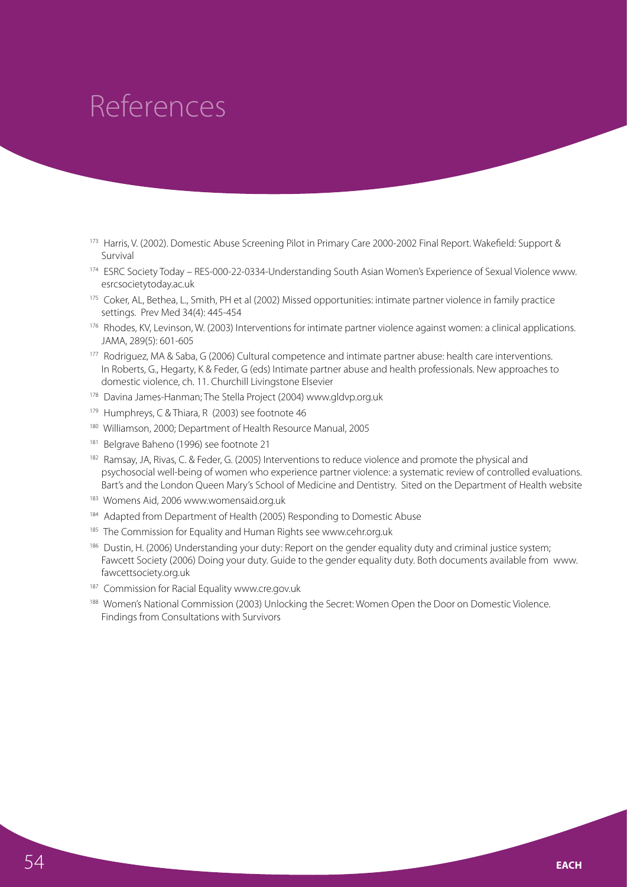- 173 Harris, V. (2002). Domestic Abuse Screening Pilot in Primary Care 2000-2002 Final Report. Wakefield: Support & Survival
- 174 ESRC Society Today RES-000-22-0334-Understanding South Asian Women's Experience of Sexual Violence www. esrcsocietytoday.ac.uk
- 175 Coker, AL, Bethea, L., Smith, PH et al (2002) Missed opportunities: intimate partner violence in family practice settings. Prev Med 34(4): 445-454
- 176 Rhodes, KV, Levinson, W. (2003) Interventions for intimate partner violence against women: a clinical applications. JAMA, 289(5): 601-605
- 177 Rodriguez, MA & Saba, G (2006) Cultural competence and intimate partner abuse: health care interventions. In Roberts, G., Hegarty, K & Feder, G (eds) Intimate partner abuse and health professionals. New approaches to domestic violence, ch. 11. Churchill Livingstone Elsevier
- <sup>178</sup> Davina James-Hanman; The Stella Project (2004) www.gldvp.org.uk
- 179 Humphreys, C & Thiara, R (2003) see footnote 46
- 180 Williamson, 2000; Department of Health Resource Manual, 2005
- 181 Belgrave Baheno (1996) see footnote 21
- 182 Ramsay, JA, Rivas, C. & Feder, G. (2005) Interventions to reduce violence and promote the physical and psychosocial well-being of women who experience partner violence: a systematic review of controlled evaluations. Bart's and the London Queen Mary's School of Medicine and Dentistry. Sited on the Department of Health website
- 183 Womens Aid, 2006 www.womensaid.org.uk
- 184 Adapted from Department of Health (2005) Responding to Domestic Abuse
- <sup>185</sup> The Commission for Equality and Human Rights see www.cehr.org.uk
- 186 Dustin, H. (2006) Understanding your duty: Report on the gender equality duty and criminal justice system; Fawcett Society (2006) Doing your duty. Guide to the gender equality duty. Both documents available from www. fawcettsociety.org.uk
- <sup>187</sup> Commission for Racial Equality www.cre.gov.uk
- <sup>188</sup> Women's National Commission (2003) Unlocking the Secret: Women Open the Door on Domestic Violence. Findings from Consultations with Survivors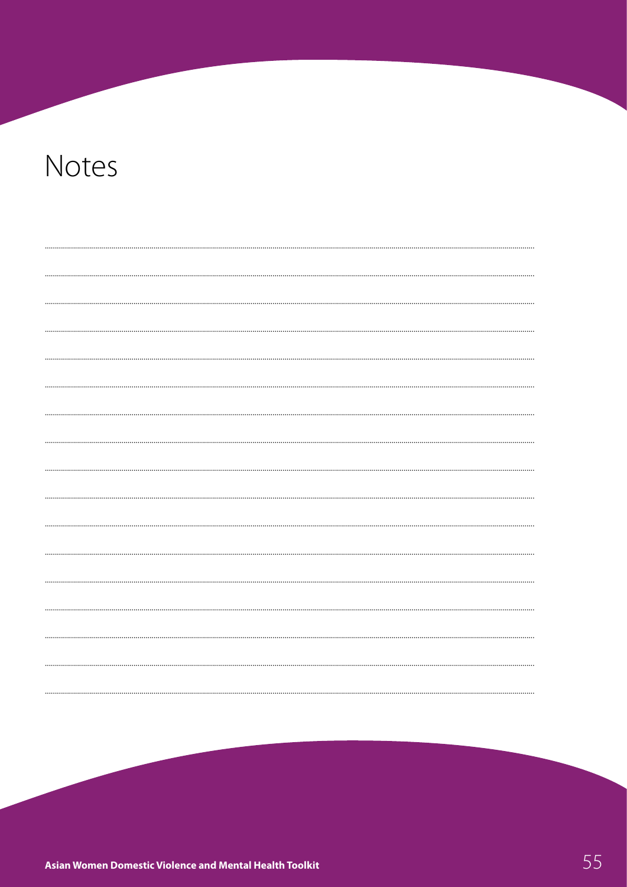## **Notes**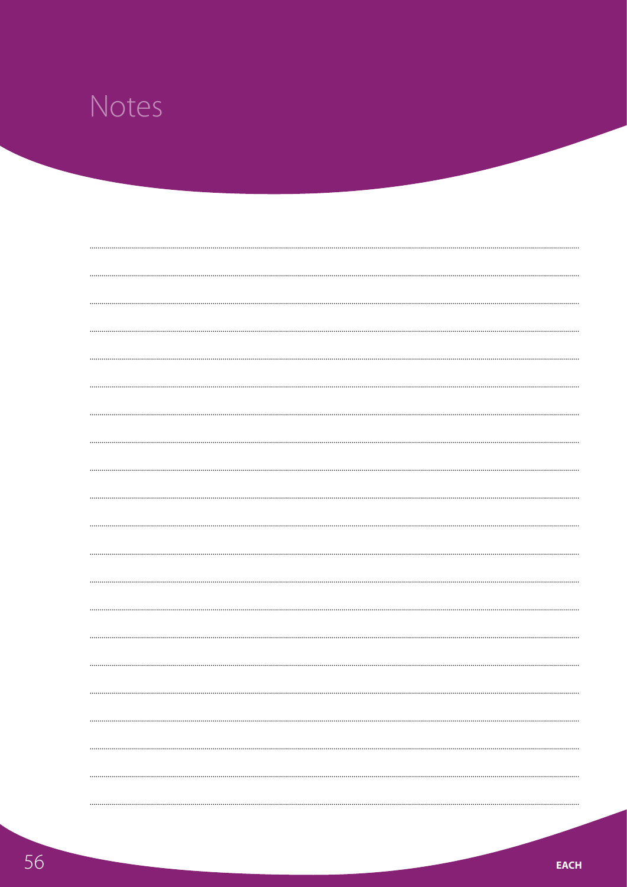### Notes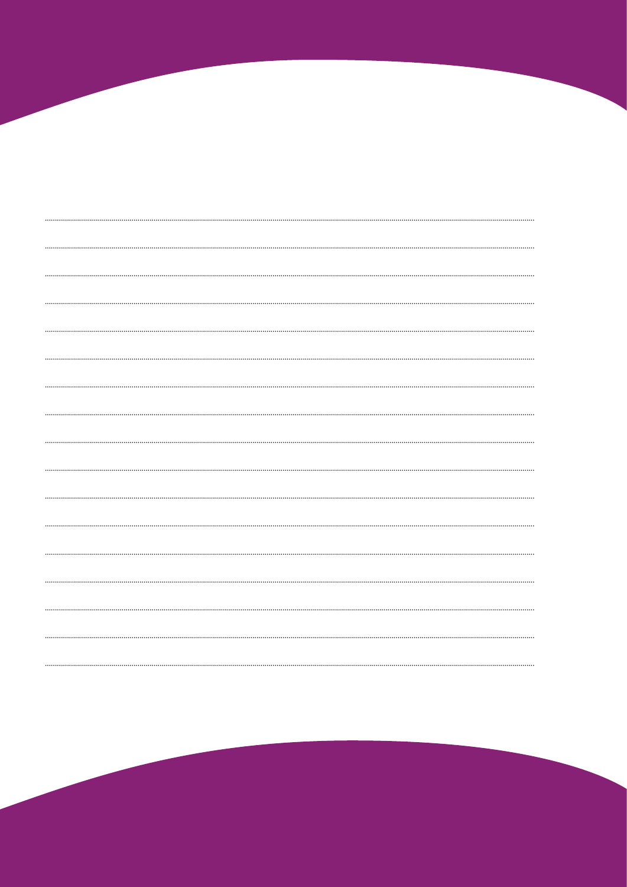